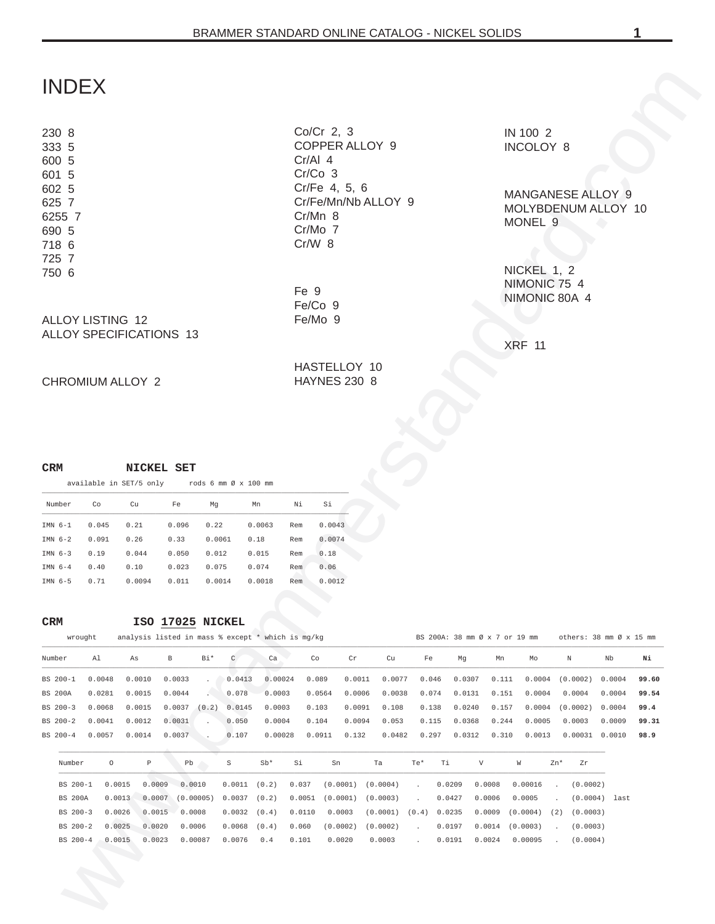# INDEX

#### [ALLOY LISTING 12](#page-11-0) ALLOY SPECIFICATIONS 13

#### CHROMIUM ALLOY 2

## **CRM NICKEL SET**

|           |        |       | available in SET/5 only $\qquad$ rods 6 mm $\emptyset$ x 100 mm |       |        |        |     |        |
|-----------|--------|-------|-----------------------------------------------------------------|-------|--------|--------|-----|--------|
|           | Number | Co    | Cu                                                              | Fe    | Mq     | Mn     | Νi  | Si     |
| TMN $6-1$ |        | 0.045 | 0.21                                                            | 0.096 | 0.22   | 0.0063 | Rem | 0.0043 |
| TMN $6-2$ |        | 0.091 | 0.26                                                            | 0.33  | 0.0061 | 0.18   | Rem | 0.0074 |
| TMN $6-3$ |        | 0.19  | 0.044                                                           | 0.050 | 0.012  | 0.015  | Rem | 0.18   |
| TMN $6-4$ |        | 0.40  | 0.10                                                            | 0.023 | 0.075  | 0.074  | Rem | 0.06   |
| TMN $6-5$ |        | 0.71  | 0.0094                                                          | 0.011 | 0.0014 | 0.0018 | Rem | 0.0012 |

# **CRM ISO 17025 NICKEL**<br>**analysis** listed in mass  $\frac{1}{2}$  except

|        | wrought |    |     | analysis listed in mass % except * which is mg/kg |    |    |    |    |    | BS 200A: 38 mm Ø x 7 or 19 mm others: 38 mm Ø x 15 mm |  |
|--------|---------|----|-----|---------------------------------------------------|----|----|----|----|----|-------------------------------------------------------|--|
| Number |         | As | Bi* | Ca                                                | Cr | Cu | Fe | Mq | Mo | Nb                                                    |  |

| <b>INDEX</b>                                        |                         |                                                   |                  |                             |                      |                       |        |                                                    |          |                     |       |        |        |                                              |                      |                    |                         |       |
|-----------------------------------------------------|-------------------------|---------------------------------------------------|------------------|-----------------------------|----------------------|-----------------------|--------|----------------------------------------------------|----------|---------------------|-------|--------|--------|----------------------------------------------|----------------------|--------------------|-------------------------|-------|
| 230 8<br>333 5<br>600 5<br>601 5                    |                         |                                                   |                  |                             |                      |                       |        | Co/Cr 2, 3<br>COPPER ALLOY 9<br>Cr/Al 4<br>Cr/Co 3 |          |                     |       |        |        | IN 100 2<br>INCOLOY 8                        |                      |                    |                         |       |
| 602 5<br>625 7<br>6255 7<br>690 5<br>718 6<br>725 7 |                         |                                                   |                  |                             |                      |                       |        | Cr/Fe 4, 5, 6<br>Cr/Mn 8<br>Cr/Mo 7<br>Cr/W 8      |          | Cr/Fe/Mn/Nb ALLOY 9 |       |        |        | MANGANESE ALLOY 9<br>MONEL <sub>9</sub>      |                      |                    | MOLYBDENUM ALLOY 10     |       |
| 750 6<br><b>ALLOY LISTING 12</b>                    |                         |                                                   |                  |                             |                      |                       | Fe 9   | Fe/Co 9<br>Fe/Mo 9                                 |          |                     |       |        |        | NICKEL 1, 2<br>NIMONIC 75 4<br>NIMONIC 80A 4 |                      |                    |                         |       |
| <b>ALLOY SPECIFICATIONS 13</b>                      |                         |                                                   |                  |                             |                      |                       |        |                                                    |          |                     |       |        |        | <b>XRF 11</b>                                |                      |                    |                         |       |
| CHROMIUM ALLOY 2                                    |                         |                                                   |                  |                             |                      |                       |        | HASTELLOY 10<br><b>HAYNES 230 8</b>                |          |                     |       |        |        |                                              |                      |                    |                         |       |
| CRM                                                 |                         |                                                   | NICKEL SET       |                             |                      |                       |        |                                                    |          |                     |       |        |        |                                              |                      |                    |                         |       |
|                                                     | available in SET/5 only |                                                   |                  |                             | rods 6 mm Ø x 100 mm |                       |        |                                                    |          |                     |       |        |        |                                              |                      |                    |                         |       |
| Number                                              | Co                      | Cu                                                | Fe               | Mg                          |                      | Mn                    | Νi     | Si                                                 |          |                     |       |        |        |                                              |                      |                    |                         |       |
| IMN 6-1                                             | 0.045                   | 0.21                                              | 0.096            | 0.22                        |                      | 0.0063                | Rem    | 0.0043                                             |          |                     |       |        |        |                                              |                      |                    |                         |       |
| IMN $6-2$                                           | 0.091                   | 0.26                                              | 0.33             | 0.0061                      |                      | 0.18                  | Rem    | 0.0074                                             |          |                     |       |        |        |                                              |                      |                    |                         |       |
| IMN $6-3$                                           | 0.19                    | 0.044                                             | 0.050            | 0.012                       |                      | 0.015                 | Rem    | 0.18                                               |          |                     |       |        |        |                                              |                      |                    |                         |       |
| $IMN$ 6-4                                           | 0.40                    | 0.10                                              | 0.023            | 0.075                       |                      | 0.074                 | Rem    | 0.06                                               |          |                     |       |        |        |                                              |                      |                    |                         |       |
| IMN $6-5$                                           | 0.71                    | 0.0094                                            | 0.011            | 0.0014                      |                      | 0.0018                | Rem    | 0.0012                                             |          |                     |       |        |        |                                              |                      |                    |                         |       |
| <b>CRM</b>                                          |                         |                                                   | ISO 17025 NICKEL |                             |                      |                       |        |                                                    |          |                     |       |        |        |                                              |                      |                    |                         |       |
|                                                     | wrought                 | analysis listed in mass % except * which is mg/kg |                  |                             |                      |                       |        |                                                    |          |                     |       |        |        | BS 200A: 38 mm Ø x 7 or 19 mm                |                      |                    | others: 38 mm Ø x 15 mm |       |
| Number                                              | Al                      | As                                                | $\, {\bf B}$     | Bi*                         | C                    | Ca                    |        | Co                                                 | Cr       | Cu                  | Fe    | Mg     | Mn     | Mo                                           |                      | Ν                  | Nb                      | Νi    |
| BS 200-1                                            | 0.0048                  | 0.0010                                            | 0.0033           |                             | 0.0413               | 0.00024               |        | 0.089                                              | 0.0011   | 0.0077              | 0.046 | 0.0307 | 0.111  | 0.0004                                       |                      | (0.0002)           | 0.0004                  | 99.60 |
| <b>BS 200A</b>                                      | 0.0281                  | 0.0015                                            | 0.0044           | $\mathcal{L}_{\mathcal{A}}$ | 0.078                | 0.0003                |        | 0.0564                                             | 0.0006   | 0.0038              | 0.074 | 0.0131 | 0.151  | 0.0004                                       |                      | 0.0004             | 0.0004                  | 99.54 |
| BS 200-3                                            | 0.0068                  | 0.0015                                            | 0.0037           | (0.2)                       | 0.0145               | 0.0003                |        | 0.103                                              | 0.0091   | 0.108               | 0.138 | 0.0240 | 0.157  | 0.0004                                       |                      | (0.0002) 0.0004    |                         | 99.4  |
| BS 200-2                                            | 0.0041                  | 0.0012                                            | 0.0031           |                             | 0.050                | 0.0004                |        | 0.104                                              | 0.0094   | 0.053               | 0.115 | 0.0368 | 0.244  | 0.0005                                       |                      | 0.0003             | 0.0009                  | 99.31 |
| BS 200-4                                            | 0.0057                  | 0.0014                                            | 0.0037           |                             | 0.107                | 0.00028               |        | 0.0911                                             | 0.132    | 0.0482              | 0.297 | 0.0312 | 0.310  | 0.0013                                       |                      | $0.00031$ $0.0010$ |                         | 98.9  |
| Number                                              | $\circ$                 | $\mathbb P$                                       | Pb               |                             | S                    | $\mathrm{Sb}^{\star}$ | Si     | Sn                                                 |          | Ta                  | $Te*$ | Тi     | V      | W                                            | Zn*                  | Zr                 |                         |       |
| BS 200-1                                            | 0.0015                  | 0.0009                                            |                  | 0.0010                      | $0.0011$ $(0.2)$     |                       | 0.037  |                                                    | (0.0001) | (0.0004)            |       | 0.0209 | 0.0008 | 0.00016                                      | $\cdot$              | (0.0002)           |                         |       |
| <b>BS 200A</b>                                      | 0.0013                  | 0.0007                                            |                  | (0.00005)                   | 0.0037               | (0.2)                 | 0.0051 | (0.0001)                                           |          | (0.0003)            |       | 0.0427 | 0.0006 | 0.0005                                       |                      |                    | $(0.0004)$ last         |       |
| BS 200-3                                            | 0.0026                  | 0.0015                                            |                  | 0.0008                      | 0.0032               | (0.4)                 | 0.0110 | 0.0003                                             |          | $(0.0001)$ $(0.4)$  |       | 0.0235 | 0.0009 | (0.0004)                                     | (2)                  | (0.0003)           |                         |       |
| BS 200-2                                            | 0.0025                  | 0.0020                                            |                  | 0.0006                      | 0.0068               | (0.4)                 | 0.060  | (0.0002)                                           |          | (0.0002)            |       | 0.0197 | 0.0014 | (0.0003)                                     | $\cdot$              | (0.0003)           |                         |       |
| BS 200-4                                            | 0.0015                  | 0.0023                                            |                  | 0.00087                     | 0.0076               | 0.4                   | 0.101  | 0.0020                                             |          | 0.0003              |       | 0.0191 | 0.0024 | 0.00095                                      | $\ddot{\phantom{a}}$ | (0.0004)           |                         |       |
|                                                     |                         |                                                   |                  |                             |                      |                       |        |                                                    |          |                     |       |        |        |                                              |                      |                    |                         |       |
|                                                     | <b>SP</b>               |                                                   |                  |                             |                      |                       |        |                                                    |          |                     |       |        |        |                                              |                      |                    |                         |       |
|                                                     |                         |                                                   |                  |                             |                      |                       |        |                                                    |          |                     |       |        |        |                                              |                      |                    |                         |       |
|                                                     |                         |                                                   |                  |                             |                      |                       |        |                                                    |          |                     |       |        |        |                                              |                      |                    |                         |       |
|                                                     |                         |                                                   |                  |                             |                      |                       |        |                                                    |          |                     |       |        |        |                                              |                      |                    |                         |       |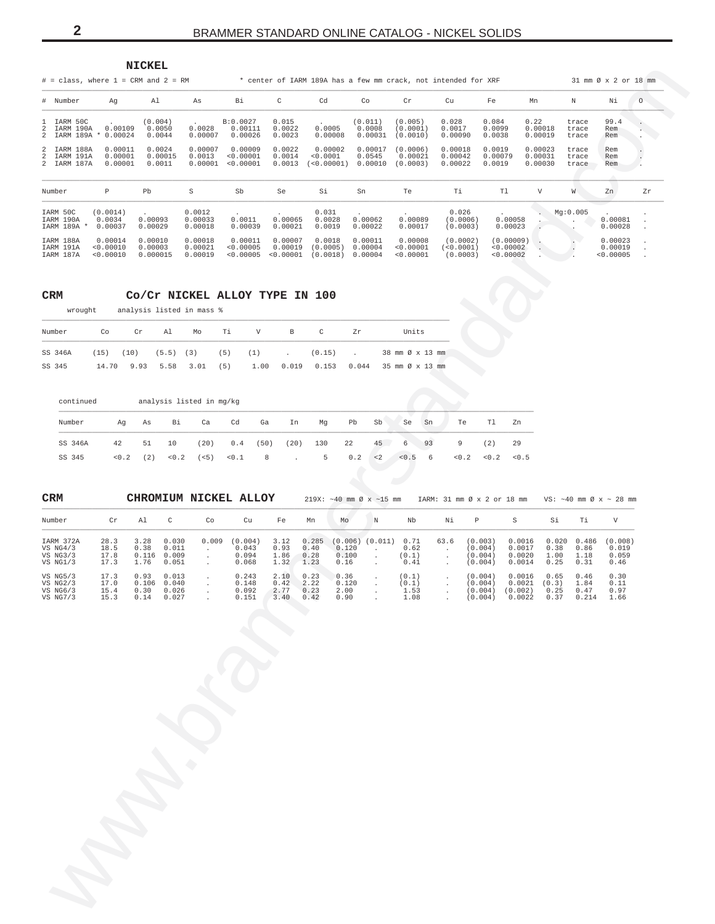<span id="page-1-0"></span>

|                                           | $#$ = class, where 1 = CRM and 2 = RM |                                |                               |                                   |                                 |                                  |                               |                                   | * center of IARM 189A has a few mm crack, not intended for XRF |                                   |                               |                         | 31 mm Ø x 2 or 18 mm            |         |
|-------------------------------------------|---------------------------------------|--------------------------------|-------------------------------|-----------------------------------|---------------------------------|----------------------------------|-------------------------------|-----------------------------------|----------------------------------------------------------------|-----------------------------------|-------------------------------|-------------------------|---------------------------------|---------|
| # Number                                  | Αq                                    | Al                             | As                            | Bi                                | C                               | Cd                               | Co                            | Cr                                | Cu                                                             | Fe                                | Mn                            | N                       | Νi                              | $\circ$ |
| 1 IARM<br>50C<br>IARM 190A<br>2 IARM 189A | 0.00109<br>0.00024<br>$\ast$          | (0.004)<br>0.0050<br>0.0044    | 0.0028<br>0.00007             | B:0.0027<br>0.00111<br>0.00026    | 0.015<br>0.0022<br>0.0023       | 0.0005<br>0.00008                | (0.011)<br>0.0008<br>0.00031  | (0.005)<br>(0.0001)<br>(0.0010)   | 0.028<br>0.0017<br>0.00090                                     | 0.084<br>0.0099<br>0.0038         | 0.22<br>0.00018<br>0.00019    | trace<br>trace<br>trace | 99.4<br>Rem<br>Rem              |         |
| 2 IARM 188A<br>2 IARM 191A<br>2 IARM 187A | 0.00011<br>0.00001<br>0.00001         | 0.0024<br>0.00015<br>0.0011    | 0.00007<br>0.0013<br>0.00001  | 0.00009<br>0.00001<br>< 0.00001   | 0.0022<br>0.0014<br>0.0013      | 0.00002<br>< 0.0001<br>< 0.00001 | 0.00017<br>0.0545<br>0.00010  | (0.0006)<br>0.00021<br>(0.0003)   | 0.00018<br>0.00042<br>0.00022                                  | 0.0019<br>0.00079<br>0.0019       | 0.00023<br>0.00031<br>0.00030 | trace<br>trace<br>trace | Rem<br>Rem<br>Rem               |         |
| Number                                    | P                                     | Pb                             | S                             | Sb                                | Se                              | Si                               | Sn                            | Te                                | Ti                                                             | T1                                | V                             | W                       | Zn                              | Zr      |
| IARM 50C<br>IARM 190A<br>IARM 189A *      | (0.0014)<br>0.0034<br>0.00037         | 0.00093<br>0.00029             | 0.0012<br>0.00033<br>0.00018  | 0.0011<br>0.00039                 | 0.00065<br>0.00021              | 0.031<br>0.0028<br>0.0019        | 0.00062<br>0.00022            | 0.00089<br>0.00017                | 0.026<br>(0.0006)<br>(0.0003)                                  | 0.00058<br>0.00023                |                               | Mq:0.005                | 0.00081<br>0.00028              |         |
| IARM 188A<br>IARM 191A<br>TARM 187A       | 0.00014<br>< 0.00010<br>< 0.00010     | 0.00010<br>0.00003<br>0.000015 | 0.00018<br>0.00021<br>0.00019 | 0.00011<br>< 0.00005<br>< 0.00005 | 0.00007<br>0.00019<br>< 0.00001 | 0.0018<br>(0.0005)<br>(0.0018)   | 0.00011<br>0.00004<br>0.00004 | 0.00008<br>< 0.00001<br>< 0.00001 | (0.0002)<br>( < 0.0001)<br>(0.0003)                            | (0.00009)<br>0.00002<br>< 0.00002 |                               |                         | 0.00023<br>0.00019<br>< 0.00005 |         |

#### $\ensuremath{\mathsf{CRM}}$

### Co/Cr NICKEL ALLOY TYPE IN 100

| wrought | analysis listed in mass % |  |  |
|---------|---------------------------|--|--|
|         |                           |  |  |

**NICKEL** 

| Number | Co | Cr Al |  | Mo Ti V B C |  | 7r | Units                                                                              |
|--------|----|-------|--|-------------|--|----|------------------------------------------------------------------------------------|
|        |    |       |  |             |  |    | SS 346A (15) (10) (5.5) (3) (5) (1) . (0.15) . 38 mm $\emptyset \times 13$ mm      |
| SS 345 |    |       |  |             |  |    | $14.70$ 9.93 5.58 3.01 (5) 1.00 0.019 0.153 0.044 35 mm $\varnothing \times 13$ mm |

| continued |     |     | analysis listed in mg/kg |      |               |      |      |     |     |          |       |    |       |       |       |
|-----------|-----|-----|--------------------------|------|---------------|------|------|-----|-----|----------|-------|----|-------|-------|-------|
| Number    | Aα  | As  | Вi                       | Ca   | Cd            | Ga   | In   | Mq  | Pb  | Sb       | Se    | Sn | Te    | T1    | Zn    |
| SS 346A   | 42  | 51  | 10                       | (20) | 0.4           | (50) | (20) | 130 | 22  | 45       | 6     | 93 | 9     | (2)   | 29    |
| SS 345    | 0.2 | (2) | < 0.2                    |      | $(<5)$ $<0.1$ | 8    |      | 5   | 0.2 | $\leq$ 2 | < 0.5 | 6  | < 0.2 | < 0.2 | < 0.5 |

| <b>CRM</b>                                      |                              |                               |                                  | CHROMIUM NICKEL ALLOY |                                    |                              |                               | $219X: ~ -40$ mm $\emptyset$ x $\sim$ 15 mm |         |                                |      | IARM: 31 mm Ø x 2 or 18 mm               |                                       |                               |                               | VS: $\sim$ 40 mm Ø x $\sim$ 28 mm |
|-------------------------------------------------|------------------------------|-------------------------------|----------------------------------|-----------------------|------------------------------------|------------------------------|-------------------------------|---------------------------------------------|---------|--------------------------------|------|------------------------------------------|---------------------------------------|-------------------------------|-------------------------------|-----------------------------------|
| Number                                          | Cr                           | Al                            | C                                | Co                    | Cu                                 | Fe                           | Mn                            | Mo                                          | N       | Nb                             | Νi   | P                                        | S                                     | Si                            | Ti                            | V                                 |
| IARM 372A<br>VS $NG4/3$<br>VS NG3/3<br>VS NG1/3 | 28.3<br>18.5<br>17.8<br>17.3 | 3.28<br>0.38<br>0.116<br>1.76 | 0.030<br>0.011<br>0.009<br>0.051 | 0.009                 | (0.004)<br>0.043<br>0.094<br>0.068 | 3.12<br>0.93<br>1.86<br>1.32 | 0.285<br>0.40<br>0.28<br>1.23 | (0.006)<br>0.120<br>0.100<br>0.16           | (0.011) | 0.71<br>0.62<br>(0.1)<br>0.41  | 63.6 | (0.003)<br>(0.004)<br>(0.004)<br>(0.004) | 0.0016<br>0.0017<br>0.0020<br>0.0014  | 0.020<br>0.38<br>1.00<br>0.25 | 0.486<br>0.86<br>1.18<br>0.31 | (0.008)<br>0.019<br>0.059<br>0.46 |
| VS NG5/3<br>VS NG2/3<br>VS NG6/3<br>VS NG7/3    | 17.3<br>17.0<br>15.4<br>15.3 | 0.93<br>0.106<br>0.30<br>0.14 | 0.013<br>0.040<br>0.026<br>0.027 |                       | 0.243<br>0.148<br>0.092<br>0.151   | 2.10<br>0.42<br>2.77<br>3.40 | 0.23<br>2.22<br>0.23<br>0.42  | 0.36<br>0.120<br>2.00<br>0.90               |         | (0.1)<br>(0,1)<br>1.53<br>1.08 |      | (0.004)<br>(0.004)<br>(0.004)<br>(0.004) | 0.0016<br>0.0021<br>(0.002)<br>0.0022 | 0.65<br>(0.3)<br>0.25<br>0.37 | 0.46<br>1.84<br>0.47<br>0.214 | 0.30<br>0.11<br>0.97<br>1.66      |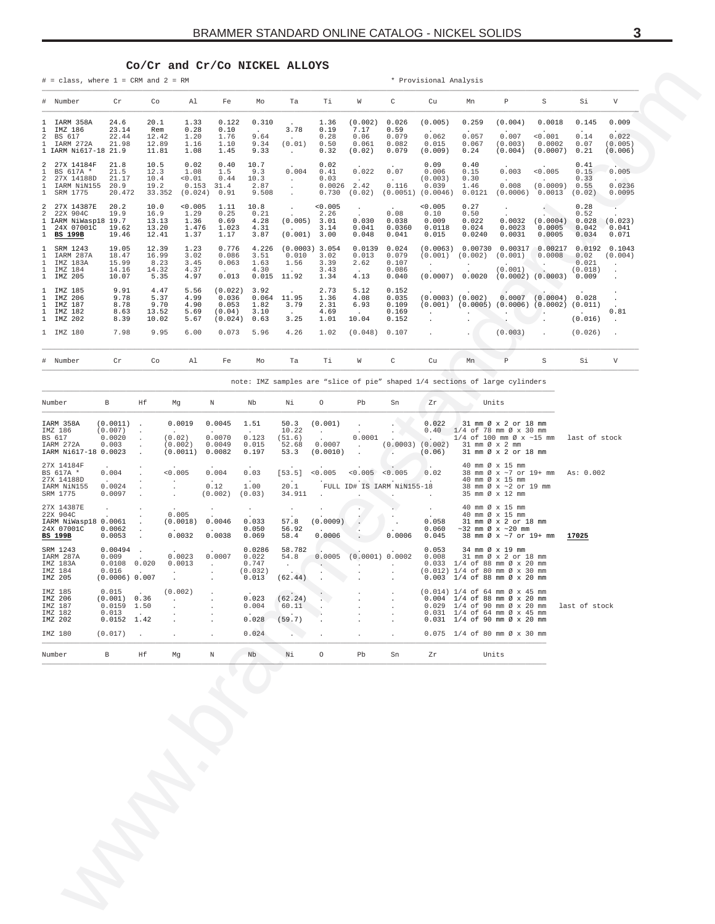#### $Co/Cr$  and  $Cr/Co$  NICKEL ALLOYS

<span id="page-2-0"></span> $#$  = class, where 1 = CRM and 2 = RM

\* Provisional Analysis

|              | # Number                                                                             | $\operatorname{Cr}$                       | Co                                      | Al                                         | Fe                                             | Mo                                     | Ta                                                              | Ti                                      | W                                                         | C                                         | Cu                                                                             | Mn                                                                                         | P                                                              | S                                                                        | Si                                          | V                                                                |
|--------------|--------------------------------------------------------------------------------------|-------------------------------------------|-----------------------------------------|--------------------------------------------|------------------------------------------------|----------------------------------------|-----------------------------------------------------------------|-----------------------------------------|-----------------------------------------------------------|-------------------------------------------|--------------------------------------------------------------------------------|--------------------------------------------------------------------------------------------|----------------------------------------------------------------|--------------------------------------------------------------------------|---------------------------------------------|------------------------------------------------------------------|
| 2            | 1 IARM 358A<br>IMZ 186<br>BS 617<br>IARM 272A<br>1 IARM Ni617-18 21.9                | 24.6<br>23.14<br>22.44<br>21.98           | 20.1<br>Rem<br>12.42<br>12.89<br>11.81  | 1.33<br>0.28<br>1.20<br>1.16<br>1.08       | 0.122<br>0.10<br>1.76<br>1.10<br>1.45          | 0.310<br>9.64<br>9.34<br>9.33          | $\cdot$<br>3.78<br>$\sim$<br>(0.01)<br>$\sim$                   | 1.36<br>0.19<br>0.28<br>0.50<br>0.32    | (0.002)<br>7.17<br>0.06<br>0.061<br>(0.02)                | 0.026<br>0.59<br>0.079<br>0.082<br>0.079  | (0.005)<br>$\sim$<br>0.062<br>0.015<br>(0.009)                                 | 0.259<br>$\cdot$<br>0.057<br>0.067<br>0.24                                                 | (0.004)<br>$\ddot{\phantom{0}}$<br>0.007<br>(0.003)<br>(0.004) | 0.0018<br>< 0.001<br>0.0002<br>(0.0007)                                  | 0.145<br>$\sim$<br>0.14<br>0.07<br>0.21     | 0.009<br><b>Contract Contract</b><br>0.022<br>(0.005)<br>(0.006) |
|              | 2 27X 14184F<br>BS 617A *<br>27X 14188D<br>IARM NiN155<br>1 SRM 1775                 | 21.8<br>21.5<br>21.17<br>20.9<br>20.472   | 10.5<br>12.3<br>10.4<br>19.2<br>33.352  | 0.02<br>1.08<br>< 0.01<br>0.153<br>(0.024) | 0.40<br>1.5<br>0.44<br>31.4<br>0.91            | 10.7<br>9.3<br>10.3<br>2.87<br>9.508   | $\sim$<br>0.004<br>$\ddot{\phantom{0}}$<br>$\ddot{\phantom{0}}$ | 0.02<br>0.41<br>0.03<br>0.0026<br>0.730 | $\sim$<br>0.022<br>$\ddot{\phantom{0}}$<br>2.42<br>(0.02) | 0.07<br>0.116                             | 0.09<br>0.006<br>(0.003)<br>0.039<br>$(0.0051)$ $(0.0046)$                     | 0.40<br>0.15<br>0.30<br>1.46<br>0.0121                                                     | $\sim$<br>0.003<br>$\sim$ $-$<br>0.008<br>(0.0006)             | $\sim$<br>< 0.005<br><b>Contract Contract</b><br>(0.0009)<br>0.0013      | 0.41<br>0.15<br>0.33<br>0.55<br>(0.02)      | $\mathcal{L}$<br>0.005<br>$\sim$ $\sim$<br>0.0236<br>0.0095      |
| $\mathbf{1}$ | 2 27X 14387E<br>2 22X 904C<br>1 IARM NiWasp18 19.7<br>1 24X 07001C<br><b>BS 199B</b> | 20.2<br>19.9<br>19.62<br>19.46            | 10.0<br>16.9<br>13.13<br>13.20<br>12.41 | < 0.005<br>1.29<br>1.36<br>1.476<br>1.37   | 1.11<br>0.25<br>0.69<br>1.023<br>1.17          | 10.8<br>0.21<br>4.28<br>4.31<br>3.87   | $\sim$<br>$\sim$<br>(0.005)<br>(0.001)                          | < 0.005<br>2.26<br>3.01<br>3.14<br>3.00 | $\bullet$<br>$\mathcal{L}$<br>0.030<br>0.041<br>0.048     | 0.08<br>0.038<br>0.0360<br>0.041          | < 0.005<br>0.10<br>0.009<br>0.0118<br>0.015                                    | 0.27<br>0.50<br>0.022<br>0.024<br>0.0240                                                   | 0.0032<br>0.0023<br>0.0031                                     | $\sim$<br>(0.0004)<br>0.0005<br>0.0005                                   | 0.28<br>0.52<br>0.028<br>0.042<br>0.034     | (0.023)<br>0.041<br>0.071                                        |
|              | SRM 1243<br>IARM 287A<br>IMZ 183A<br>IMZ 184<br>1 IMZ 205                            | 19.05<br>18.47<br>15.99<br>14.16<br>10.07 | 12.39<br>16.99<br>8.23<br>14.32<br>5.35 | 1.23<br>3.02<br>3.45<br>4.37<br>4.97       | 0.776<br>0.086<br>0.063<br>0.013               | 4.226<br>3.51<br>1.63<br>4.30<br>0.015 | $(0.0003)$ 3.054<br>0.010<br>1.56<br>$\sim$<br>11.92            | 3.02<br>3.39<br>3.43<br>1.34            | 0.0139<br>0.013<br>2.62<br>$\sim$<br>4.13                 | 0.024<br>0.079<br>0.107<br>0.086<br>0.040 | (0.0063)<br>(0.001)<br>$\sim$                                                  | 0.00730<br>(0.002)<br>$\sim$<br>$(0.0007)$ 0.0020                                          | 0.00317<br>(0.001)<br>and a state of the<br>(0.001)            | 0.00217<br>0.0008<br>$\ddot{\phantom{a}}$<br>$(0.0002)$ $(0.0003)$       | 0.0192<br>0.02<br>0.021<br>(0.018)<br>0.009 | 0.1043<br>(0.004)<br>$\mathbf{r}$<br>$\mathbf{r}$                |
|              | 1 IMZ 185<br>1 IMZ 206<br>IMZ 187<br>IMZ 182<br>1 IMZ 202                            | 9.91<br>9.78<br>8.78<br>8.63<br>8.39      | 4.47<br>5.37<br>9.70<br>13.52<br>10.02  | 5.56<br>4.99<br>4.90<br>5.69<br>5.67       | (0.022)<br>0.036<br>0.053<br>(0.04)<br>(0.024) | 3.92<br>0.064<br>1.82<br>3.10<br>0.63  | 11.95<br>3.79<br>$\sim$<br>3.25                                 | 2.73<br>1.36<br>2.31<br>4.69<br>1.01    | 5.12<br>4.08<br>6.93<br>10.04                             | 0.152<br>0.035<br>0.109<br>0.169<br>0.152 | $\cdot$<br>$(0.0003)$ $(0.002)$<br><b>Service</b><br>$\mathbf{L}^{\text{max}}$ | $(0.001)$ $(0.0005)$<br><u>and the state of the state of the state</u><br>$\sim$ 100 $\pm$ | 0.0007                                                         | $(0.0004)$ 0.028<br>$(0.0006)$ $(0.0002)$ $(0.011)$<br>$\sim$<br>$\cdot$ | $\sim$ $\sim$<br>$(0.016)$ .                | 0.81                                                             |
|              | 1 IMZ 180                                                                            | 7.98                                      | 9.95                                    | 6.00                                       | 0.073                                          | 5.96                                   | 4.26                                                            | 1.02                                    | (0.048)                                                   | 0.107                                     | $\mathcal{L}^{\text{max}}$                                                     | $\ddot{\phantom{0}}$                                                                       | $(0.003)$ .                                                    |                                                                          | $(0.026)$ .                                 |                                                                  |
|              | # Number                                                                             | $\operatorname{Cr}$                       | Co                                      | Al                                         | Fe                                             | Mo                                     | Ta                                                              | Ti                                      | W                                                         | $\mathsf{C}$                              | Cu                                                                             | Mn                                                                                         | P                                                              | S                                                                        | Si                                          | V                                                                |

note: IMZ samples are "slice of pie" shaped 1/4 sections of large cylinders

| Number                                                                         | B                                                           | Hf                                      | Ma                                                                          | N                                                                         | Nb                                                 | Νi                                                    | $\circ$                       | Pb                                                                              | Sn                                                | Zr                                              | Units                                                                                                                                                                                                                      |               |
|--------------------------------------------------------------------------------|-------------------------------------------------------------|-----------------------------------------|-----------------------------------------------------------------------------|---------------------------------------------------------------------------|----------------------------------------------------|-------------------------------------------------------|-------------------------------|---------------------------------------------------------------------------------|---------------------------------------------------|-------------------------------------------------|----------------------------------------------------------------------------------------------------------------------------------------------------------------------------------------------------------------------------|---------------|
| IARM 358A<br>IMZ 186<br>BS 617<br>IARM 272A<br>IARM Ni617-18 0.0023            | $(0.0011)$ .<br>(0.007)<br>0.0020<br>0.003                  |                                         | 0.0019<br>$\sim$<br>(0.02)<br>(0.002)<br>(0.0011)                           | 0.0045<br>$\cdot$<br>0.0070<br>0.0049<br>0.0082                           | 1.51<br>$\cdot$<br>0.123<br>0.015<br>0.197         | 50.3<br>10.22<br>(51.6)<br>52.68<br>53.3              | (0.001)<br>0.0007<br>(0.0010) | <b>Service</b><br>$\sim$ $\sim$<br>0.0001<br>$\sim$<br><b>Contract Contract</b> | $\ddot{\phantom{0}}$<br>(0.0003)<br>$\sim$ $\sim$ | 0.022<br>0.40<br>(0.002)<br>(0.06)              | 31 mm Ø x 2 or 18 mm<br>1/4 of 78 mm Ø x 30 mm<br>$1/4$ of 100 mm $\varnothing$ x ~15 mm<br>31 mm Ø x 2 mm<br>31 mm Ø x 2 or 18 mm                                                                                         | last of stock |
| 27X 14184F<br>BS 617A *<br>27X 14188D<br>IARM NiN155<br>SRM 1775               | 0.004<br><b>Service</b><br>0.0024<br>0.0097                 |                                         | < 0.005<br>$\cdot$<br>$\mathbf{r}$                                          | 0.004<br><b>Contract Contract</b><br>0.12<br>(0.002)                      | 0.03<br><b>Contract Contract</b><br>1.00<br>(0.03) | [53.5]<br><b>Contract Contract</b><br>20.1<br>34.911  | < 0.005<br><b>Allen</b>       | $< 0.005$ $< 0.005$<br>$\sim$ $\sim$<br>$\sim$ $\sim$                           | FULL ID# IS IARM NiN155-18                        | 0.02<br>$\sim$                                  | 40 mm Ø x 15 mm<br>38 mm Ø x ~7 or 19+ mm As: 0.002<br>40 mm Ø x 15 mm<br>38 mm Ø x ~2 or 19 mm<br>35 mm Ø x 12 mm                                                                                                         |               |
| 27X 14387E<br>22X 904C<br>IARM NiWasp18 0.0061<br>24X 07001C<br><b>BS 199B</b> | 0.0062<br>0.0053                                            | $\mathcal{L}^{\pm}$<br>$\sim$<br>$\sim$ | $\sim$<br>0.005<br>(0.0018)<br><b>Contract Contract</b><br>0.0032           | $\sim$<br>0.0046<br>0.0038                                                | $\cdot$<br>$\cdot$<br>0.033<br>0.050<br>0.069      | $\cdot$<br>57.8<br>56.92<br>58.4                      | (0.0009)<br>0.0006            | $\ddot{\phantom{0}}$                                                            | 0.0006                                            | $\sim$<br>$\sim$ $-$<br>0.058<br>0.060<br>0.045 | 40 mm Ø x 15 mm<br>40 mm Ø x 15 mm<br>31 mm Ø x 2 or 18 mm<br>$\sim$ 32 mm Ø x $\sim$ 20 mm<br>38 mm Ø x ~7 or 19+ mm                                                                                                      | 17025         |
| SRM 1243<br>IARM 287A<br>IMZ 183A<br>IMZ 184<br>IMZ 205                        | $0.00494$ .<br>0.009<br>0.0108<br>0.016<br>$(0.0006)$ 0.007 | 0.020<br>$\sim$ 100 $\pm$               | <b>Allen</b><br>0.0023<br>0.0013<br>$\mathbf{r}$ and $\mathbf{r}$<br>$\sim$ | $\cdot$<br>0.0007<br>$\mathbf{r}$<br>$\ddot{\phantom{0}}$<br>$\mathbf{r}$ | 0.0286<br>0.022<br>0.747<br>(0.032)<br>0.013       | 58.782<br>54.8<br>$\sim$ 100 $\pm$<br>(62.44)         | 0.0005<br>$\sim$              | $\sim$<br>$\mathbf{r}$                                                          | (0.0001) 0.0002<br>$\sim$<br>$\mathbf{r}$         | 0.053<br>0.008<br>0.033                         | 34 mm Ø x 19 mm<br>31 mm Ø x 2 or 18 mm<br>$1/4$ of 88 mm $\varnothing$ x 20 mm<br>$(0.012)$ 1/4 of 80 mm $\emptyset$ x 30 mm<br>$0.003$ 1/4 of 88 mm $\varnothing$ x 20 mm                                                |               |
| IMZ 185<br>IMZ 206<br>IMZ 187<br>IMZ 182<br>IMZ 202                            | 0.015<br>(0.001)<br>0.0159<br>0.013<br>0.0152               | 0.36<br>1.50<br>1.42                    | (0.002)<br>$\sim$<br>$\mathbf{r}$                                           |                                                                           | $\sim$<br>0.023<br>0.004<br>$\sim$<br>0.028        | $\sim$<br>(62.24)<br>60.11<br>$\sim$ $\sim$<br>(59.7) |                               | $\sim$<br>$\mathbf{r}$<br>$\mathbf{r}$                                          | $\mathbf{r}$<br>$\mathbf{r}$<br>$\cdot$           | 0.029<br>0.031                                  | $(0.014)$ 1/4 of 64 mm $\varnothing$ x 45 mm<br>$0.004$ 1/4 of 88 mm $\varnothing$ x 20 mm<br>$1/4$ of 90 mm $\varnothing$ x 20 mm<br>$1/4$ of 64 mm $\varnothing$ x 45 mm<br>$0.031$ $1/4$ of 90 mm $\varnothing$ x 20 mm | last of stock |
| IMZ 180<br>Number                                                              | (0.017)<br>B                                                | $\sim$<br>Hf                            | $\ddot{\phantom{a}}$<br>Ma                                                  | $\ddot{\phantom{0}}$<br>N                                                 | 0.024<br>Nb                                        | $\sum$<br>Νi                                          | $\cdot$<br>$\circ$            | Pb                                                                              | $\ddot{\phantom{a}}$<br>Sn                        | Zr                                              | $0.075$ 1/4 of 80 mm $\emptyset$ x 30 mm<br>Units                                                                                                                                                                          |               |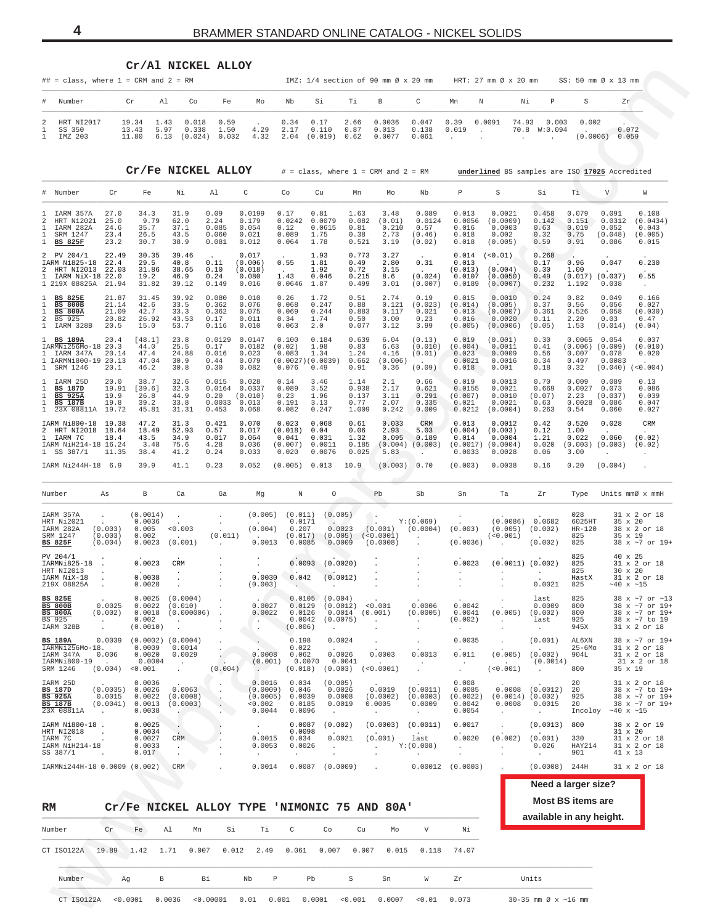<span id="page-3-0"></span>

| ## = class, where $1 = CRM$ and $2 = RM$                                                          |                                          |                                                 | Cr/Al NICKEL ALLOY                                                           |                                                               |                                                   |                                                       |                                                  |                                         | IMZ: $1/4$ section of 90 mm $\emptyset$ x 20 mm |                                                         |                                                     | HRT: $27 \text{ mm}$ $\emptyset$ x $20 \text{ mm}$             |                                              | SS: 50 mm Ø x 13 mm                                             |                                              |                                                                                                 |
|---------------------------------------------------------------------------------------------------|------------------------------------------|-------------------------------------------------|------------------------------------------------------------------------------|---------------------------------------------------------------|---------------------------------------------------|-------------------------------------------------------|--------------------------------------------------|-----------------------------------------|-------------------------------------------------|---------------------------------------------------------|-----------------------------------------------------|----------------------------------------------------------------|----------------------------------------------|-----------------------------------------------------------------|----------------------------------------------|-------------------------------------------------------------------------------------------------|
| #<br>Number                                                                                       |                                          | Cr<br>Al                                        | Co                                                                           | Fe                                                            | Mo                                                | Nb                                                    | Si                                               | Τi                                      | В                                               | C                                                       | Mn                                                  | Ν<br>Νi                                                        | Р                                            | S                                                               | Zr                                           |                                                                                                 |
| 2<br>HRT NI2017<br>1<br>SS 350<br>$\mathbf{1}$<br>IMZ 203                                         |                                          | 19.34<br>1.43<br>13.43<br>11.80                 | 0.018<br>5.97<br>0.338<br>6.13                                               | 0.59<br>1.50<br>$(0.024)$ 0.032                               | 4.29<br>4.32                                      | 0.34<br>2.17<br>2.04                                  | 0.17<br>0.110<br>(0.019)                         | 2.66<br>0.87<br>0.62                    | 0.0036<br>0.013<br>0.0077                       | 0.047<br>0.138<br>0.061                                 | 0.39<br>0.019<br>$\cdot$                            | 74.93<br>0.0091<br>$\cdot$                                     | 0.003<br>70.8 W:0.094                        | 0.002                                                           | 0.072<br>$(0.0006) - 0.059$                  |                                                                                                 |
|                                                                                                   |                                          |                                                 | Cr/Fe NICKEL ALLOY                                                           |                                                               |                                                   |                                                       |                                                  |                                         | $#$ = class, where $1$ = CRM and $2$ = RM       |                                                         |                                                     | underlined BS samples are ISO 17025 Accredited                 |                                              |                                                                 |                                              |                                                                                                 |
| # Number                                                                                          | Cr                                       | Fe                                              | Νi                                                                           | Al                                                            | C                                                 | Co                                                    | Cu                                               | Mn                                      | Mo                                              | Nb                                                      | Р                                                   | S                                                              | Si                                           | Тi                                                              | V                                            | W                                                                                               |
| IARM 357A<br>2<br>HRT Ni2021<br>1<br>IARM 282A<br>1<br>SRM 1247<br>$\mathbf{1}$<br><b>BS 825F</b> | 27.0<br>25.0<br>24.6<br>23.4<br>23.2     | 34.3<br>9.79<br>35.7<br>26.5<br>30.7            | 31.9<br>62.0<br>37.1<br>43.5<br>38.9                                         | 0.09<br>2.24<br>0.085<br>0.060<br>0.081                       | 0.0199<br>0.179<br>0.054<br>0.021<br>0.012        | 0.17<br>0.0242<br>0.12<br>0.089<br>0.064              | 0.81<br>0.0079<br>0.0615<br>1.75<br>1.78         | 1.63<br>0.082<br>0.81<br>0.38<br>0.521  | 3.48<br>(0.01)<br>0.210<br>2.73<br>3.19         | 0.089<br>0.0124<br>0.57<br>(0.46)<br>(0.02)             | 0.013<br>0.0056<br>0.016<br>0.018<br>0.018          | 0.0021<br>(0.0009)<br>0.0003<br>0.002<br>(0.005)               | 0.458<br>0.142<br>0.63<br>0.32<br>0.59       | 0.079<br>0.151<br>0.019<br>0.75<br>0.91                         | 0.091<br>0.0312<br>0.052<br>(0.048)<br>0.086 | 0.108<br>(0.0434)<br>0.043<br>(0.005)<br>0.015                                                  |
| PV 204/1<br>IARM Ni825-18 22.4<br>HRT NI2013 22.03<br>IARM NiX-18 22.0<br>1 219X 08825A 21.94     | 22.49                                    | 30.35<br>29.5<br>31.86<br>19.2<br>31.82         | 39.46<br>40.8<br>38.65<br>46.9<br>39.12                                      | 0.11<br>0.10<br>0.24<br>0.149                                 | 0.017<br>(0.006)<br>(0.018)<br>0.080<br>0.016     | 0.55<br>$\sim$<br>1.43<br>0.0646                      | 1.93<br>1.81<br>1.92<br>0.046<br>1.87            | 0.773<br>0.49<br>0.72<br>0.215<br>0.499 | 3.27<br>2.80<br>3.15<br>8.6<br>3.01             | 0.31<br>$\sim$<br>(0.024)<br>(0.007)                    | 0.014<br>0.013<br>0.0107<br>0.0189                  | (< 0.01)<br>$(0.013)$ $(0.004)$<br>(0.0050)<br>(0.0007)        | 0.268<br>0.17<br>0.30<br>0.49<br>0.232       | 0.96<br>1.00<br>$(0.017)$ $(0.037)$<br>1.192                    | 0.047<br>0.038                               | 0.230<br>0.55<br>$\sim$                                                                         |
| <b>BS 825E</b><br><b>BS 800B</b><br><b>BS 800A</b><br>BS 925<br>IARM 328B                         | 21.87<br>21.14<br>21.09<br>20.82<br>20.5 | 31.45<br>42.6<br>42.7<br>26.92<br>15.0          | 39.92<br>33.5<br>33.3<br>43.53<br>53.7                                       | 0.080<br>0.362<br>0.362<br>0.17<br>0.116                      | 0.010<br>0.076<br>0.075<br>0.011<br>0.010         | 0.26<br>0.068<br>0.069<br>0.34<br>0.063               | 1.72<br>0.247<br>0.244<br>1.74<br>2.0            | 0.51<br>0.88<br>0.883<br>0.50<br>0.077  | 2.74<br>0.121<br>0.117<br>3.00<br>3.12          | 0.19<br>(0.023)<br>0.021<br>0.23<br>3.99                | 0.015<br>(0.014)<br>0.013<br>0.016<br>(0.005)       | 0.0010<br>(0.005)<br>(0.0007)<br>0.0020<br>(0.0006)            | 0.24<br>0.37<br>0.361<br>0.11<br>(0.05)      | 0.82<br>0.56<br>0.526<br>2.20<br>1.53                           | 0.049<br>0.056<br>0.058<br>0.03<br>(0.014)   | 0.166<br>0.027<br>(0.030)<br>0.47<br>(0.04)                                                     |
| 1 BS 189A<br>IARMNi256Mo-18 20.3<br>$\mathbf{1}$<br>IARM 347A<br>1 IARMNi800-19 20.13<br>SRM 1246 | 20.4<br>20.14<br>20.1                    | [48.1]<br>44.0<br>47.4<br>47.04<br>46.2         | 23.8<br>25.5<br>24.88<br>30.9<br>30.8                                        | 0.0129<br>0.17<br>0.016<br>0.44<br>0.30                       | 0.0147<br>0.0182<br>0.023<br>0.079<br>0.082       | 0.100<br>(0.02)<br>0.083<br>(0.0027)(0.0039)<br>0.076 | 0.184<br>1.98<br>1.34<br>0.49                    | 0.639<br>0.83<br>1.24<br>0.662<br>0.91  | 6.04<br>6.63<br>4.16<br>(0.006)<br>0.36         | (0.13)<br>(0.010)<br>(0.01)<br>(0.09)                   | 0.019<br>(0.004)<br>0.023<br>0.0021<br>0.018        | (0.001)<br>0.0011<br>0.0009<br>0.0016<br>0.001                 | 0.30<br>0.41<br>0.56<br>0.34<br>0.18         | $0.0065$ 0.054<br>$(0.006)$ $(0.009)$<br>0.007<br>0.497<br>0.32 | 0.078<br>0.0083<br>$(0.040)$ $(<0.004)$      | 0.037<br>(0.010)<br>0.020<br>$\sim$                                                             |
| IARM 25D<br><b>BS 187D</b><br><b>BS 925A</b><br><b>BS 187B</b><br>23X 08811A 19.72                | 20.0<br>19.91<br>19.9<br>19.8            | 38.7<br>[39.6]<br>26.8<br>39.2<br>45.81         | 32.6<br>32.3<br>44.9<br>33.8<br>31.31                                        | 0.015<br>$0.0164$ 0.0337<br>0.20<br>$0.0033$ $0.013$<br>0.453 | 0.028<br>(0.010)<br>0.068                         | 0.14<br>0.089<br>0.23<br>0.191<br>0.082               | 3.46<br>3.52<br>1.96<br>3.13<br>0.247            | 1.14<br>0.938<br>0.137<br>0.77<br>1.009 | 2.1<br>2.17<br>3.11<br>2.07<br>0.242            | 0.66<br>0.621<br>0.291<br>0.335<br>0.009                | 0.019<br>0.0155<br>(0.007)<br>0.021<br>0.0212       | 0.0013<br>0.0021<br>0.0010<br>0.0021<br>(0.0004)               | 0.70<br>0.669<br>(0.07)<br>0.63<br>0.263     | 0.009<br>$0.0027$ 0.073<br>2.23<br>$0.0028$ 0.086<br>0.54       | 0.089<br>(0.037)<br>0.060                    | 0.13<br>0.086<br>0.039<br>0.047<br>0.027                                                        |
| IARM Ni800-18 19.38<br>2 HRT NI2018 18.64<br>IARM 7C<br>IARM NiH214-18 16.24<br>1 SS 387/1        | 18.4<br>11.35                            | 47.2<br>18.49<br>43.5<br>3.48<br>38.4           | 31.3<br>52.93<br>34.9<br>75.6<br>41.2                                        | 0.421<br>0.57<br>0.017<br>4.28<br>0.24                        | 0.070<br>0.017<br>0.064<br>0.036<br>0.033         | 0.023<br>(0.018)<br>0.041<br>(0.007)<br>0.020         | 0.068<br>0.04<br>0.031<br>0.0011<br>0.0076       | 0.61<br>0.06<br>1.32<br>0.185<br>0.025  | 0.033<br>2.93<br>0.095<br>(0.004)<br>5.83       | CRM<br>5.03<br>0.189<br>(0.003)<br>$\ddot{\phantom{0}}$ | 0.013<br>(0.004)<br>0.014<br>0.0033                 | 0.0012<br>(0.003)<br>0.0004<br>$(0.0017)$ $(0.0004)$<br>0.0028 | 0.42<br>0.12<br>1.21<br>0.020<br>0.06        | 0.520<br>1.00<br>0.022<br>$(0.003)$ $(0.003)$ $(0.02)$<br>3.00  | 0.028<br>0.060                               | CRM<br>(0.02)<br>$\cdot$                                                                        |
| IARM Ni244H-18 6.9                                                                                |                                          | 39.9                                            | 41.1                                                                         | 0.23                                                          | 0.052                                             | (0.005)                                               | 0.013                                            | 10.9                                    | (0.003)                                         | 0.70                                                    | (0.003)                                             | 0.0038                                                         | 0.16                                         | 0.20                                                            | (0.004)                                      |                                                                                                 |
| Number                                                                                            | As                                       | B                                               | Ca                                                                           | Ga                                                            | Mg                                                | Ν                                                     | $\circ$                                          |                                         | Pb                                              | Sb                                                      | Sn                                                  | Ta                                                             | Zr                                           | Type                                                            |                                              | Units mmØ x mmH                                                                                 |
| IARM 357A<br>HRT Ni2021<br>IARM 282A<br>SRM 1247<br><b>BS 825F</b>                                | $\sim$<br>(0.003)<br>(0.003)<br>(0.004)  | (0.0014)<br>0.0036<br>0.005<br>0.002<br>0.0023  | $< 0.003$<br>$\overline{a}$<br>(0.001)                                       | $\cdot$<br>$\sim$<br>(0.011)                                  | (0.005)<br>(0.004)<br>0.0013                      | (0.011)<br>0.0171<br>0.207<br>(0.017)<br>0.0085       | (0.005)<br>$\sim$<br>0.0023<br>(0.005)<br>0.0009 |                                         | (0.001)<br>(<0.0001)<br>(0.0008)                | Y: (0.069)<br>(0.0004)<br>$\sim$                        | (0.003)<br>$\sim$<br>(0.0036)                       | $(0.0086)$ 0.0682<br>$(0.005)$ $(0.002)$<br>(< 0.001)          | (0.002)                                      | 028<br>6025HT<br>$HR-120$<br>825<br>825                         | 35 x 20<br>35 x 19                           | 31 x 2 or 18<br>38 x 2 or 18<br>38 x ~7 or 19+                                                  |
| PV 204/1<br>IARMN1825-18<br>HRT NI2013<br>IARM NiX-18<br>219X 08825A                              |                                          | 0.0023<br>0.0038<br>0.0028                      | CRM<br>$\cdot$<br>$\ddot{\phantom{a}}$                                       |                                                               | 0.0030<br>(0.003)                                 | 0.0093<br>0.042<br>$\bullet$                          | (0.0020)<br>(0.0012)                             |                                         |                                                 | $\cdot$                                                 | 0.0023<br>$\cdot$<br>$\overline{\phantom{a}}$       | $(0.0011)$ $(0.002)$<br>$\cdot$<br>$\cdot$                     | 0.0021                                       | 825<br>825<br>825<br>HastX<br>825                               | 40 x 25<br>$30 \times 20$<br>~40 x ~15       | 31 x 2 or 18<br>31 x 2 or 18                                                                    |
| <b>BS 825E</b><br><b>BS 800B</b><br><b>BS 800A</b><br>BS 925<br>IARM 328B                         | 0.0025<br>(0.002)<br>$\cdot$             | 0.0025<br>0.0022<br>0.0018<br>0.002<br>(0.0010) | (0.0004)<br>(0.010)<br>(0.000006)<br>$\ddot{\phantom{1}}$                    |                                                               | 0.0027<br>0.0022<br>٠.<br>$\cdot$                 | 0.0105<br>0.0129<br>0.0126<br>0.0042<br>(0.006)       | (0.004)<br>(0.0012)<br>0.0014<br>(0.0075)        |                                         | < 0.001<br>(0.001)                              | 0.0006<br>(0.0005)<br>$\cdot$<br>$\cdot$                | 0.0042<br>0.0041<br>(0.002)<br>$\cdot$              | (0.005)                                                        | last<br>0.0009<br>(0.002)<br>last<br>$\cdot$ | 825<br>800<br>800<br>925<br>945X                                |                                              | 38 x $\sim$ 7 or $\sim$ 13<br>38 x ~7 or 19+<br>38 x ~7 or 19+<br>38 x ~7 to 19<br>31 x 2 or 18 |
| <b>BS 189A</b><br>IARMNi256Mo-18.<br>IARM 347A<br>IARMN1800-19<br>SRM 1246                        | 0.0039<br>0.006<br>(0.004)               | 0.0009<br>0.0020<br>0.0004<br>< 0.001           | $(0.0002)$ $(0.0004)$<br>0.0014<br>0.0029<br>$\ddot{\phantom{a}}$<br>$\cdot$ | (0.004)                                                       | 0.0008<br>(0.001)                                 | 0.198<br>0.022<br>0.062<br>0.0070<br>(0.018)          | 0.0024<br>0.0026<br>0.0041<br>(0.003)            |                                         | 0.0003<br>(<0.0001)                             | 0.0013                                                  | 0.0035<br>0.011<br>$\cdot$                          | (0.005)<br>(<0.001)                                            | (0.001)<br>(0.002)<br>(0.0014)               | AL6XN<br>$25 - 6$ Mo<br>904L<br>800                             | 35 x 19                                      | 38 x ~7 or 19+<br>31 x 2 or 18<br>31 x 2 or 18<br>31 x 2 or 18                                  |
| IARM 25D<br><b>BS 187D</b><br><b>BS 925A</b><br><b>BS 187B</b><br>23X 08811A                      | (0.0035)<br>0.0015<br>(0.0041)           | 0.0036<br>0.0026<br>0.0022<br>0.0013<br>0.0038  | 0.0063<br>(0.0008)<br>(0.0003)                                               |                                                               | 0.0016<br>(0.0009)<br>(0.0005)<br>0.002<br>0.0044 | 0.034<br>0.046<br>0.0039<br>0.0185<br>0.0096          | (0.005)<br>0.0026<br>0.0008<br>0.0019            |                                         | 0.0019<br>(0.0002)<br>0.0005<br>$\cdot$         | (0.0011)<br>(0.0003)<br>0.0009<br>$\cdot$               | 0.008<br>0.0085<br>(0.0022)<br>0.0042<br>0.0054     | 0.0008<br>$(0.0014)$ $(0.002)$<br>0.0008                       | (0.0012)<br>0.0015                           | 20<br>20<br>925<br>20<br>Incoloy                                | $~10 \times 15$                              | 31 x 2 or 18<br>38 x ~7 to 19+<br>38 x ~7 or 19+<br>38 x ~7 or 19+                              |
| IARM Ni800-18.<br>HRT NI2018<br>IARM 7C<br>IARM NiH214-18<br>SS 387/1                             |                                          | 0.0025<br>0.0034<br>0.0027<br>0.0033<br>0.017   | $\cdot$<br>CRM<br>$\cdot$                                                    |                                                               | $\cdot$<br>0.0015<br>0.0053<br>$\cdot$            | 0.0087<br>0.0098<br>0.034<br>0.0026<br>$\cdot$        | (0.002)<br>0.0021<br>$\cdot$                     |                                         | (0.0003)<br>(0.001)<br>$\cdot$<br>$\cdot$       | (0.0011)<br>last<br>Y: (0.008)<br>$\cdot$               | 0.0017<br>0.0020<br>$\ddot{\phantom{a}}$<br>$\cdot$ | (0.002)                                                        | (0.0013)<br>(0.001)<br>0.026<br>$\cdot$      | 800<br>330<br>HAY214<br>901                                     | 31 x 20<br>41 x 13                           | 38 x 2 or 19<br>31 x 2 or 18<br>31 x 2 or 18                                                    |
| IARMNi244H-18 0.0009 (0.002)                                                                      |                                          |                                                 | $\mathsf{CRM}$                                                               |                                                               | 0.0014                                            | 0.0087                                                | (0.0009)                                         |                                         |                                                 | 0.00012                                                 | (0.0003)                                            |                                                                | (0.0008)                                     | 244H                                                            |                                              | 31 x 2 or 18                                                                                    |
|                                                                                                   |                                          |                                                 |                                                                              |                                                               |                                                   |                                                       |                                                  |                                         |                                                 |                                                         |                                                     |                                                                | Need a larger size?                          | <b>Most BS items are</b>                                        |                                              |                                                                                                 |
| RM                                                                                                |                                          |                                                 | Cr/Fe NICKEL ALLOY TYPE 'NIMONIC 75 AND 80A'                                 |                                                               |                                                   |                                                       |                                                  |                                         |                                                 |                                                         |                                                     |                                                                | available in any height.                     |                                                                 |                                              |                                                                                                 |
| Number                                                                                            | Cr                                       | Fe                                              | Al<br>Mn                                                                     | Si                                                            | Τi                                                | С                                                     | Co                                               | Cu                                      | Mo                                              | $\boldsymbol{\mathrm{V}}$                               | Νi                                                  |                                                                |                                              |                                                                 |                                              |                                                                                                 |
| CT ISO122A                                                                                        | 19.89                                    | 1.42                                            | 1.71<br>0.007                                                                | 0.012                                                         | 2.49                                              | 0.061                                                 | 0.007                                            | 0.007                                   | 0.015                                           | 0.118                                                   | 74.07                                               |                                                                |                                              |                                                                 |                                              |                                                                                                 |
|                                                                                                   |                                          |                                                 |                                                                              |                                                               |                                                   |                                                       |                                                  |                                         |                                                 |                                                         |                                                     |                                                                |                                              |                                                                 |                                              |                                                                                                 |

#### **RM Cr/Fe NICKEL ALLOY TYPE 'NIMONIC 75 AND 80A'**

|                  |    |    |    |                                          |    |    |                |    |    |                 |       |       | available in any |
|------------------|----|----|----|------------------------------------------|----|----|----------------|----|----|-----------------|-------|-------|------------------|
| Number           | cr | Fe | Al | Mn                                       | Si | Ti | $\overline{C}$ | Co | Cu | Mo              | V     | Νi    |                  |
| CT ISO122A 19.89 |    |    |    | $1.42$ 1.71 0.007 0.012 2.49 0.061 0.007 |    |    |                |    |    | $0.007$ $0.015$ | 0.118 | 74.07 |                  |
| Number           | Αq |    | B  | Bi                                       | Nb | P  | Pb             |    | S. | Sn              | W     | Zr    | Units            |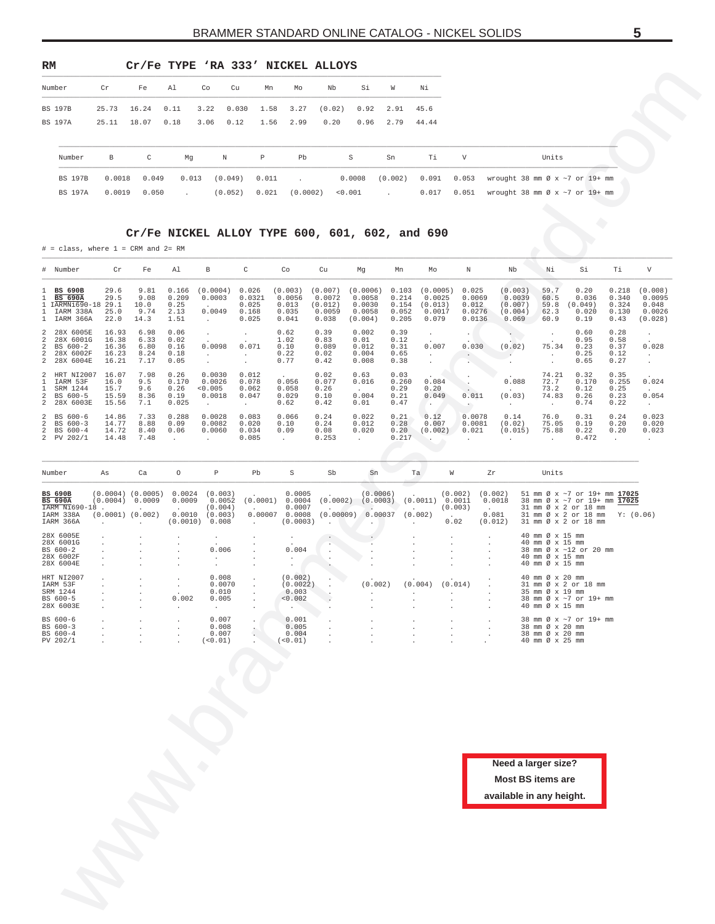<span id="page-4-0"></span>

| RM             |                |        | Cr/Fe TYPE 'RA 333' NICKEL ALLOYS |                  |        |         |       |          |        |         |                      |       |       |                                            |
|----------------|----------------|--------|-----------------------------------|------------------|--------|---------|-------|----------|--------|---------|----------------------|-------|-------|--------------------------------------------|
| Number         |                | Cr     | Fe                                | Al               | Co     | Cu      | Mn    | Mo       | Nb     | Si      | W                    | Νi    |       |                                            |
| <b>BS 197B</b> |                | 25.73  | 16.24                             | 0.11             | 3.22   | 0.030   | 1.58  | 3.27     | (0.02) |         | $0.92$ $2.91$ $45.6$ |       |       |                                            |
| <b>BS 197A</b> |                | 25.11  | 18.07                             | 0.18             | 3.06   | 0.12    | 1.56  | 2.99     | 0.20   | 0.96    | 2.79                 | 44.44 |       |                                            |
|                | Number         | B      | $\mathbb{C}$                      | Mq               | $\,$ N |         | P     | Pb       |        | S       | Sn                   | Ti    | V     | Units                                      |
|                | <b>BS 197B</b> | 0.0018 | 0.049                             | 0.013            |        | (0.049) | 0.011 | $\sim$   |        | 0.0008  | (0.002)              | 0.091 | 0.053 | wrought 38 mm $\varnothing$ x ~7 or 19+ mm |
|                | <b>BS 197A</b> | 0.0019 | 0.050                             | $\sim$ 100 $\pm$ |        | (0.052) | 0.021 | (0.0002) |        | < 0.001 | <b>Service</b>       | 0.017 | 0.051 | wrought 38 mm $\emptyset$ x ~7 or 19+ mm   |
|                |                |        |                                   |                  |        |         |       |          |        |         |                      |       |       |                                            |

#### **Cr/Fe NICKEL ALLOY TYPE 600, 601, 602, and 690**

| Number                                                                                                               | Cr                                                                   | Fe                                    | Al                                     | Co                                               | Cu<br>Mn                                       | Mo                                               | Nb                                              | Si                                                  | W                                         | Νi                                               |                                              |                                                                                    |                                                                          |                                                                                                                                                |                                          |                                                 |
|----------------------------------------------------------------------------------------------------------------------|----------------------------------------------------------------------|---------------------------------------|----------------------------------------|--------------------------------------------------|------------------------------------------------|--------------------------------------------------|-------------------------------------------------|-----------------------------------------------------|-------------------------------------------|--------------------------------------------------|----------------------------------------------|------------------------------------------------------------------------------------|--------------------------------------------------------------------------|------------------------------------------------------------------------------------------------------------------------------------------------|------------------------------------------|-------------------------------------------------|
| <b>BS 197B</b><br>BS 197A                                                                                            | 25.73<br>25.11                                                       | 16.24<br>18.07                        | 0.11<br>0.18                           | 3.22<br>3.06                                     | 0.030<br>1.58<br>0.12<br>1.56                  | 3.27<br>2.99                                     | (0.02)<br>0.20                                  | 0.92<br>0.96                                        | 2.91<br>2.79                              | 45.6<br>44.44                                    |                                              |                                                                                    |                                                                          |                                                                                                                                                |                                          |                                                 |
| Number                                                                                                               | В                                                                    | C                                     | Mg                                     | Ν                                                | $\, {\bf p}$                                   | Pb                                               |                                                 | S                                                   | Sn                                        | Τi                                               | $\boldsymbol{\mathrm{V}}$                    |                                                                                    | Units                                                                    |                                                                                                                                                |                                          |                                                 |
| <b>BS 197B</b><br><b>BS 197A</b>                                                                                     | 0.0018<br>0.0019                                                     | 0.049<br>0.050                        | 0.013<br>$\ddot{\phantom{a}}$          | (0.049)<br>(0.052)                               | 0.011<br>0.021                                 | (0.0002)                                         |                                                 | 0.0008<br>0.001                                     | (0.002)                                   | 0.091<br>0.017                                   | 0.053<br>0.051                               | wrought 38 mm Ø x ~7 or 19+ mm<br>wrought 38 mm $\varnothing$ x $\sim$ 7 or 19+ mm |                                                                          |                                                                                                                                                |                                          |                                                 |
| $\#$ = class, where 1 = CRM and 2= RM                                                                                |                                                                      |                                       |                                        |                                                  | Cr/Fe NICKEL ALLOY TYPE 600, 601, 602, and 690 |                                                  |                                                 |                                                     |                                           |                                                  |                                              |                                                                                    |                                                                          |                                                                                                                                                |                                          |                                                 |
| # Number                                                                                                             | Cr                                                                   | Fe                                    | Al                                     | $_{\rm B}$                                       | C                                              | Co                                               | Cu                                              | Mg                                                  | Mn                                        | Mo                                               | N                                            | Nb                                                                                 | Νi                                                                       | Si                                                                                                                                             | Τi                                       | V                                               |
| <b>BS 690B</b><br>1<br><b>BS 690A</b><br>IARMNi690-18<br>$\mathbf{1}$<br>1<br>IARM 338A<br>IARM 366A<br>$\mathbf{1}$ | 29.6<br>29.5<br>29.1<br>25.0<br>22.0                                 | 9.81<br>9.08<br>10.0<br>9.74<br>14.3  | 0.166<br>0.209<br>0.25<br>2.13<br>1.51 | (0.0004)<br>0.0003<br>0.0049<br>$\cdot$          | 0.026<br>0.0321<br>0.025<br>0.168<br>0.025     | (0.003)<br>0.0056<br>0.013<br>0.035<br>0.041     | (0.007)<br>0.0072<br>(0.012)<br>0.0059<br>0.038 | (0.0006)<br>0.0058<br>0.0030<br>0.0058<br>(0.004)   | 0.103<br>0.214<br>0.154<br>0.052<br>0.205 | (0.0005)<br>0.0025<br>(0.013)<br>0.0017<br>0.079 | 0.025<br>0.0069<br>0.012<br>0.0276<br>0.0136 | (0.003)<br>0.0039<br>(0.007)<br>(0.004)<br>0.069                                   | 59.7<br>60.5<br>59.8<br>62.3<br>60.9                                     | 0.20<br>0.036<br>(0.049)<br>0.020<br>0.19                                                                                                      | 0.218<br>0.340<br>0.324<br>0.130<br>0.43 | (0.008)<br>0.0095<br>0.048<br>0.0026<br>(0.028) |
| 2<br>28X 6005E<br>28X 6001G<br>2<br>BS 600-2<br>2<br>2<br>28X 6002F<br>28X 6004E<br>2                                | 16.93<br>16.38<br>16.36<br>16.23<br>16.21                            | 6.98<br>6.33<br>6.80<br>8.24<br>7.17  | 0.06<br>0.02<br>0.16<br>0.18<br>0.05   | $\cdot$<br>0.0098<br>$\cdot$<br>$\cdot$          | $\cdot$<br>0.071<br>$\sim$<br>$\cdot$          | 0.62<br>1.02<br>0.10<br>0.22<br>0.77             | 0.39<br>0.83<br>0.089<br>0.02<br>0.42           | 0.002<br>0.01<br>0.012<br>0.004<br>0.008            | 0.39<br>0.12<br>0.31<br>0.65<br>0.38      | $\cdot$<br>0.007<br>$\cdot$<br>$\cdot$           | $\cdot$<br>0.030<br>$\ddot{\phantom{0}}$     | (0.02)<br>$\ddot{\phantom{a}}$                                                     | $\cdot$<br>75.34<br>$\cdot$<br>$\cdot$                                   | 0.60<br>0.95<br>0.23<br>0.25<br>0.65                                                                                                           | 0.28<br>0.58<br>0.37<br>0.12<br>0.27     | $\cdot$<br>0.028<br>$\sim$<br>$\cdot$           |
| 2<br>HRT N12007<br>IARM 53F<br>1<br>SRM 1244<br>$\mathbf{1}$<br>BS 600-5<br>2<br>2<br>28X 6003E                      | 16.07<br>16.0<br>15.7<br>15.59<br>15.56                              | 7.98<br>9.5<br>9.6<br>8.36<br>7.1     | 0.26<br>0.170<br>0.26<br>0.19<br>0.025 | 0.0030<br>0.0026<br>0.005<br>0.0018<br>$\cdot$   | 0.012<br>0.078<br>0.062<br>0.047<br>$\sim$     | 0.056<br>0.058<br>0.029<br>0.62                  | 0.02<br>0.077<br>0.26<br>0.10<br>0.42           | 0.63<br>0.016<br>0.004<br>0.01                      | 0.03<br>0.260<br>0.29<br>0.21<br>0.47     | 0.084<br>0.20<br>0.049<br>٠.                     | 0.011<br>$\cdot$                             | 0.088<br>(0.03)<br>$\cdot$                                                         | 74.21<br>72.7<br>73.2<br>74.83<br>$\cdot$                                | 0.32<br>0.170<br>0.12<br>0.26<br>0.74                                                                                                          | 0.35<br>0.255<br>0.25<br>0.23<br>0.22    | 0.024<br>0.054<br>$\sim$                        |
| 2<br>BS 600-6<br>BS 600-3<br>2<br>BS 600-4<br>2<br>2 PV 202/1                                                        | 14.86<br>14.77<br>14.72<br>14.48                                     | 7.33<br>8.88<br>8.40<br>7.48          | 0.288<br>0.09<br>0.06<br>$\cdot$       | 0.0028<br>0.0082<br>0.0060                       | 0.083<br>0.020<br>0.034<br>0.085               | 0.066<br>0.10<br>0.09<br>$\cdot$                 | 0.24<br>0.24<br>0.08<br>0.253                   | 0.022<br>0.012<br>0.020<br>$\overline{\phantom{a}}$ | 0.21<br>0.28<br>0.20<br>0.217             | 0.12<br>0.007<br>(0.002)                         | 0.0078<br>0.0081<br>0.021                    | 0.14<br>(0.02)<br>(0.015)                                                          | 76.0<br>75.05<br>75.88                                                   | 0.31<br>0.19<br>0.22<br>0.472                                                                                                                  | 0.24<br>0.20<br>0.20<br>$\cdot$          | 0.023<br>0.020<br>0.023<br>$\cdot$              |
| Number                                                                                                               | As                                                                   | Ca                                    | $\circ$                                | $\, {\mathbb P}$                                 | Pb                                             | $\rm S$                                          | Sb                                              | Sn                                                  |                                           | Ta<br>W                                          |                                              | Zr                                                                                 | Units                                                                    |                                                                                                                                                |                                          |                                                 |
| <b>BS 690B</b><br><b>BS 690A</b><br>IARM Ni690-18<br>IARM 338A<br>IARM 366A                                          | $(0.0004)$ $(0.0005)$<br>(0.0004)<br>$(0.0001)$ $(0.002)$<br>$\cdot$ | 0.0009<br>$\mathcal{L}_{\mathcal{A}}$ | 0.0024<br>0.0009<br>0.0010<br>(0.0010) | (0.003)<br>0.0052<br>(0.004)<br>(0.003)<br>0.008 | (0.0001)<br>0.00007<br>$\cdot$                 | 0.0005<br>0.0004<br>0.0007<br>0.0008<br>(0.0003) | (0.0002)<br>(0.00009)                           | (0.0006)<br>(0.0003)<br>0.00037                     |                                           | (0.0011)<br>(0.002)<br>$\cdot$                   | (0.002)<br>0.0011<br>(0.003)<br>0.02         | (0.002)<br>0.0018<br>0.081<br>(0.012)                                              |                                                                          | 51 mm Ø x ~7 or 19+ mm 17025<br>38 mm Ø x ~7 or 19+ mm 17025<br>31 mm Ø x 2 or 18 mm<br>31 mm Ø x 2 or 18 mm Y: (0.06)<br>31 mm Ø x 2 or 18 mm |                                          |                                                 |
| 28X 6005E<br>28X 6001G<br>BS 600-2<br>28X 6002F<br>28X 6004E                                                         |                                                                      |                                       |                                        | $\cdot$<br>0.006<br>$\cdot$<br>$\cdot$           |                                                | 0.004<br>$\cdot$                                 |                                                 |                                                     |                                           |                                                  |                                              |                                                                                    | 40 mm Ø x 15 mm<br>40 mm Ø x 15 mm<br>40 mm Ø x 15 mm<br>40 mm Ø x 15 mm | 38 mm Ø x ~12 or 20 mm                                                                                                                         |                                          |                                                 |
| HRT NI2007<br>IARM 53F<br>SRM 1244<br>BS 600-5<br>28X 6003E                                                          |                                                                      |                                       | 0.002<br>$\cdot$                       | 0.008<br>0.0070<br>0.010<br>0.005<br>$\sim$      |                                                | (0.002)<br>(0.0022)<br>0.003<br>0.002<br>$\cdot$ |                                                 | (0.002)                                             |                                           | $(0.004)$ $(0.014)$                              |                                              |                                                                                    | 40 mm Ø x 20 mm<br>35 mm Ø x 19 mm<br>40 mm Ø x 15 mm                    | 31 mm Ø x 2 or 18 mm<br>38 mm Ø x ~7 or 19+ mm                                                                                                 |                                          |                                                 |
| BS 600-6<br>BS 600-3<br>BS 600-4<br>PV 202/1                                                                         |                                                                      |                                       |                                        | 0.007<br>0.008<br>0.007<br>(<0.01)               |                                                | 0.001<br>0.005<br>0.004<br>$(\leq 0.01)$         |                                                 |                                                     |                                           |                                                  |                                              |                                                                                    | 38 mm Ø x 20 mm<br>38 mm Ø x 20 mm<br>40 mm Ø x 25 mm                    | 38 mm Ø x ~7 or 19+ mm                                                                                                                         |                                          |                                                 |
|                                                                                                                      |                                                                      |                                       |                                        |                                                  |                                                |                                                  |                                                 |                                                     |                                           |                                                  |                                              |                                                                                    |                                                                          |                                                                                                                                                |                                          |                                                 |
|                                                                                                                      |                                                                      |                                       |                                        |                                                  |                                                |                                                  |                                                 |                                                     |                                           |                                                  |                                              |                                                                                    |                                                                          |                                                                                                                                                |                                          |                                                 |
|                                                                                                                      |                                                                      |                                       |                                        |                                                  |                                                |                                                  |                                                 |                                                     |                                           |                                                  |                                              | Need a larger size?                                                                |                                                                          |                                                                                                                                                |                                          |                                                 |
|                                                                                                                      |                                                                      |                                       |                                        |                                                  |                                                |                                                  |                                                 |                                                     |                                           |                                                  |                                              | <b>Most BS items are</b><br>available in any height.                               |                                                                          |                                                                                                                                                |                                          |                                                 |
|                                                                                                                      |                                                                      |                                       |                                        |                                                  |                                                |                                                  |                                                 |                                                     |                                           |                                                  |                                              |                                                                                    |                                                                          |                                                                                                                                                |                                          |                                                 |
|                                                                                                                      |                                                                      |                                       |                                        |                                                  |                                                |                                                  |                                                 |                                                     |                                           |                                                  |                                              |                                                                                    |                                                                          |                                                                                                                                                |                                          |                                                 |
|                                                                                                                      |                                                                      |                                       |                                        |                                                  |                                                |                                                  |                                                 |                                                     |                                           |                                                  |                                              |                                                                                    |                                                                          |                                                                                                                                                |                                          |                                                 |

| Number                           | As                   | Ca                              | $\circ$          | P                    | Pb       | S                | Sb                   | Sn                   | Ta       | W                    | Zr                | Units                                                        |
|----------------------------------|----------------------|---------------------------------|------------------|----------------------|----------|------------------|----------------------|----------------------|----------|----------------------|-------------------|--------------------------------------------------------------|
| <b>BS 690B</b><br><b>BS 690A</b> | (0.0004)             | $(0.0004)$ $(0.0005)$<br>0.0009 | 0.0024<br>0.0009 | (0.003)<br>0.0052    | (0.0001) | 0.0005<br>0.0004 | (0.0002)             | (0.0006)<br>(0.0003) | (0.0011) | (0.002)<br>0.0011    | (0.002)<br>0.0018 | 51 mm Ø x ~7 or 19+ mm 17025<br>38 mm Ø x ~7 or 19+ mm 17025 |
| IARM Ni690-18                    |                      |                                 |                  | (0.004)              |          | 0.0007           |                      |                      |          | (0.003)              | $\sim$            | 31 mm Ø x 2 or 18 mm                                         |
| IARM 338A                        | $(0.0001)$ $(0.002)$ |                                 | 0.0010           | (0.003)              | 0.00007  | 0.0008           | (0.00009)            | 0.00037              | (0.002)  |                      | 0.081             | 31 mm Ø x 2 or 18 mm<br>Y: (0.06)                            |
| IARM 366A                        |                      |                                 | (0.0010)         | 0.008                |          | (0.0003)         | $\cdot$              | $\sim$               |          | 0.02                 | (0.012)           | 31 mm Ø x 2 or 18 mm                                         |
| 28X 6005E                        |                      |                                 |                  |                      |          |                  |                      |                      |          |                      |                   | 40 mm Ø x 15 mm                                              |
| 28X 6001G                        |                      |                                 |                  |                      |          |                  | $\sim$               |                      |          |                      |                   | 40 mm Ø x 15 mm                                              |
| BS 600-2                         |                      |                                 |                  | 0.006                |          | 0.004            | $\ddot{\phantom{0}}$ |                      |          |                      |                   | 38 mm Ø x ~12 or 20 mm                                       |
| 28X 6002F                        |                      |                                 |                  | $\ddot{\phantom{0}}$ |          |                  |                      |                      |          |                      | $\cdot$           | 40 mm Ø x 15 mm                                              |
| 28X 6004E                        |                      |                                 |                  |                      |          |                  |                      |                      |          |                      |                   | 40 mm Ø x 15 mm                                              |
| HRT NI2007                       |                      |                                 |                  | 0.008                |          | (0.002)          | $\cdot$              |                      |          |                      |                   | 40 mm Ø x 20 mm                                              |
| IARM 53F                         |                      |                                 |                  | 0.0070               |          | (0.0022)         | ٠                    | (0.002)              | (0.004)  | (0.014)              |                   | 31 mm Ø x 2 or 18 mm                                         |
| SRM 1244                         |                      |                                 |                  | 0.010                |          | 0.003            |                      |                      |          |                      |                   | 35 mm Ø x 19 mm                                              |
| BS 600-5                         |                      |                                 | 0.002            | 0.005                |          | < 0.002          |                      |                      |          | $\mathbf{r}$         |                   | 38 mm Ø x ~7 or 19+ mm                                       |
| 28X 6003E                        |                      |                                 |                  |                      |          |                  |                      |                      |          |                      |                   | 40 mm Ø x 15 mm                                              |
| BS 600-6                         |                      |                                 |                  | 0.007                |          | 0.001            |                      |                      |          |                      |                   | 38 mm Ø x ~7 or 19+ mm                                       |
| BS 600-3                         |                      |                                 |                  | 0.008                |          | 0.005            | $\cdot$              |                      |          | $\ddot{\phantom{0}}$ | $\cdot$           | 38 mm Ø x 20 mm                                              |
| BS 600-4                         |                      |                                 |                  | 0.007                |          | 0.004            | $\mathbf{r}$         |                      |          | $\mathbf{r}$         |                   | 38 mm Ø x 20 mm                                              |
| PV 202/1                         |                      |                                 |                  | ( < 0.01)            |          | $< 0.01$ )       |                      |                      |          | $\cdot$              |                   | 40 mm Ø x 25 mm                                              |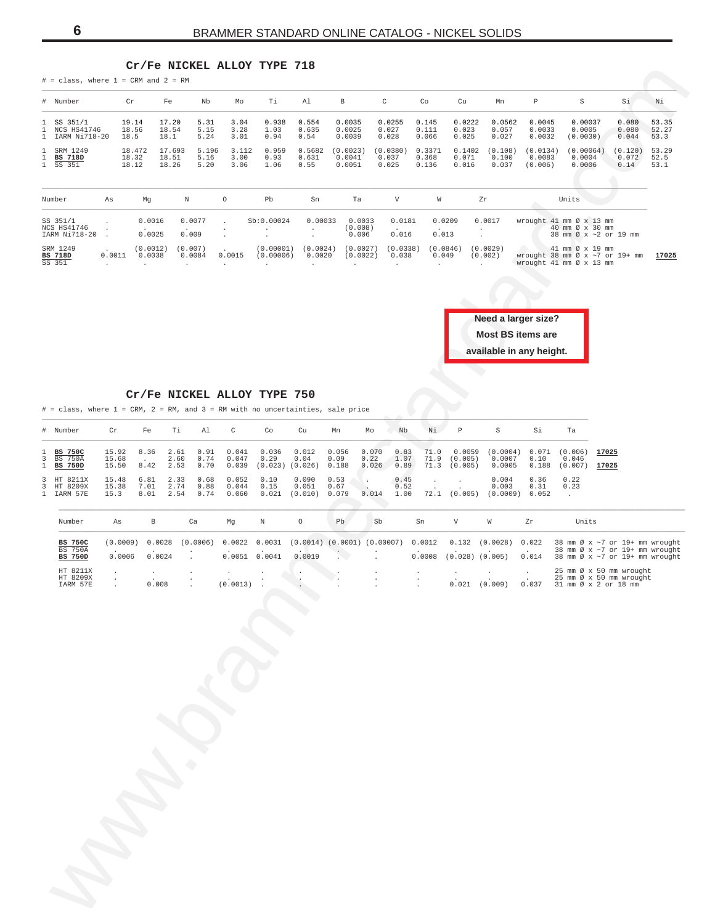#### **Cr/Fe NICKEL ALLOY TYPE 718**

<span id="page-5-0"></span>

|                                   | $#$ = class, where $1$ = CRM and $2$ = RM                                      |                         |                          |                          |                              | CT \ LG MICVED WODDI    | ᆠᅶᄄᅖ                                 | 0 1 7 7                                     |                              |                            |                              |                              |                              |                                                                             |                               |                                                                                                    |                          |                        |
|-----------------------------------|--------------------------------------------------------------------------------|-------------------------|--------------------------|--------------------------|------------------------------|-------------------------|--------------------------------------|---------------------------------------------|------------------------------|----------------------------|------------------------------|------------------------------|------------------------------|-----------------------------------------------------------------------------|-------------------------------|----------------------------------------------------------------------------------------------------|--------------------------|------------------------|
|                                   | # Number                                                                       |                         | Cr                       | Fe                       | Nb                           | Mo                      | Тi                                   | Al                                          | $\, {\bf B}$                 |                            | $\rm C$                      | Co                           | Cu                           | Mn                                                                          | $\mathbb P$                   | $\rm S$                                                                                            | Si                       | Νi                     |
| 1.<br>$\mathbf{1}$<br>$\mathbf 1$ | SS 351/1<br>NCS HS41746<br>IARM Ni718-20                                       |                         | 19.14<br>18.56<br>18.5   | 17.20<br>18.54<br>18.1   | 5.31<br>5.15<br>5.24         | 3.04<br>3.28<br>3.01    | 0.938<br>1.03<br>0.94                | 0.554<br>0.635<br>0.54                      | 0.0035<br>0.0025<br>0.0039   |                            | 0.0255<br>0.027<br>0.028     | 0.145<br>0.111<br>0.066      | 0.0222<br>0.023<br>0.025     | 0.0562<br>0.057<br>0.027                                                    | 0.0045<br>0.0033<br>0.0032    | 0.00037<br>0.0005<br>(0.0030)                                                                      | 0.080<br>0.080<br>0.044  | 53.35<br>52.27<br>53.3 |
| 1<br>1<br>$\mathbf{1}$            | SRM 1249<br><b>BS 718D</b><br>SS 351                                           |                         | 18.472<br>18.32<br>18.12 | 17.693<br>18.51<br>18.26 | 5.196<br>5.16<br>5.20        | 3.112<br>3.00<br>3.06   | 0.959<br>0.93<br>1.06                | 0.5682<br>0.631<br>0.55                     | (0.0023)<br>0.0041<br>0.0051 |                            | (0.0380)<br>0.037<br>0.025   | 0.3371<br>0.368<br>0.136     | 0.1402<br>0.071<br>0.016     | (0.108)<br>0.100<br>0.037                                                   | (0.0134)<br>0.0083<br>(0.006) | (0.00064)<br>0.0004<br>0.0006                                                                      | (0.120)<br>0.072<br>0.14 | 53.29<br>52.5<br>53.1  |
|                                   | Number                                                                         | As                      | Mg                       |                          | $\mathbb N$                  | $\circ$                 | Pb                                   | Sn                                          |                              | Ta                         | $\boldsymbol{\nabla}$        | W                            |                              | Zr                                                                          |                               | Units                                                                                              |                          |                        |
|                                   | SS 351/1<br>NCS HS41746<br>IARM Ni718-20                                       |                         |                          | 0.0016<br>0.0025         | 0.0077<br>0.009              |                         | Sb:0.00024                           | 0.00033<br>$\cdot$<br>$\cdot$               |                              | 0.0033<br>(0.008)<br>0.006 | 0.0181<br>0.016              | 0.0209<br>0.013              |                              | 0.0017                                                                      |                               | wrought 41 mm Ø x 13 mm<br>40 mm Ø x 30 mm<br>38 mm Ø x ~2 or 19 mm                                |                          |                        |
|                                   | SRM 1249<br><b>BS 718D</b><br>SS 351                                           | 0.0011<br>$\cdot$       |                          | (0.0012)<br>0.0038       | (0.007)<br>0.0084<br>$\cdot$ | 0.0015<br>$\cdot$       | (0.00001)<br>(0.00006)<br>$\cdot$    | (0.0024)<br>0.0020<br>$\cdot$               | $\cdot$                      | (0.0027)<br>(0.0022)       | (0.0338)<br>0.038<br>$\cdot$ | (0.0846)<br>0.049<br>$\cdot$ |                              | (0.0029)<br>(0.002)<br>$\ddot{\phantom{a}}$                                 |                               | 41 mm Ø x 19 mm<br>wrought 38 mm $\varnothing$ x ~7 or 19+ mm<br>wrought 41 mm Ø x 13 mm           |                          | 17025                  |
|                                   |                                                                                |                         |                          |                          |                              |                         |                                      |                                             |                              |                            |                              |                              |                              | Need a larger size?<br><b>Most BS items are</b><br>available in any height. |                               |                                                                                                    |                          |                        |
|                                   | # = class, where 1 = CRM, 2 = RM, and 3 = RM with no uncertainties, sale price |                         |                          |                          |                              |                         | Cr/Fe NICKEL ALLOY TYPE 750          |                                             |                              |                            |                              |                              |                              | $\langle \cdot \rangle$                                                     |                               |                                                                                                    |                          |                        |
| #                                 | Number                                                                         | Cr                      | Fe                       | Тi                       | Al                           | $\mathsf C$             | Co                                   | Cu                                          | Mn                           | Mo                         | Nb                           | Νi                           | Р                            | $\rm S$                                                                     | Si                            | Ta                                                                                                 |                          |                        |
| 1<br>3<br>1                       | <b>BS 750C</b><br><b>BS 750A</b><br><b>BS 750D</b>                             | 15.92<br>15.68<br>15.50 | 8.36<br>8.42             | 2.61<br>2.60<br>2.53     | 0.91<br>0.74<br>0.70         | 0.041<br>0.047<br>0.039 | 0.036<br>0.29<br>$(0.023)$ $(0.026)$ | 0.012<br>0.04                               | 0.056<br>0.09<br>0.188       | 0.070<br>0.22<br>0.026     | 0.83<br>1.07<br>0.89         | 71.0<br>71.9<br>71.3         | 0.0059<br>(0.005)<br>(0.005) | (0.0004)<br>0.0007<br>0.0005                                                | 0.071<br>0.10<br>0.188        | (0.006)<br>0.046<br>(0.007)                                                                        | 17025<br>17025           |                        |
| 3<br>3<br>$\mathbf{1}$            | HT 8211X<br>HT 8209X<br>IARM 57E                                               | 15.48<br>15.38<br>15.3  | 6.81<br>7.01<br>8.01     | 2.33<br>2.74<br>2.54     | 0.68<br>0.88<br>0.74         | 0.052<br>0.044<br>0.060 | 0.10<br>0.15<br>0.021                | 0.090<br>0.051<br>(0.010)                   | 0.53<br>0.67<br>0.079        | $\blacksquare$<br>0.014    | 0.45<br>0.52<br>1.00         | $\cdot$<br>72.1              | (0.005)                      | 0.004<br>0.003<br>(0.0009)                                                  | 0.36<br>0.31<br>0.052         | 0.22<br>0.23<br>$\cdot$                                                                            |                          |                        |
|                                   | Number                                                                         | As                      |                          | $_{\rm B}$               | Ca                           | Mg                      | Ν                                    | $\circ$                                     | Pb                           | Sb                         |                              | Sn                           | V                            | W                                                                           | Zr                            | Units                                                                                              |                          |                        |
|                                   | <b>BS 750C</b><br><b>BS 750A</b><br><b>BS 750D</b>                             | (0.0009)<br>0.0006      |                          | 0.0028<br>0.0024         | (0.0006)                     | 0.0022                  | 0.0031<br>0.0051 0.0041              | $(0.0014)$ $(0.0001)$ $(0.00007)$<br>0.0019 |                              |                            |                              | 0.0012<br>0.0008             | 0.132<br>$(0.028)$ $(0.005)$ | (0.0028)                                                                    | 0.022<br>0.014                | 38 mm Ø x ~7 or 19+ mm wrought<br>38 mm Ø x ~7 or 19+ mm wrought<br>38 mm Ø x ~7 or 19+ mm wrought |                          |                        |
|                                   | HT 8211X<br>HT 8209X<br>IARM 57E                                               |                         |                          | $\cdot$<br>0.008         |                              | $\cdot$<br>(0.0013)     |                                      | $\cdot$                                     |                              |                            |                              | $\cdot$                      | $\cdot$<br>$0.021$ $(0.009)$ |                                                                             | 0.037                         | 25 mm Ø x 50 mm wrought<br>25 mm Ø x 50 mm wrought<br>31 mm Ø x 2 or 18 mm                         |                          |                        |
|                                   |                                                                                |                         |                          |                          |                              |                         |                                      |                                             |                              |                            |                              |                              |                              |                                                                             |                               |                                                                                                    |                          |                        |
|                                   |                                                                                |                         |                          |                          |                              |                         |                                      |                                             |                              |                            |                              |                              |                              |                                                                             |                               |                                                                                                    |                          |                        |
|                                   |                                                                                |                         |                          |                          |                              |                         |                                      |                                             |                              |                            |                              |                              |                              |                                                                             |                               |                                                                                                    |                          |                        |
|                                   |                                                                                |                         |                          |                          |                              |                         |                                      |                                             |                              |                            |                              |                              |                              |                                                                             |                               |                                                                                                    |                          |                        |
|                                   |                                                                                |                         |                          |                          |                              |                         |                                      |                                             |                              |                            |                              |                              |                              |                                                                             |                               |                                                                                                    |                          |                        |
|                                   |                                                                                |                         |                          |                          |                              |                         |                                      |                                             |                              |                            |                              |                              |                              |                                                                             |                               |                                                                                                    |                          |                        |
|                                   |                                                                                |                         |                          |                          |                              |                         |                                      |                                             |                              |                            |                              |                              |                              |                                                                             |                               |                                                                                                    |                          |                        |
|                                   |                                                                                |                         |                          |                          |                              |                         |                                      |                                             |                              |                            |                              |                              |                              |                                                                             |                               |                                                                                                    |                          |                        |
|                                   |                                                                                |                         |                          |                          |                              |                         |                                      |                                             |                              |                            |                              |                              |                              |                                                                             |                               |                                                                                                    |                          |                        |
|                                   |                                                                                |                         |                          |                          |                              |                         |                                      |                                             |                              |                            |                              |                              |                              |                                                                             |                               |                                                                                                    |                          |                        |
|                                   |                                                                                |                         |                          |                          |                              |                         |                                      |                                             |                              |                            |                              |                              |                              |                                                                             |                               |                                                                                                    |                          |                        |

| Number                                   | As     | Mg                 | Ν                 |        | Pb                     | Sn                 | Ta                         |                   | W                 | Zr                  | Units                                                                                                                              |
|------------------------------------------|--------|--------------------|-------------------|--------|------------------------|--------------------|----------------------------|-------------------|-------------------|---------------------|------------------------------------------------------------------------------------------------------------------------------------|
| SS 351/1<br>NCS HS41746<br>IARM Ni718-20 |        | 0.0016<br>0.0025   | 0.0077<br>0.009   |        | Sb:0.00024             | 0.00033            | 0.0033<br>(0.008)<br>0.006 | 0.0181<br>0.016   | 0.0209<br>0.013   | 0.0017              | wrought 41 mm Ø x 13 mm<br>40 mm $\varnothing \times 30$ mm<br>38 mm $\varnothing$ x ~ 2 or 19 mm                                  |
| SRM 1249<br>BS 718D<br>SS 351            | 0.0011 | (0.0012)<br>0.0038 | (0.007)<br>0.0084 | 0.0015 | (0.00001)<br>(0.00006) | (0.0024)<br>0.0020 | (0.0027)<br>(0.0022)       | (0.0338)<br>0.038 | (0.0846)<br>0.049 | (0.0029)<br>(0.002) | $41$ mm $\varnothing \times 19$ mm<br>17025<br>wrought $38 \text{ mm}$ Ø x $\sim$ 7 or $19+ \text{ mm}$<br>wrought 41 mm Ø x 13 mm |



#### **Cr/Fe NICKEL ALLOY TYPE 750**

| # Number                               | Cr                      | Fe           | Ti                                       | Al        | $\mathbb{C}$                   | Co                                           | Cu                              | Mn            | Mo    | Nb                   | Ni   | P            | S.                                                                                                                                                                         | Si           | Ta           |                |
|----------------------------------------|-------------------------|--------------|------------------------------------------|-----------|--------------------------------|----------------------------------------------|---------------------------------|---------------|-------|----------------------|------|--------------|----------------------------------------------------------------------------------------------------------------------------------------------------------------------------|--------------|--------------|----------------|
| 1 BS 750C<br>3 BS 750A<br>1 BS 750D    | 15.92<br>15.68<br>15.50 |              | 8.36 2.61 0.91                           | 2.60 0.74 |                                | $0.041$ $0.036$ $0.012$<br>$0.047$ 0.29 0.04 |                                 | 0.056<br>0.09 | 0.070 | 0.83                 | 71.0 | 0.0059       | $(0.0004)$ 0.071 $(0.006)$<br>$0.22$ 1.07 71.9 (0.005) 0.0007 0.10<br>8.42  2.53  0.70  0.039  (0.023)  (0.026)  0.188  0.026  0.89  71.3  (0.005)  0.0005  0.188  (0.007) |              | 0.046        | 17025<br>17025 |
| 3 HT 8211X<br>3 HT 8209X<br>1 IARM 57E | 15.48<br>15.38<br>15.3  | 6.81<br>7.01 | 2.33 0.68<br>2.74 0.88<br>8.01 2.54 0.74 |           | $0.052$ $0.10$<br>$0.044$ 0.15 | 0.060 0.021                                  | 0.090<br>0.051<br>(0.010) 0.079 | 0.53<br>0.67  | 0.014 | 0.45<br>0.52<br>1.00 |      | 72.1 (0.005) | 0.004<br>0.003<br>$(0.0009)$ 0.052                                                                                                                                         | 0.36<br>0.31 | 0.22<br>0.23 |                |

| Number                                             | As                 | в                | Ca       | Ma                        | Ν      | $\Omega$ | Pb  | Sb                                | Sn               |       | W                                       | Zr    | Units                                                                                                                                    |
|----------------------------------------------------|--------------------|------------------|----------|---------------------------|--------|----------|-----|-----------------------------------|------------------|-------|-----------------------------------------|-------|------------------------------------------------------------------------------------------------------------------------------------------|
| <b>BS 750C</b><br><b>BS 750A</b><br><b>BS 750D</b> | (0.0009)<br>0.0006 | 0.0028<br>0.0024 | (0.0006) | $0.0022$ 0.0031<br>0.0051 | 0.0041 | 0.0019   |     | $(0.0014)$ $(0.0001)$ $(0.00007)$ | 0.0012<br>0.0008 | 0.132 | $(0.0028)$ 0.022<br>$(0.028)$ $(0.005)$ | 0.014 | 38 mm $\emptyset$ x ~7 or 19+ mm wrought<br>38 mm $\varnothing$ x $\sim$ 7 or 19+ mm wrought<br>38 mm $\emptyset$ x ~7 or 19+ mm wrought |
| HT 8211X<br>HT 8209X<br>IARM 57E                   |                    | 0.008            |          | (0.0013)                  |        |          | . . |                                   |                  | 0.021 | (0.009)                                 | 0.037 | 25 mm Ø x 50 mm wrought<br>25 mm Ø x 50 mm wrought<br>31 mm Ø x 2 or 18 mm                                                               |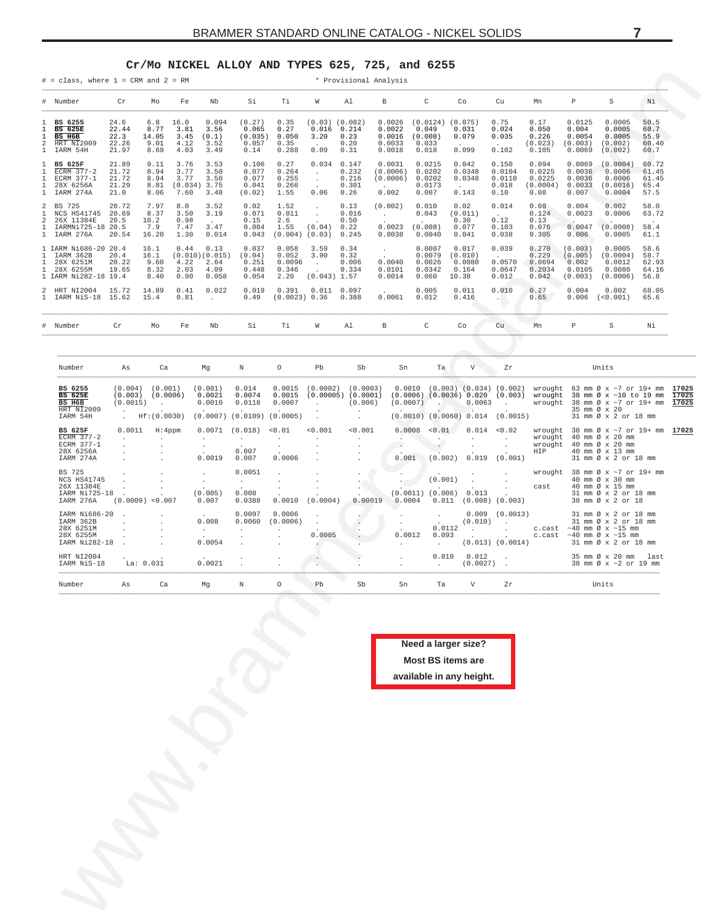#### **Cr/Mo NICKEL ALLOY AND TYPES 625, 725, and 6255**

<span id="page-6-0"></span>

| Nb<br>Si<br>Τi<br>C<br>Co<br>Cu<br>Mn<br>$\, {\mathbb P}$<br>$\mathtt S$<br>Νi.<br>Cr<br>Mo<br>Fe<br>W<br>Al<br>В<br>24.6<br>6.8<br>16.0<br>0.094<br>(0.27)<br>0.35<br>$(0.03)$ $(0.082)$<br>0.0026<br>$(0.0124)$ $(0.075)$<br>0.75<br>0.17<br>0.0125<br>0.0005<br>50.5<br>BS 6255<br><b>BS 625E</b><br>22.44<br>8.77<br>3.81<br>0.065<br>0.27<br>0.016<br>0.214<br>0.0022<br>0.049<br>0.031<br>0.024<br>0.050<br>0.004<br>0.0005<br>60.7<br>3.56<br>BS H6B<br>22.3<br>14.05<br>3.45<br>(0.035)<br>0.050<br>3.20<br>0.23<br>0.0016<br>(0.008)<br>0.079<br>0.035<br>0.226<br>0.0054<br>0.0005<br>55.9<br>(0.1)<br>HRT NI2009<br>22.26<br>9.01<br>4.12<br>3.52<br>0.057<br>0.35<br>0.20<br>0.0033<br>0.033<br>(0.023)<br>(0.003)<br>(0.002)<br>60.40<br>$\cdot$<br>IARM 54H<br>21.97<br>4.03<br>3.49<br>0.288<br>0.09<br>0.31<br>0.0018<br>0.018<br>0.099<br>0.102<br>0.105<br>(0.002)<br>8.69<br>0.14<br>0.0069<br>60.7<br>21.89<br>9.11<br>3.76<br>3.53<br>0.106<br>0.27<br>0.034<br>0.147<br>0.0031<br>0.0215<br>0.042<br>0.150<br>0.094<br>0.0069<br>(0.0004)<br>60.72<br>BS 625F<br>3.77<br>0.077<br>ECRM 377-2<br>21.72<br>8.94<br>3.50<br>0.264<br>0.232<br>(0.0006)<br>0.0202<br>0.0348<br>0.0104<br>0.0225<br>0.0036<br>0.0006<br>61.45<br>$\cdot$<br>21.72<br>3.77<br>ECRM 377-1<br>8.94<br>3.50<br>0.077<br>0.255<br>0.216<br>(0.0006)<br>0.0202<br>0.0348<br>0.0110<br>0.0225<br>0.0036<br>0.0006<br>61.45<br>$\sim$<br>28X 6256A<br>21.29<br>8.81<br>$(0.034)$ 3.75<br>0.041<br>0.266<br>0.301<br>0.0173<br>0.018<br>(0.0004)<br>0.0033<br>(0.0016)<br>65.4<br>$\ddot{\phantom{1}}$<br>IARM 274A<br>21.0<br>8.06<br>7.60<br>3.48<br>(0.02)<br>1.55<br>0.06<br>0.26<br>0.002<br>0.007<br>0.143<br>0.08<br>0.007<br>0.0004<br>57.5<br>0.10<br>20.72<br>0.014<br>BS 725<br>7.97<br>8.0<br>3.52<br>0.02<br>1.52<br>0.13<br>(0.002)<br>0.010<br>0.02<br>0.08<br>0.004<br>0.002<br>58.0<br>$\cdot$<br>NCS HS41745<br>20.69<br>8.37<br>3.50<br>3.19<br>0.071<br>0.011<br>0.016<br>0.043<br>(0.011)<br>0.124<br>0.0023<br>0.0006<br>63.72<br>$\star$<br><b>Contract</b><br>$\sim 10^{-11}$<br>26X 11384E<br>20.5<br>10.2<br>0.98<br>0.15<br>0.50<br>0.30<br>0.12<br>0.13<br>2.6<br>$\ddot{\phantom{1}}$<br>$\cdot$<br>0.0023<br>0.076<br>IARMNi725-18 20.5<br>7.9<br>7.47<br>3.47<br>0.084<br>1.55<br>(0.04)<br>0.22<br>(0.008)<br>0.077<br>0.103<br>0.0047<br>(0.0008)<br>58.4<br>IARM 276A<br>20.54<br>16.20<br>1.30<br>0.014<br>0.043<br>$(0.004)$ $(0.03)$<br>0.245<br>0.0038<br>0.0040<br>0.041<br>0.038<br>0.305<br>0.006<br>0.0005<br>61.1<br>0.039<br>0.13<br>0.058<br>3.59<br>0.34<br>0.0087<br>0.017<br>0.270<br>58.6<br>16.1<br>0.44<br>0.037<br>(0.003)<br>0.0005<br>$\blacksquare$<br>0.0079<br>IARM 362B<br>20.4<br>16.1<br>(0.010)(0.015)<br>(0.04)<br>0.052<br>3.90<br>0.32<br>(0.010)<br>0.229<br>(0.005)<br>(0.0004)<br>58.7<br>$\sim$<br>0.0026<br>0.0570<br>28X 6251M<br>20.22<br>9.60<br>4.22<br>2.64<br>0.251<br>0.0096<br>0.006<br>0.0040<br>0.0080<br>0.0694<br>0.002<br>0.0012<br>62.93<br>$\sim$<br>28X 6255M<br>19.65<br>2.03<br>0.448<br>0.334<br>0.0101<br>0.0342<br>0.164<br>0.0647<br>0.2034<br>0.0105<br>0.0080<br>8.32<br>4.09<br>0.346<br>64.16<br>$\ddot{\phantom{a}}$<br>0.90<br>0.054<br>2.20<br>(0.043) 1.57<br>0.0014<br>0.060<br>0.012<br>0.042<br>8.40<br>0.058<br>10.38<br>(0.003)<br>(0.0006)<br>56.8<br>0.010<br>HRT NI2004<br>15.72<br>14.89<br>0.41<br>0.022<br>0.019<br>0.391<br>$0.011$ 0.097<br>0.005<br>0.011<br>0.27<br>0.004<br>0.002<br>68.05<br>IARM NiS-18 15.62<br>15.4<br>0.81<br>0.49<br>(0.0023) 0.36<br>0.388<br>0.0061<br>0.012<br>0.416<br>0.65<br>0.006<br>(<0.001)<br>65.6<br>$\sim$<br>$\sim$ 100 $\pm$<br>Cr<br>Nb<br>Тi<br>W<br>Al<br>$_{\rm B}$<br>C<br>$\rm{Co}$<br>Cu<br>$\, {\mathbb P}$<br>$\rm S$<br>Νi<br>Number<br>Mo<br>Fe<br>Si<br>Mn<br>Number<br>Mg<br>$\mathbb N$<br>$\circ$<br>Pb<br>Sb<br>Ta<br>V<br>Units<br>Ca<br>Sn<br>Zr<br>As<br>$(0.004)$ $(0.001)$<br>0.014<br>0.0015<br>$(0.0002)$ $(0.0003)$<br>$0.0010$ $(0.003)$ $(0.034)$ $(0.002)$<br>BS 6255<br>(0.001)<br>wrought 63 mm $\varnothing$ x $\sim$ 7 or 19+ mm<br><b>BS 625E</b><br>(0.003)<br>(0.0006)<br>0.0021<br>0.0074<br>0.0015<br>$(0.00005)$ $(0.0001)$<br>$(0.0006)$ $(0.0036)$ $0.020$ $(0.003)$<br>wrought<br>38 mm Ø x ~10 to 19 mm<br>BS H6B<br>(0.0015)<br>0.0010<br>0.0118<br>0.0007<br>(0.006)<br>(0.0007)<br>0.0063<br>wrought<br>38 mm Ø x ~7 or 19+ mm<br>$\sim$<br>$\sim$ $\sim$<br>$\sim 100$ km s $^{-1}$<br>$\cdot$<br>HRT NI2009<br>35 mm Ø x 20<br>$\cdot$<br>Hf:(0.0030)<br>$(0.0007)$ $(0.0109)$ $(0.0005)$<br>$(0.0010)$ $(0.0060)$ 0.014 (0.0015)<br>IARM 54H<br>31 mm Ø x 2 or 18 mm<br>$\cdot$<br>0.0011<br>0.0071<br>(0.018)<br>< 0.01<br>< 0.001<br>< 0.001<br>0.0008<br>< 0.01<br>0.014<br>< 0.02<br>BS 625F<br>H:4ppm<br>wrought<br>38 mm Ø x ~7 or 19+ mm<br>ECRM 377-2<br>40 mm Ø x 20 mm<br>wrought<br>$\cdot$<br>$\sim$<br>$\cdot$<br>$\cdot$<br>$\cdot$<br>$\cdot$<br>$\cdot$<br>$\cdot$<br>$\cdot$<br>ECRM 377-1<br>wrought<br>40 mm Ø x 20 mm<br>$\cdot$<br>$\ddot{\phantom{a}}$<br>$\cdot$<br>28X 6256A<br>0.007<br>HIP<br>40 mm Ø x 13 mm<br>0.0019<br>0.001<br>(0.002)<br>0.019<br>(0.001)<br>IARM 274A<br>0.007<br>0.0006<br>31 mm Ø x 2 or 18 mm<br>BS 725<br>0.0051<br>wrought $38 \text{ mm } \emptyset \times \sim 7 \text{ or } 19 + \text{ mm}$<br>$\cdot$<br>NCS HS41745<br>(0.001)<br>40 mm Ø x 30 mm<br>$\cdot$<br>$\sim$<br>$\cdot$<br>26X 11384E<br>40 mm Ø x 15 mm<br>cast<br>0.008<br>$(0.0011)$ $(0.006)$ 0.013<br>IARM Ni725-18<br>(0.005)<br>31 mm Ø x 2 or 18 mm<br>0.00019<br>$(0.0009)$ <0.007<br>0.007<br>0.0388<br>0.0010<br>(0.0004)<br>0.0004<br>$0.011$ (0.008) (0.003)<br>38 mm Ø x 2 or 18<br>IARM 276A<br>0.0097<br>0.0006<br>$0.009$ $(0.0013)$<br>31 mm Ø x 2 or 18 mm<br>IARM Ni686-20<br>$\cdot$<br>$\cdot$<br>IARM 362B<br>0.008<br>0.0060<br>(0.0006)<br>(0.010)<br>31 mm Ø x 2 or 18 mm<br>$\ddot{\phantom{a}}$<br>$\cdot$<br>$\sim 100$ km $^{-1}$<br>$\cdot$<br>$\cdot$<br>0.0112<br>28X 6251M<br>c.cast $~\sim 40$ mm $\varnothing$ x $~\sim 15$ mm<br>$\sim$<br>$\cdot$<br>$\cdot$<br>$\epsilon$<br>$\sim$<br>28X 6255M<br>0.0005<br>0.0012<br>0.093<br>c.cast $~10$ mm $\varnothing$ x $~15$ mm<br>$\cdot$<br>0.0054<br>$(0.013)$ $(0.0014)$<br>IARM Ni282-18<br>31 mm Ø x 2 or 18 mm<br>$\cdot$<br>HRT NI2004<br>0.010<br>0.012<br>35 mm Ø x 20 mm<br>last<br>$\cdot$<br>0.0021<br>IARM NiS-18<br>La: 0.031<br>$(0.0027)$ .<br>38 mm Ø x ~2 or 19 mm<br>Number<br>Ca<br>$\mathbb N$<br>$\circ$<br>Pb<br>Sb<br>Ta<br>$\mathbf V$<br>Units<br>Mg<br>Sn<br>Ζr<br>As<br>Need a larger size?<br>Most BS items are<br>available in any height. | # Number<br>1<br>$\mathbf{1}$<br>$\mathbf{1}$<br>2<br>1<br>1<br>1<br>$\mathbf{1}$<br>1<br>$\mathbf{1}$<br>2<br>1.<br>2<br>1<br>$\mathbf{1}$<br>1 IARM Ni686-20 20.4<br>1<br>1<br>$\mathbf{1}$<br>1 IARM Ni282-18 19.4<br>2<br>1.<br># |                         |
|--------------------------------------------------------------------------------------------------------------------------------------------------------------------------------------------------------------------------------------------------------------------------------------------------------------------------------------------------------------------------------------------------------------------------------------------------------------------------------------------------------------------------------------------------------------------------------------------------------------------------------------------------------------------------------------------------------------------------------------------------------------------------------------------------------------------------------------------------------------------------------------------------------------------------------------------------------------------------------------------------------------------------------------------------------------------------------------------------------------------------------------------------------------------------------------------------------------------------------------------------------------------------------------------------------------------------------------------------------------------------------------------------------------------------------------------------------------------------------------------------------------------------------------------------------------------------------------------------------------------------------------------------------------------------------------------------------------------------------------------------------------------------------------------------------------------------------------------------------------------------------------------------------------------------------------------------------------------------------------------------------------------------------------------------------------------------------------------------------------------------------------------------------------------------------------------------------------------------------------------------------------------------------------------------------------------------------------------------------------------------------------------------------------------------------------------------------------------------------------------------------------------------------------------------------------------------------------------------------------------------------------------------------------------------------------------------------------------------------------------------------------------------------------------------------------------------------------------------------------------------------------------------------------------------------------------------------------------------------------------------------------------------------------------------------------------------------------------------------------------------------------------------------------------------------------------------------------------------------------------------------------------------------------------------------------------------------------------------------------------------------------------------------------------------------------------------------------------------------------------------------------------------------------------------------------------------------------------------------------------------------------------------------------------------------------------------------------------------------------------------------------------------------------------------------------------------------------------------------------------------------------------------------------------------------------------------------------------------------------------------------------------------------------------------------------------------------------------------------------------------------------------------------------------------------------------------------------------------------------------------------------------------------------------------------------------------------------------------------------------------------------------------------------------------------------------------------------------------------------------------------------------------------------------------------------------------------------------------------------------------------------------------------------------------------------------------------------------------------------------------------------------------------------------------------------------------------------------------------------------------------------------------------------------------------------------------------------------------------------------------------------------------------------------------------------------------------------------------------------------------------------------------------------------------------------------------------------------------------------------------------------------------------------------------------------------------------------------------------------------------------------------------------------------------------------------------------------------------------------------------------------------------------------------------------------------------------------------------------------------------------------------------------------------------------------------------------------------------------------------------------------------------------------------------------------------------------------------------------------------------------------------------------------------------------------------------------------------------------------------------------------------------------------------------------------------------------------------------------------------------------------------------------------------------------------------------------------------------------------------------------------------------------------------------------------------------------------------------------------------------------------------------------------------------------------------------------------------------------------------------------------------------------------------------------------------------------------------------------------------------------------------------------------------------------|---------------------------------------------------------------------------------------------------------------------------------------------------------------------------------------------------------------------------------------|-------------------------|
|                                                                                                                                                                                                                                                                                                                                                                                                                                                                                                                                                                                                                                                                                                                                                                                                                                                                                                                                                                                                                                                                                                                                                                                                                                                                                                                                                                                                                                                                                                                                                                                                                                                                                                                                                                                                                                                                                                                                                                                                                                                                                                                                                                                                                                                                                                                                                                                                                                                                                                                                                                                                                                                                                                                                                                                                                                                                                                                                                                                                                                                                                                                                                                                                                                                                                                                                                                                                                                                                                                                                                                                                                                                                                                                                                                                                                                                                                                                                                                                                                                                                                                                                                                                                                                                                                                                                                                                                                                                                                                                                                                                                                                                                                                                                                                                                                                                                                                                                                                                                                                                                                                                                                                                                                                                                                                                                                                                                                                                                                                                                                                                                                                                                                                                                                                                                                                                                                                                                                                                                                                                                                                                                                                                                                                                                                                                                                                                                                                                                                                                                                                                                                                                                                |                                                                                                                                                                                                                                       |                         |
|                                                                                                                                                                                                                                                                                                                                                                                                                                                                                                                                                                                                                                                                                                                                                                                                                                                                                                                                                                                                                                                                                                                                                                                                                                                                                                                                                                                                                                                                                                                                                                                                                                                                                                                                                                                                                                                                                                                                                                                                                                                                                                                                                                                                                                                                                                                                                                                                                                                                                                                                                                                                                                                                                                                                                                                                                                                                                                                                                                                                                                                                                                                                                                                                                                                                                                                                                                                                                                                                                                                                                                                                                                                                                                                                                                                                                                                                                                                                                                                                                                                                                                                                                                                                                                                                                                                                                                                                                                                                                                                                                                                                                                                                                                                                                                                                                                                                                                                                                                                                                                                                                                                                                                                                                                                                                                                                                                                                                                                                                                                                                                                                                                                                                                                                                                                                                                                                                                                                                                                                                                                                                                                                                                                                                                                                                                                                                                                                                                                                                                                                                                                                                                                                                |                                                                                                                                                                                                                                       |                         |
|                                                                                                                                                                                                                                                                                                                                                                                                                                                                                                                                                                                                                                                                                                                                                                                                                                                                                                                                                                                                                                                                                                                                                                                                                                                                                                                                                                                                                                                                                                                                                                                                                                                                                                                                                                                                                                                                                                                                                                                                                                                                                                                                                                                                                                                                                                                                                                                                                                                                                                                                                                                                                                                                                                                                                                                                                                                                                                                                                                                                                                                                                                                                                                                                                                                                                                                                                                                                                                                                                                                                                                                                                                                                                                                                                                                                                                                                                                                                                                                                                                                                                                                                                                                                                                                                                                                                                                                                                                                                                                                                                                                                                                                                                                                                                                                                                                                                                                                                                                                                                                                                                                                                                                                                                                                                                                                                                                                                                                                                                                                                                                                                                                                                                                                                                                                                                                                                                                                                                                                                                                                                                                                                                                                                                                                                                                                                                                                                                                                                                                                                                                                                                                                                                |                                                                                                                                                                                                                                       |                         |
|                                                                                                                                                                                                                                                                                                                                                                                                                                                                                                                                                                                                                                                                                                                                                                                                                                                                                                                                                                                                                                                                                                                                                                                                                                                                                                                                                                                                                                                                                                                                                                                                                                                                                                                                                                                                                                                                                                                                                                                                                                                                                                                                                                                                                                                                                                                                                                                                                                                                                                                                                                                                                                                                                                                                                                                                                                                                                                                                                                                                                                                                                                                                                                                                                                                                                                                                                                                                                                                                                                                                                                                                                                                                                                                                                                                                                                                                                                                                                                                                                                                                                                                                                                                                                                                                                                                                                                                                                                                                                                                                                                                                                                                                                                                                                                                                                                                                                                                                                                                                                                                                                                                                                                                                                                                                                                                                                                                                                                                                                                                                                                                                                                                                                                                                                                                                                                                                                                                                                                                                                                                                                                                                                                                                                                                                                                                                                                                                                                                                                                                                                                                                                                                                                |                                                                                                                                                                                                                                       |                         |
|                                                                                                                                                                                                                                                                                                                                                                                                                                                                                                                                                                                                                                                                                                                                                                                                                                                                                                                                                                                                                                                                                                                                                                                                                                                                                                                                                                                                                                                                                                                                                                                                                                                                                                                                                                                                                                                                                                                                                                                                                                                                                                                                                                                                                                                                                                                                                                                                                                                                                                                                                                                                                                                                                                                                                                                                                                                                                                                                                                                                                                                                                                                                                                                                                                                                                                                                                                                                                                                                                                                                                                                                                                                                                                                                                                                                                                                                                                                                                                                                                                                                                                                                                                                                                                                                                                                                                                                                                                                                                                                                                                                                                                                                                                                                                                                                                                                                                                                                                                                                                                                                                                                                                                                                                                                                                                                                                                                                                                                                                                                                                                                                                                                                                                                                                                                                                                                                                                                                                                                                                                                                                                                                                                                                                                                                                                                                                                                                                                                                                                                                                                                                                                                                                |                                                                                                                                                                                                                                       |                         |
|                                                                                                                                                                                                                                                                                                                                                                                                                                                                                                                                                                                                                                                                                                                                                                                                                                                                                                                                                                                                                                                                                                                                                                                                                                                                                                                                                                                                                                                                                                                                                                                                                                                                                                                                                                                                                                                                                                                                                                                                                                                                                                                                                                                                                                                                                                                                                                                                                                                                                                                                                                                                                                                                                                                                                                                                                                                                                                                                                                                                                                                                                                                                                                                                                                                                                                                                                                                                                                                                                                                                                                                                                                                                                                                                                                                                                                                                                                                                                                                                                                                                                                                                                                                                                                                                                                                                                                                                                                                                                                                                                                                                                                                                                                                                                                                                                                                                                                                                                                                                                                                                                                                                                                                                                                                                                                                                                                                                                                                                                                                                                                                                                                                                                                                                                                                                                                                                                                                                                                                                                                                                                                                                                                                                                                                                                                                                                                                                                                                                                                                                                                                                                                                                                |                                                                                                                                                                                                                                       |                         |
|                                                                                                                                                                                                                                                                                                                                                                                                                                                                                                                                                                                                                                                                                                                                                                                                                                                                                                                                                                                                                                                                                                                                                                                                                                                                                                                                                                                                                                                                                                                                                                                                                                                                                                                                                                                                                                                                                                                                                                                                                                                                                                                                                                                                                                                                                                                                                                                                                                                                                                                                                                                                                                                                                                                                                                                                                                                                                                                                                                                                                                                                                                                                                                                                                                                                                                                                                                                                                                                                                                                                                                                                                                                                                                                                                                                                                                                                                                                                                                                                                                                                                                                                                                                                                                                                                                                                                                                                                                                                                                                                                                                                                                                                                                                                                                                                                                                                                                                                                                                                                                                                                                                                                                                                                                                                                                                                                                                                                                                                                                                                                                                                                                                                                                                                                                                                                                                                                                                                                                                                                                                                                                                                                                                                                                                                                                                                                                                                                                                                                                                                                                                                                                                                                |                                                                                                                                                                                                                                       |                         |
|                                                                                                                                                                                                                                                                                                                                                                                                                                                                                                                                                                                                                                                                                                                                                                                                                                                                                                                                                                                                                                                                                                                                                                                                                                                                                                                                                                                                                                                                                                                                                                                                                                                                                                                                                                                                                                                                                                                                                                                                                                                                                                                                                                                                                                                                                                                                                                                                                                                                                                                                                                                                                                                                                                                                                                                                                                                                                                                                                                                                                                                                                                                                                                                                                                                                                                                                                                                                                                                                                                                                                                                                                                                                                                                                                                                                                                                                                                                                                                                                                                                                                                                                                                                                                                                                                                                                                                                                                                                                                                                                                                                                                                                                                                                                                                                                                                                                                                                                                                                                                                                                                                                                                                                                                                                                                                                                                                                                                                                                                                                                                                                                                                                                                                                                                                                                                                                                                                                                                                                                                                                                                                                                                                                                                                                                                                                                                                                                                                                                                                                                                                                                                                                                                |                                                                                                                                                                                                                                       |                         |
|                                                                                                                                                                                                                                                                                                                                                                                                                                                                                                                                                                                                                                                                                                                                                                                                                                                                                                                                                                                                                                                                                                                                                                                                                                                                                                                                                                                                                                                                                                                                                                                                                                                                                                                                                                                                                                                                                                                                                                                                                                                                                                                                                                                                                                                                                                                                                                                                                                                                                                                                                                                                                                                                                                                                                                                                                                                                                                                                                                                                                                                                                                                                                                                                                                                                                                                                                                                                                                                                                                                                                                                                                                                                                                                                                                                                                                                                                                                                                                                                                                                                                                                                                                                                                                                                                                                                                                                                                                                                                                                                                                                                                                                                                                                                                                                                                                                                                                                                                                                                                                                                                                                                                                                                                                                                                                                                                                                                                                                                                                                                                                                                                                                                                                                                                                                                                                                                                                                                                                                                                                                                                                                                                                                                                                                                                                                                                                                                                                                                                                                                                                                                                                                                                |                                                                                                                                                                                                                                       | 17025<br>17025<br>17025 |
|                                                                                                                                                                                                                                                                                                                                                                                                                                                                                                                                                                                                                                                                                                                                                                                                                                                                                                                                                                                                                                                                                                                                                                                                                                                                                                                                                                                                                                                                                                                                                                                                                                                                                                                                                                                                                                                                                                                                                                                                                                                                                                                                                                                                                                                                                                                                                                                                                                                                                                                                                                                                                                                                                                                                                                                                                                                                                                                                                                                                                                                                                                                                                                                                                                                                                                                                                                                                                                                                                                                                                                                                                                                                                                                                                                                                                                                                                                                                                                                                                                                                                                                                                                                                                                                                                                                                                                                                                                                                                                                                                                                                                                                                                                                                                                                                                                                                                                                                                                                                                                                                                                                                                                                                                                                                                                                                                                                                                                                                                                                                                                                                                                                                                                                                                                                                                                                                                                                                                                                                                                                                                                                                                                                                                                                                                                                                                                                                                                                                                                                                                                                                                                                                                |                                                                                                                                                                                                                                       | 17025                   |
|                                                                                                                                                                                                                                                                                                                                                                                                                                                                                                                                                                                                                                                                                                                                                                                                                                                                                                                                                                                                                                                                                                                                                                                                                                                                                                                                                                                                                                                                                                                                                                                                                                                                                                                                                                                                                                                                                                                                                                                                                                                                                                                                                                                                                                                                                                                                                                                                                                                                                                                                                                                                                                                                                                                                                                                                                                                                                                                                                                                                                                                                                                                                                                                                                                                                                                                                                                                                                                                                                                                                                                                                                                                                                                                                                                                                                                                                                                                                                                                                                                                                                                                                                                                                                                                                                                                                                                                                                                                                                                                                                                                                                                                                                                                                                                                                                                                                                                                                                                                                                                                                                                                                                                                                                                                                                                                                                                                                                                                                                                                                                                                                                                                                                                                                                                                                                                                                                                                                                                                                                                                                                                                                                                                                                                                                                                                                                                                                                                                                                                                                                                                                                                                                                |                                                                                                                                                                                                                                       |                         |
|                                                                                                                                                                                                                                                                                                                                                                                                                                                                                                                                                                                                                                                                                                                                                                                                                                                                                                                                                                                                                                                                                                                                                                                                                                                                                                                                                                                                                                                                                                                                                                                                                                                                                                                                                                                                                                                                                                                                                                                                                                                                                                                                                                                                                                                                                                                                                                                                                                                                                                                                                                                                                                                                                                                                                                                                                                                                                                                                                                                                                                                                                                                                                                                                                                                                                                                                                                                                                                                                                                                                                                                                                                                                                                                                                                                                                                                                                                                                                                                                                                                                                                                                                                                                                                                                                                                                                                                                                                                                                                                                                                                                                                                                                                                                                                                                                                                                                                                                                                                                                                                                                                                                                                                                                                                                                                                                                                                                                                                                                                                                                                                                                                                                                                                                                                                                                                                                                                                                                                                                                                                                                                                                                                                                                                                                                                                                                                                                                                                                                                                                                                                                                                                                                |                                                                                                                                                                                                                                       |                         |
|                                                                                                                                                                                                                                                                                                                                                                                                                                                                                                                                                                                                                                                                                                                                                                                                                                                                                                                                                                                                                                                                                                                                                                                                                                                                                                                                                                                                                                                                                                                                                                                                                                                                                                                                                                                                                                                                                                                                                                                                                                                                                                                                                                                                                                                                                                                                                                                                                                                                                                                                                                                                                                                                                                                                                                                                                                                                                                                                                                                                                                                                                                                                                                                                                                                                                                                                                                                                                                                                                                                                                                                                                                                                                                                                                                                                                                                                                                                                                                                                                                                                                                                                                                                                                                                                                                                                                                                                                                                                                                                                                                                                                                                                                                                                                                                                                                                                                                                                                                                                                                                                                                                                                                                                                                                                                                                                                                                                                                                                                                                                                                                                                                                                                                                                                                                                                                                                                                                                                                                                                                                                                                                                                                                                                                                                                                                                                                                                                                                                                                                                                                                                                                                                                |                                                                                                                                                                                                                                       |                         |
|                                                                                                                                                                                                                                                                                                                                                                                                                                                                                                                                                                                                                                                                                                                                                                                                                                                                                                                                                                                                                                                                                                                                                                                                                                                                                                                                                                                                                                                                                                                                                                                                                                                                                                                                                                                                                                                                                                                                                                                                                                                                                                                                                                                                                                                                                                                                                                                                                                                                                                                                                                                                                                                                                                                                                                                                                                                                                                                                                                                                                                                                                                                                                                                                                                                                                                                                                                                                                                                                                                                                                                                                                                                                                                                                                                                                                                                                                                                                                                                                                                                                                                                                                                                                                                                                                                                                                                                                                                                                                                                                                                                                                                                                                                                                                                                                                                                                                                                                                                                                                                                                                                                                                                                                                                                                                                                                                                                                                                                                                                                                                                                                                                                                                                                                                                                                                                                                                                                                                                                                                                                                                                                                                                                                                                                                                                                                                                                                                                                                                                                                                                                                                                                                                |                                                                                                                                                                                                                                       |                         |
|                                                                                                                                                                                                                                                                                                                                                                                                                                                                                                                                                                                                                                                                                                                                                                                                                                                                                                                                                                                                                                                                                                                                                                                                                                                                                                                                                                                                                                                                                                                                                                                                                                                                                                                                                                                                                                                                                                                                                                                                                                                                                                                                                                                                                                                                                                                                                                                                                                                                                                                                                                                                                                                                                                                                                                                                                                                                                                                                                                                                                                                                                                                                                                                                                                                                                                                                                                                                                                                                                                                                                                                                                                                                                                                                                                                                                                                                                                                                                                                                                                                                                                                                                                                                                                                                                                                                                                                                                                                                                                                                                                                                                                                                                                                                                                                                                                                                                                                                                                                                                                                                                                                                                                                                                                                                                                                                                                                                                                                                                                                                                                                                                                                                                                                                                                                                                                                                                                                                                                                                                                                                                                                                                                                                                                                                                                                                                                                                                                                                                                                                                                                                                                                                                |                                                                                                                                                                                                                                       |                         |
|                                                                                                                                                                                                                                                                                                                                                                                                                                                                                                                                                                                                                                                                                                                                                                                                                                                                                                                                                                                                                                                                                                                                                                                                                                                                                                                                                                                                                                                                                                                                                                                                                                                                                                                                                                                                                                                                                                                                                                                                                                                                                                                                                                                                                                                                                                                                                                                                                                                                                                                                                                                                                                                                                                                                                                                                                                                                                                                                                                                                                                                                                                                                                                                                                                                                                                                                                                                                                                                                                                                                                                                                                                                                                                                                                                                                                                                                                                                                                                                                                                                                                                                                                                                                                                                                                                                                                                                                                                                                                                                                                                                                                                                                                                                                                                                                                                                                                                                                                                                                                                                                                                                                                                                                                                                                                                                                                                                                                                                                                                                                                                                                                                                                                                                                                                                                                                                                                                                                                                                                                                                                                                                                                                                                                                                                                                                                                                                                                                                                                                                                                                                                                                                                                |                                                                                                                                                                                                                                       |                         |
|                                                                                                                                                                                                                                                                                                                                                                                                                                                                                                                                                                                                                                                                                                                                                                                                                                                                                                                                                                                                                                                                                                                                                                                                                                                                                                                                                                                                                                                                                                                                                                                                                                                                                                                                                                                                                                                                                                                                                                                                                                                                                                                                                                                                                                                                                                                                                                                                                                                                                                                                                                                                                                                                                                                                                                                                                                                                                                                                                                                                                                                                                                                                                                                                                                                                                                                                                                                                                                                                                                                                                                                                                                                                                                                                                                                                                                                                                                                                                                                                                                                                                                                                                                                                                                                                                                                                                                                                                                                                                                                                                                                                                                                                                                                                                                                                                                                                                                                                                                                                                                                                                                                                                                                                                                                                                                                                                                                                                                                                                                                                                                                                                                                                                                                                                                                                                                                                                                                                                                                                                                                                                                                                                                                                                                                                                                                                                                                                                                                                                                                                                                                                                                                                                |                                                                                                                                                                                                                                       |                         |
|                                                                                                                                                                                                                                                                                                                                                                                                                                                                                                                                                                                                                                                                                                                                                                                                                                                                                                                                                                                                                                                                                                                                                                                                                                                                                                                                                                                                                                                                                                                                                                                                                                                                                                                                                                                                                                                                                                                                                                                                                                                                                                                                                                                                                                                                                                                                                                                                                                                                                                                                                                                                                                                                                                                                                                                                                                                                                                                                                                                                                                                                                                                                                                                                                                                                                                                                                                                                                                                                                                                                                                                                                                                                                                                                                                                                                                                                                                                                                                                                                                                                                                                                                                                                                                                                                                                                                                                                                                                                                                                                                                                                                                                                                                                                                                                                                                                                                                                                                                                                                                                                                                                                                                                                                                                                                                                                                                                                                                                                                                                                                                                                                                                                                                                                                                                                                                                                                                                                                                                                                                                                                                                                                                                                                                                                                                                                                                                                                                                                                                                                                                                                                                                                                |                                                                                                                                                                                                                                       |                         |
|                                                                                                                                                                                                                                                                                                                                                                                                                                                                                                                                                                                                                                                                                                                                                                                                                                                                                                                                                                                                                                                                                                                                                                                                                                                                                                                                                                                                                                                                                                                                                                                                                                                                                                                                                                                                                                                                                                                                                                                                                                                                                                                                                                                                                                                                                                                                                                                                                                                                                                                                                                                                                                                                                                                                                                                                                                                                                                                                                                                                                                                                                                                                                                                                                                                                                                                                                                                                                                                                                                                                                                                                                                                                                                                                                                                                                                                                                                                                                                                                                                                                                                                                                                                                                                                                                                                                                                                                                                                                                                                                                                                                                                                                                                                                                                                                                                                                                                                                                                                                                                                                                                                                                                                                                                                                                                                                                                                                                                                                                                                                                                                                                                                                                                                                                                                                                                                                                                                                                                                                                                                                                                                                                                                                                                                                                                                                                                                                                                                                                                                                                                                                                                                                                |                                                                                                                                                                                                                                       |                         |
|                                                                                                                                                                                                                                                                                                                                                                                                                                                                                                                                                                                                                                                                                                                                                                                                                                                                                                                                                                                                                                                                                                                                                                                                                                                                                                                                                                                                                                                                                                                                                                                                                                                                                                                                                                                                                                                                                                                                                                                                                                                                                                                                                                                                                                                                                                                                                                                                                                                                                                                                                                                                                                                                                                                                                                                                                                                                                                                                                                                                                                                                                                                                                                                                                                                                                                                                                                                                                                                                                                                                                                                                                                                                                                                                                                                                                                                                                                                                                                                                                                                                                                                                                                                                                                                                                                                                                                                                                                                                                                                                                                                                                                                                                                                                                                                                                                                                                                                                                                                                                                                                                                                                                                                                                                                                                                                                                                                                                                                                                                                                                                                                                                                                                                                                                                                                                                                                                                                                                                                                                                                                                                                                                                                                                                                                                                                                                                                                                                                                                                                                                                                                                                                                                |                                                                                                                                                                                                                                       |                         |
|                                                                                                                                                                                                                                                                                                                                                                                                                                                                                                                                                                                                                                                                                                                                                                                                                                                                                                                                                                                                                                                                                                                                                                                                                                                                                                                                                                                                                                                                                                                                                                                                                                                                                                                                                                                                                                                                                                                                                                                                                                                                                                                                                                                                                                                                                                                                                                                                                                                                                                                                                                                                                                                                                                                                                                                                                                                                                                                                                                                                                                                                                                                                                                                                                                                                                                                                                                                                                                                                                                                                                                                                                                                                                                                                                                                                                                                                                                                                                                                                                                                                                                                                                                                                                                                                                                                                                                                                                                                                                                                                                                                                                                                                                                                                                                                                                                                                                                                                                                                                                                                                                                                                                                                                                                                                                                                                                                                                                                                                                                                                                                                                                                                                                                                                                                                                                                                                                                                                                                                                                                                                                                                                                                                                                                                                                                                                                                                                                                                                                                                                                                                                                                                                                |                                                                                                                                                                                                                                       |                         |
|                                                                                                                                                                                                                                                                                                                                                                                                                                                                                                                                                                                                                                                                                                                                                                                                                                                                                                                                                                                                                                                                                                                                                                                                                                                                                                                                                                                                                                                                                                                                                                                                                                                                                                                                                                                                                                                                                                                                                                                                                                                                                                                                                                                                                                                                                                                                                                                                                                                                                                                                                                                                                                                                                                                                                                                                                                                                                                                                                                                                                                                                                                                                                                                                                                                                                                                                                                                                                                                                                                                                                                                                                                                                                                                                                                                                                                                                                                                                                                                                                                                                                                                                                                                                                                                                                                                                                                                                                                                                                                                                                                                                                                                                                                                                                                                                                                                                                                                                                                                                                                                                                                                                                                                                                                                                                                                                                                                                                                                                                                                                                                                                                                                                                                                                                                                                                                                                                                                                                                                                                                                                                                                                                                                                                                                                                                                                                                                                                                                                                                                                                                                                                                                                                |                                                                                                                                                                                                                                       |                         |

| Number                                                                            | As                                                   | Ca                                 | Mq                               | N                                                             | $\Omega$                                             | Ph                                                      | Sb                                                      | Sn                             | Ta                                                                             | $\overline{U}$        | Zr                                                                 |                                      | Units                                                                                                                                  |
|-----------------------------------------------------------------------------------|------------------------------------------------------|------------------------------------|----------------------------------|---------------------------------------------------------------|------------------------------------------------------|---------------------------------------------------------|---------------------------------------------------------|--------------------------------|--------------------------------------------------------------------------------|-----------------------|--------------------------------------------------------------------|--------------------------------------|----------------------------------------------------------------------------------------------------------------------------------------|
| BS 6255<br><b>BS 625E</b><br>BS H6B<br><b>HRT NI2009</b><br>IARM 54H              | (0.004)<br>(0.003)<br>$(0.0015)$ .<br><b>Service</b> | (0.001)<br>(0.0006)<br>Hf:(0.0030) | (0.001)<br>0.0021<br>0.0010      | 0.014<br>0.0074<br>0.0118<br>$(0.0007)$ $(0.0109)$ $(0.0005)$ | 0.0015<br>0.0015<br>0.0007                           | (0.0002)<br>(0.00005)<br>$\sim$<br>$\ddot{\phantom{0}}$ | (0.0003)<br>(0.0001)<br>(0.006)<br>$\ddot{\phantom{0}}$ | 0.0010<br>(0.0006)<br>(0.0007) | $(0.003)$ $(0.034)$ $(0.002)$<br>(0.0036) 0.020 (0.003)<br>and the contract of | $0.0063$ .            | <b>Contract Contract</b><br>$(0.0010)$ $(0.0060)$ 0.014 $(0.0015)$ | wrought<br>wrought<br>wrought        | 63 mm Ø x ~7 or 19+ mm<br>38 mm Ø x ~10 to 19 mm<br>38 mm Ø x ~7 or 19+ mm 17025<br>35 mm Ø x 20<br>31 mm Ø x 2 or 18 mm               |
| <b>BS 625F</b><br>$\overline{ECRM}$ 377-2<br>ECRM 377-1<br>28X 6256A<br>IARM 274A | 0.0011<br>$\sim$                                     | H:4ppm                             | 0.0071<br>0.0019                 | (0.018)<br>0.007<br>0.007                                     | < 0.01<br>0.0006                                     | < 0.001<br>$\ddot{\phantom{0}}$                         | < 0.001                                                 | 0.0008<br>0.001                | < 0.01<br>$\ddot{\phantom{a}}$<br>(0.002)                                      | 0.014<br>0.019        | < 0.02<br>$\sim$<br>(0.001)                                        | wrought<br>wrought<br>wrought<br>HIP | 38 mm Ø x ~7 or 19+ mm 17025<br>40 mm Ø x 20 mm<br>40 mm Ø x 20 mm<br>40 mm Ø x 13 mm<br>31 mm Ø x 2 or 18 mm                          |
| BS 725<br><b>NCS HS41745</b><br>26X 11384E<br>IARM Ni725-18<br>IARM 276A          | $(0.0009)$ <0.007                                    |                                    | $\mathbf{r}$<br>(0.005)<br>0.007 | 0.0051<br>$\cdot$<br>0.008<br>0.0388                          | 0.0010                                               | (0.0004)                                                | 0.00019                                                 | (0.0011)<br>0.0004             | (0.001)<br>(0.006)<br>0.011                                                    | 0.013                 | $\sim$<br>$\sim$<br>$\sim$<br>$(0.008)$ $(0.003)$                  | wrought<br>cast                      | 38 mm Ø x ~7 or 19+ mm<br>40 mm Ø x 30 mm<br>40 mm Ø x 15 mm<br>31 mm Ø x 2 or 18 mm<br>38 mm Ø x 2 or 18                              |
| IARM Ni686-20<br>IARM 362B<br>28X 6251M<br>28X 6255M<br>IARM Ni282-18             |                                                      |                                    | 0.008<br>$\sim$<br>0.0054        | 0.0097<br>0.0060                                              | 0.0006<br>(0.0006)<br>$\overline{a}$<br>$\mathbf{r}$ | $\mathbf{r}$<br>$\mathbf{r}$<br>$\sim$<br>0.0005        |                                                         | 0.0012<br>$\ddot{\phantom{0}}$ | $\cdot$<br>0.0112<br>0.093<br>$\sim$                                           | (0.010)<br>$\sim$     | $0.009$ $(0.0013)$<br>$\sim$<br>$\sim$<br>$(0.013)$ $(0.0014)$     | c.cast<br>c.cast                     | 31 mm Ø x 2 or 18 mm<br>31 mm Ø x 2 or 18 mm<br>$\sim$ 40 mm Ø x $\sim$ 15 mm<br>$\sim$ 40 mm Ø x $\sim$ 15 mm<br>31 mm Ø x 2 or 18 mm |
| HRT NI2004<br>IARM NiS-18                                                         | La: 0.031                                            |                                    | 0.0021                           |                                                               |                                                      |                                                         |                                                         |                                | 0.010<br>$\sim$                                                                | 0.012<br>$(0.0027)$ . |                                                                    |                                      | 35 mm Ø x 20 mm last<br>38 mm Ø x ~2 or 19 mm                                                                                          |
| Number                                                                            | As                                                   | Ca                                 | Mq                               | N                                                             | $\circ$                                              | Pb                                                      | Sb                                                      | Sn                             | Ta                                                                             | V                     | Zr                                                                 |                                      | Units                                                                                                                                  |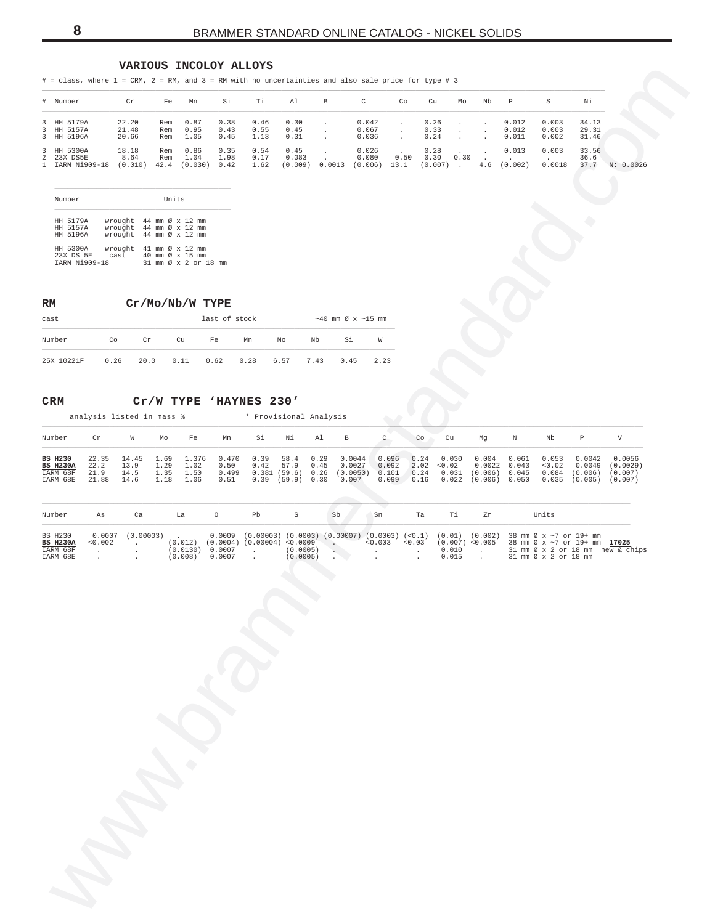#### **VARIOUS INCOLOY ALLOYS**

<span id="page-7-0"></span>

| 0.30<br>0.042<br>0.26<br>0.003<br>3<br>HH 5179A<br>22.20<br>0.87<br>0.38<br>0.46<br>0.012<br>34.13<br>Rem<br>$\cdot$<br>$\cdot$<br>3<br>HH 5157A<br>21.48<br>0.95<br>0.55<br>0.45<br>0.067<br>0.33<br>0.012<br>0.003<br>29.31<br>Rem<br>0.43<br>$\sim$<br>$\ddot{\phantom{a}}$<br>$\cdot$<br>$\ddot{\phantom{0}}$<br>$\mathbf{3}$<br>HH 5196A<br>20.66<br>1.05<br>0.31<br>0.24<br>0.011<br>0.002<br>31.46<br>Rem<br>0.45<br>1.13<br>0.036<br>$\cdot$<br>$\cdot$<br>0.54<br>0.45<br>3<br>18.18<br>0.86<br>0.35<br>0.026<br>0.28<br>0.013<br>0.003<br>33.56<br>HH 5300A<br>Rem<br>$\sim$<br>$\sim$<br>0.50<br>8.64<br>1.04<br>1.98<br>0.17<br>0.083<br>0.30<br>0.30<br>36.6<br>2 23X DS5E<br>Rem<br>0.080<br>1 IARM Ni909-18<br>$(0.009)$ 0.0013 $(0.006)$ 13.1<br>(0.002)<br>0.0018<br>37.7 N: 0.0026<br>(0.010)<br>42.4 (0.030) 0.42<br>1.62<br>$(0.007)$ .<br>4.6<br>Units<br>Number<br>HH 5179A<br>wrought 44 mm Ø x 12 mm<br>wrought 44 mm Ø x 12 mm<br>HH 5157A<br>HH 5196A<br>wrought 44 mm Ø x 12 mm<br>HH 5300A<br>wrought 41 mm Ø x 12 mm<br>23X DS 5E<br>40 mm Ø x 15 mm<br>cast<br>31 mm Ø x 2 or 18 mm<br>IARM Ni909-18<br>Cr/Mo/Nb/W TYPE<br>RM<br>$\sim$ 40 mm Ø x $\sim$ 15 mm<br>last of stock<br>cast<br>Number<br>Co<br>Cr<br>Nb<br>Si<br>W<br>Cu<br>Fe<br>Mn<br>Mo<br>25X 10221F<br>0.26<br>20.0<br>0.11<br>0.62<br>0.28<br>0.45<br>2.23<br>6.57<br>7.43<br>Cr/W TYPE 'HAYNES 230'<br>CRM<br>analysis listed in mass %<br>* Provisional Analysis<br>$\boldsymbol{\mathrm{V}}$<br>$\mathop{\rm C}\nolimits$<br>$\, {\mathbb P}$<br>Number<br>Cr<br>W<br>Si<br>Νi<br>Al<br>В<br>Ν<br>Nb<br>Mo<br>Fe<br>Mn<br>Co<br>Cu<br>Mg<br>0.39<br>0.0044<br>0.0042<br><b>BS H230</b><br>22.35<br>14.45<br>1.69<br>1.376<br>0.470<br>58.4<br>0.29<br>0.096<br>0.24<br>0.030<br>0.004<br>0.061<br>0.053<br><b>BS H230A</b><br>22.2<br>13.9<br>1.29<br>57.9<br>0.45<br>0.0027<br>0.092<br>2.02<br>0.0022<br>0.043<br>< 0.02<br>$0.0049$ $(0.0029)$<br>1.02<br>0.50<br>0.42<br>< 0.02<br>0.381(59.6) 0.26<br>(0.0050)<br>0.101<br>0.24<br>$0.031$ (0.006) 0.045<br>$0.084$ (0.006) (0.007)<br>IARM 68F<br>21.9<br>14.5<br>1.35<br>0.499<br>1.50<br>$0.39$ (59.9) 0.30<br>0.099 0.16<br>$0.022$ (0.006) 0.050<br>IARM 68E<br>21.88<br>14.6<br>1.18<br>1.06<br>0.51<br>0.007<br>$0.035$ (0.005) (0.007)<br>Number<br>Ca<br>$\circ$<br>Pb<br>S<br>Sb<br>Sn<br>Ta<br>Тi<br>Zr<br>Units<br>As<br>La<br>$0.0007$ $(0.00003)$<br>$0.0009$ (0.00003) (0.0003) (0.00007) (0.0003) (<0.1) (0.01) (0.002)<br>38 mm Ø x ~7 or 19+ mm<br>BS H230<br>$(0.012)$ $(0.0004)$ $(0.00004)$ <0.0009<br>$< 0.003$ $< 0.03$<br>$(0.007)$ < 0.005<br><b>BS H230A</b><br>0.002<br>38 mm Ø x ~7 or 19+ mm 17025<br>$\sim 100$ km s $^{-1}$<br>$\sim 100$<br>IARM 68F<br>$(0.0130)$ 0.0007<br>(0.0005)<br>0.010<br>31 mm Ø x 2 or 18 mm new & chips<br>$\sim$<br>$\sim 100$<br><b>Contract</b><br>$\mathcal{A}^{\mathcal{A}}$ and $\mathcal{A}^{\mathcal{A}}$<br>$\cdot$<br>$\sim$<br>$\sim$ 2<br>(0.008)<br>0.0007<br>(0.0005)<br>0.015<br>31 mm Ø x 2 or 18 mm<br>IARM 68E<br>$\Box$<br>$\sim$<br>$\cdot$<br>$\cdot$<br>$\ddot{\phantom{a}}$<br>$\cdot$ |  |  |  |  |  |  |  |  |  |        |
|----------------------------------------------------------------------------------------------------------------------------------------------------------------------------------------------------------------------------------------------------------------------------------------------------------------------------------------------------------------------------------------------------------------------------------------------------------------------------------------------------------------------------------------------------------------------------------------------------------------------------------------------------------------------------------------------------------------------------------------------------------------------------------------------------------------------------------------------------------------------------------------------------------------------------------------------------------------------------------------------------------------------------------------------------------------------------------------------------------------------------------------------------------------------------------------------------------------------------------------------------------------------------------------------------------------------------------------------------------------------------------------------------------------------------------------------------------------------------------------------------------------------------------------------------------------------------------------------------------------------------------------------------------------------------------------------------------------------------------------------------------------------------------------------------------------------------------------------------------------------------------------------------------------------------------------------------------------------------------------------------------------------------------------------------------------------------------------------------------------------------------------------------------------------------------------------------------------------------------------------------------------------------------------------------------------------------------------------------------------------------------------------------------------------------------------------------------------------------------------------------------------------------------------------------------------------------------------------------------------------------------------------------------------------------------------------------------------------------------------------------------------------------------------------------------------------------------------------------------------------------------------------------------------------------------------------------------------------------------------------------------------------------------------------------------------------------------------------------------------------------------|--|--|--|--|--|--|--|--|--|--------|
|                                                                                                                                                                                                                                                                                                                                                                                                                                                                                                                                                                                                                                                                                                                                                                                                                                                                                                                                                                                                                                                                                                                                                                                                                                                                                                                                                                                                                                                                                                                                                                                                                                                                                                                                                                                                                                                                                                                                                                                                                                                                                                                                                                                                                                                                                                                                                                                                                                                                                                                                                                                                                                                                                                                                                                                                                                                                                                                                                                                                                                                                                                                                  |  |  |  |  |  |  |  |  |  |        |
|                                                                                                                                                                                                                                                                                                                                                                                                                                                                                                                                                                                                                                                                                                                                                                                                                                                                                                                                                                                                                                                                                                                                                                                                                                                                                                                                                                                                                                                                                                                                                                                                                                                                                                                                                                                                                                                                                                                                                                                                                                                                                                                                                                                                                                                                                                                                                                                                                                                                                                                                                                                                                                                                                                                                                                                                                                                                                                                                                                                                                                                                                                                                  |  |  |  |  |  |  |  |  |  |        |
|                                                                                                                                                                                                                                                                                                                                                                                                                                                                                                                                                                                                                                                                                                                                                                                                                                                                                                                                                                                                                                                                                                                                                                                                                                                                                                                                                                                                                                                                                                                                                                                                                                                                                                                                                                                                                                                                                                                                                                                                                                                                                                                                                                                                                                                                                                                                                                                                                                                                                                                                                                                                                                                                                                                                                                                                                                                                                                                                                                                                                                                                                                                                  |  |  |  |  |  |  |  |  |  |        |
|                                                                                                                                                                                                                                                                                                                                                                                                                                                                                                                                                                                                                                                                                                                                                                                                                                                                                                                                                                                                                                                                                                                                                                                                                                                                                                                                                                                                                                                                                                                                                                                                                                                                                                                                                                                                                                                                                                                                                                                                                                                                                                                                                                                                                                                                                                                                                                                                                                                                                                                                                                                                                                                                                                                                                                                                                                                                                                                                                                                                                                                                                                                                  |  |  |  |  |  |  |  |  |  |        |
|                                                                                                                                                                                                                                                                                                                                                                                                                                                                                                                                                                                                                                                                                                                                                                                                                                                                                                                                                                                                                                                                                                                                                                                                                                                                                                                                                                                                                                                                                                                                                                                                                                                                                                                                                                                                                                                                                                                                                                                                                                                                                                                                                                                                                                                                                                                                                                                                                                                                                                                                                                                                                                                                                                                                                                                                                                                                                                                                                                                                                                                                                                                                  |  |  |  |  |  |  |  |  |  |        |
|                                                                                                                                                                                                                                                                                                                                                                                                                                                                                                                                                                                                                                                                                                                                                                                                                                                                                                                                                                                                                                                                                                                                                                                                                                                                                                                                                                                                                                                                                                                                                                                                                                                                                                                                                                                                                                                                                                                                                                                                                                                                                                                                                                                                                                                                                                                                                                                                                                                                                                                                                                                                                                                                                                                                                                                                                                                                                                                                                                                                                                                                                                                                  |  |  |  |  |  |  |  |  |  |        |
|                                                                                                                                                                                                                                                                                                                                                                                                                                                                                                                                                                                                                                                                                                                                                                                                                                                                                                                                                                                                                                                                                                                                                                                                                                                                                                                                                                                                                                                                                                                                                                                                                                                                                                                                                                                                                                                                                                                                                                                                                                                                                                                                                                                                                                                                                                                                                                                                                                                                                                                                                                                                                                                                                                                                                                                                                                                                                                                                                                                                                                                                                                                                  |  |  |  |  |  |  |  |  |  |        |
|                                                                                                                                                                                                                                                                                                                                                                                                                                                                                                                                                                                                                                                                                                                                                                                                                                                                                                                                                                                                                                                                                                                                                                                                                                                                                                                                                                                                                                                                                                                                                                                                                                                                                                                                                                                                                                                                                                                                                                                                                                                                                                                                                                                                                                                                                                                                                                                                                                                                                                                                                                                                                                                                                                                                                                                                                                                                                                                                                                                                                                                                                                                                  |  |  |  |  |  |  |  |  |  |        |
|                                                                                                                                                                                                                                                                                                                                                                                                                                                                                                                                                                                                                                                                                                                                                                                                                                                                                                                                                                                                                                                                                                                                                                                                                                                                                                                                                                                                                                                                                                                                                                                                                                                                                                                                                                                                                                                                                                                                                                                                                                                                                                                                                                                                                                                                                                                                                                                                                                                                                                                                                                                                                                                                                                                                                                                                                                                                                                                                                                                                                                                                                                                                  |  |  |  |  |  |  |  |  |  |        |
|                                                                                                                                                                                                                                                                                                                                                                                                                                                                                                                                                                                                                                                                                                                                                                                                                                                                                                                                                                                                                                                                                                                                                                                                                                                                                                                                                                                                                                                                                                                                                                                                                                                                                                                                                                                                                                                                                                                                                                                                                                                                                                                                                                                                                                                                                                                                                                                                                                                                                                                                                                                                                                                                                                                                                                                                                                                                                                                                                                                                                                                                                                                                  |  |  |  |  |  |  |  |  |  |        |
|                                                                                                                                                                                                                                                                                                                                                                                                                                                                                                                                                                                                                                                                                                                                                                                                                                                                                                                                                                                                                                                                                                                                                                                                                                                                                                                                                                                                                                                                                                                                                                                                                                                                                                                                                                                                                                                                                                                                                                                                                                                                                                                                                                                                                                                                                                                                                                                                                                                                                                                                                                                                                                                                                                                                                                                                                                                                                                                                                                                                                                                                                                                                  |  |  |  |  |  |  |  |  |  |        |
|                                                                                                                                                                                                                                                                                                                                                                                                                                                                                                                                                                                                                                                                                                                                                                                                                                                                                                                                                                                                                                                                                                                                                                                                                                                                                                                                                                                                                                                                                                                                                                                                                                                                                                                                                                                                                                                                                                                                                                                                                                                                                                                                                                                                                                                                                                                                                                                                                                                                                                                                                                                                                                                                                                                                                                                                                                                                                                                                                                                                                                                                                                                                  |  |  |  |  |  |  |  |  |  | 0.0056 |
|                                                                                                                                                                                                                                                                                                                                                                                                                                                                                                                                                                                                                                                                                                                                                                                                                                                                                                                                                                                                                                                                                                                                                                                                                                                                                                                                                                                                                                                                                                                                                                                                                                                                                                                                                                                                                                                                                                                                                                                                                                                                                                                                                                                                                                                                                                                                                                                                                                                                                                                                                                                                                                                                                                                                                                                                                                                                                                                                                                                                                                                                                                                                  |  |  |  |  |  |  |  |  |  |        |
|                                                                                                                                                                                                                                                                                                                                                                                                                                                                                                                                                                                                                                                                                                                                                                                                                                                                                                                                                                                                                                                                                                                                                                                                                                                                                                                                                                                                                                                                                                                                                                                                                                                                                                                                                                                                                                                                                                                                                                                                                                                                                                                                                                                                                                                                                                                                                                                                                                                                                                                                                                                                                                                                                                                                                                                                                                                                                                                                                                                                                                                                                                                                  |  |  |  |  |  |  |  |  |  |        |
|                                                                                                                                                                                                                                                                                                                                                                                                                                                                                                                                                                                                                                                                                                                                                                                                                                                                                                                                                                                                                                                                                                                                                                                                                                                                                                                                                                                                                                                                                                                                                                                                                                                                                                                                                                                                                                                                                                                                                                                                                                                                                                                                                                                                                                                                                                                                                                                                                                                                                                                                                                                                                                                                                                                                                                                                                                                                                                                                                                                                                                                                                                                                  |  |  |  |  |  |  |  |  |  |        |

| Number               | Units                               |  |
|----------------------|-------------------------------------|--|
| HH 5179A             | wrought 44 mm Ø x 12 mm             |  |
| HH 5157A             | wrought 44 mm Ø x 12 mm             |  |
| HH 5196A             | wrought 44 mm Ø x 12 mm             |  |
| HH 5300A             | wrought $41$ mm $\emptyset$ x 12 mm |  |
| 23X DS 5E cast       | 40 mm Ø x 15 mm                     |  |
| <b>TARM Ni909-18</b> | 31 mm Ø x 2 or 18                   |  |

| cast       |      |                     |    | last of stock |    |      |      | $\sim$ 40 mm Ø x $\sim$ 15 mm |      |
|------------|------|---------------------|----|---------------|----|------|------|-------------------------------|------|
| Number     | Co   | Cr                  | Cu | Fe            | Mn | Mo   | Nb   | Si                            | W    |
| 25X 10221F | 0.26 | 20.0 0.11 0.62 0.28 |    |               |    | 6.57 | 7.43 | 0.45                          | 2.23 |

#### **CRM Cr/W TYPE 'HAYNES 230'**

| Number                                                    | Cr                | W                            | Mo                     | Fe                           | Mn                    | Si | Ni               | Al | B                                                                                                            | Co | Cu | Ma                                                                                                                                | Ν     | Nb                       |                                                  |                                          |
|-----------------------------------------------------------|-------------------|------------------------------|------------------------|------------------------------|-----------------------|----|------------------|----|--------------------------------------------------------------------------------------------------------------|----|----|-----------------------------------------------------------------------------------------------------------------------------------|-------|--------------------------|--------------------------------------------------|------------------------------------------|
| <b>BS H230</b><br><b>BS H230A</b><br>IARM 68F<br>IARM 68E | 22.2 13.9<br>21.9 | 14.5<br>21.88 14.6 1.18 1.06 | 1.29 1.02<br>1.35 1.50 | 22.35 14.45 1.69 1.376 0.470 | 0.50<br>0.499<br>0.51 |    | $0.42$ 57.9 0.45 |    | $0.39$ 58.4 0.29 0.0044 0.096 0.24 0.030<br>0.0027<br>0.381(59.6) 0.26(0.0050)<br>$0.39$ (59.9) $0.30$ 0.007 |    |    | 0.004<br>$0.092$ $2.02$ < $0.02$ $0.0022$ $0.043$<br>$0.101$ 0.24 0.031 (0.006) 0.045<br>$0.099$ $0.16$ $0.022$ $(0.006)$ $0.050$ | 0.061 | 0.053<br>< 0.02<br>0.084 | 0.0042<br>0.0049<br>(0.006)<br>$0.035$ $(0.005)$ | 0.0056<br>(0.0029)<br>(0.007)<br>(0.007) |

| Number          | As          | Ca                  | Ta      |                     | Pb |          | Sb           | Sn | Ta | Zr | Units                                                                                                               |
|-----------------|-------------|---------------------|---------|---------------------|----|----------|--------------|----|----|----|---------------------------------------------------------------------------------------------------------------------|
| BS H230         |             | $0.0007$ (0.00003). |         |                     |    |          |              |    |    |    | $0.0009$ (0.00003) (0.0003) (0.00007) (0.0003) (<0.1) (0.01) (0.002) 38 mm $\emptyset \times \sim 7$ or 19+ mm      |
| <b>BS H230A</b> | $< 0.002$ . |                     |         |                     |    |          |              |    |    |    | $(0.012)$ $(0.0004)$ $(0.00004)$ <0.009 .<br><0.003 <0.03 $(0.007)$ <0.005 38 mm $\varnothing$ x ~7 or 19+ mm 17025 |
| IARM 68F        |             |                     |         | $(0.0130)$ 0.0007 . |    |          | $(0.0005)$ . |    |    |    | $0.010$ . 31 mm $\emptyset \times 2$ or 18 mm new & chips                                                           |
| IARM 68E        |             |                     | (0.008) | 0.0007              |    | (0.0005) |              |    |    |    | $0.015$ . 31 mm $\emptyset$ x 2 or 18 mm                                                                            |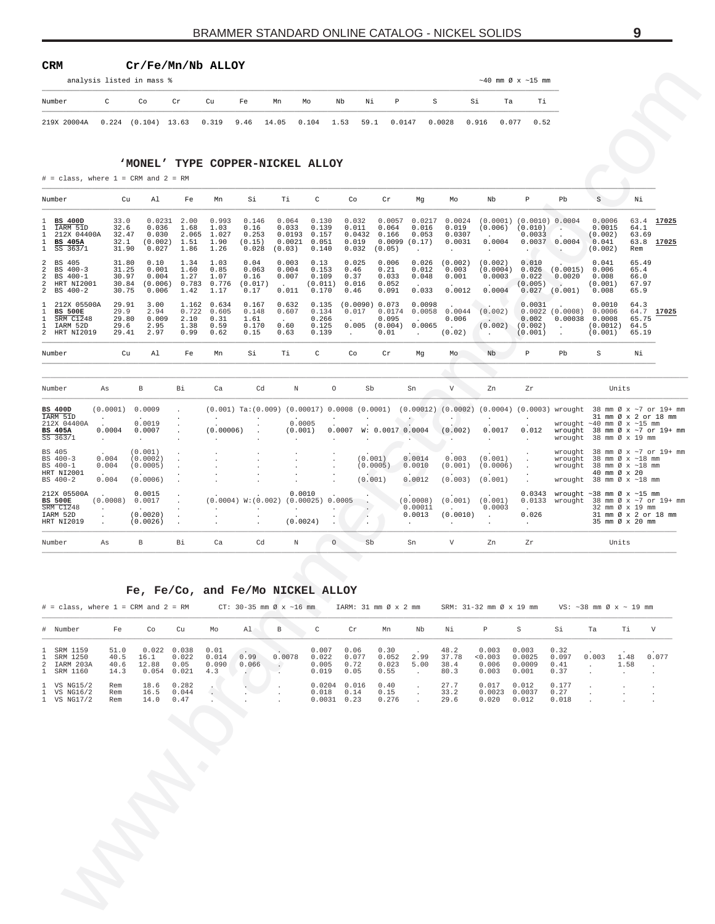#### <span id="page-8-0"></span>**CRM Cr/Fe/Mn/Nb ALLOY**

| analysis listed in mass % |  |  |
|---------------------------|--|--|
|                           |  |  |

|             |              | analysis listed in mass % |    |    |    |    |    |    |      |                                                                      |    |                  | $\sim$ 40 mm Ø x $\sim$ 15 mm |    |  |
|-------------|--------------|---------------------------|----|----|----|----|----|----|------|----------------------------------------------------------------------|----|------------------|-------------------------------|----|--|
| Number      | $\mathbb{C}$ | Co                        | Cr | Cu | Fe | Mn | Mo | Nb | Ni P |                                                                      | S. | Si               | Та                            | Тi |  |
| 219X 20004A |              |                           |    |    |    |    |    |    |      | $0.224$ (0.104) 13.63 0.319 9.46 14.05 0.104 1.53 59.1 0.0147 0.0028 |    | 0.916 0.077 0.52 |                               |    |  |

#### **'MONEL' TYPE COPPER-NICKEL ALLOY**

|                                                                             |                                                        | analysis listed in mass %                    |                                        |                                              |                                                                       |                                              |                                                     |                                             |                                              |                                                    |                                                   |                                              | $\sim$ 40 mm Ø x $\sim$ 15 mm                                                                                                                                                           |                                                                           |                                                                                                                                                      |                                                            |                          |
|-----------------------------------------------------------------------------|--------------------------------------------------------|----------------------------------------------|----------------------------------------|----------------------------------------------|-----------------------------------------------------------------------|----------------------------------------------|-----------------------------------------------------|---------------------------------------------|----------------------------------------------|----------------------------------------------------|---------------------------------------------------|----------------------------------------------|-----------------------------------------------------------------------------------------------------------------------------------------------------------------------------------------|---------------------------------------------------------------------------|------------------------------------------------------------------------------------------------------------------------------------------------------|------------------------------------------------------------|--------------------------|
| Number                                                                      | C                                                      | Co                                           | Cr                                     | Cu                                           | Fe                                                                    | Mn                                           | Мo                                                  | Νi<br>Nb                                    | P                                            | $\mbox{S}$                                         |                                                   | Si<br>Ta                                     | Тi                                                                                                                                                                                      |                                                                           |                                                                                                                                                      |                                                            |                          |
| 219X 20004A                                                                 |                                                        | $0.224$ $(0.104)$ 13.63                      |                                        | 0.319                                        | 9.46                                                                  | 14.05                                        | 0.104                                               | 1.53<br>59.1                                |                                              | 0.0147                                             | 0.0028                                            | 0.916<br>0.077                               | 0.52                                                                                                                                                                                    |                                                                           |                                                                                                                                                      |                                                            |                          |
|                                                                             |                                                        |                                              |                                        |                                              |                                                                       |                                              |                                                     |                                             |                                              |                                                    |                                                   |                                              |                                                                                                                                                                                         |                                                                           |                                                                                                                                                      |                                                            |                          |
|                                                                             |                                                        | 'MONEL' TYPE COPPER-NICKEL ALLOY             |                                        |                                              |                                                                       |                                              |                                                     |                                             |                                              |                                                    |                                                   |                                              |                                                                                                                                                                                         |                                                                           |                                                                                                                                                      |                                                            |                          |
| $\#$ = class, where 1 = CRM and 2 = RM                                      |                                                        |                                              |                                        |                                              |                                                                       |                                              |                                                     |                                             |                                              |                                                    |                                                   |                                              |                                                                                                                                                                                         |                                                                           |                                                                                                                                                      |                                                            |                          |
| Number                                                                      | Cu                                                     | Al                                           | Fe                                     | Mn                                           | Si                                                                    | Тi                                           | C                                                   | Co                                          | Cr                                           | Mg                                                 | Мo                                                | Nb                                           | $\, {\bf p}$                                                                                                                                                                            | Pb                                                                        | S                                                                                                                                                    | Νi                                                         |                          |
| <b>BS 400D</b><br>IARM 51D<br>212X 04400A<br><b>BS 405A</b><br>SS 363/1     | 33.0<br>32.6<br>32.47<br>32.1<br>31.90                 | 0.0231<br>0.036<br>0.030<br>(0.002)<br>0.027 | 2.00<br>1.68<br>2.065<br>1.51<br>1.86  | 0.993<br>1.03<br>1.027<br>1.90<br>1.26       | 0.146<br>0.16<br>0.253<br>(0.15)<br>0.028                             | 0.064<br>0.033<br>0.0193<br>0.0021<br>(0.03) | 0.130<br>0.139<br>0.157<br>0.051<br>0.140           | 0.032<br>0.011<br>0.0432<br>0.019<br>0.032  | 0.0057<br>0.064<br>0.166<br>0.0099<br>(0.05) | 0.0217<br>0.016<br>0.053<br>(0.17)<br>$\cdot$      | 0.0024<br>0.019<br>0.0307<br>0.0031<br>$\cdot$    | 0.0004<br>$\cdot$                            | $(0.0001)$ $(0.0010)$ 0.0004<br>$(0.006)$ $(0.010)$<br>0.0033<br>0.0037<br>$\sim$ $\sim$                                                                                                | $\sim$<br>0.0004                                                          | 0.0006<br>0.0015<br>(0.002)<br>0.041<br>(0.002)                                                                                                      | 64.1<br>63.69<br>Rem                                       | 63.4 17025<br>63.8 17025 |
| BS 405<br>BS 400-3<br>BS 400-1<br>HRT NI2001<br>BS 400-2                    | 31.80<br>31.25<br>30.97<br>30.84<br>30.75              | 0.10<br>0.001<br>0.004<br>(0.006)<br>0.006   | 1.34<br>1.60<br>1.27<br>0.783<br>1.42  | 1.03<br>0.85<br>1.07<br>0.776<br>1.17        | 0.04<br>0.063<br>0.16<br>(0.017)<br>0.17                              | 0.003<br>0.004<br>0.007<br>0.011             | 0.13<br>0.153<br>0.109<br>(0.011)<br>0.170          | 0.025<br>0.46<br>0.37<br>0.016<br>0.46      | 0.006<br>0.21<br>0.033<br>0.052<br>0.091     | 0.026<br>0.012<br>0.048<br>0.033                   | (0.002)<br>0.003<br>0.001<br>0.0012               | (0.002)<br>(0.0004)<br>0.0003<br>0.0004      | 0.010<br>0.026<br>0.022<br>(0.005)<br>0.027                                                                                                                                             | (0.0015)<br>0.0020<br>(0.001)                                             | 0.041<br>0.006<br>0.008<br>(0.001)<br>0.008                                                                                                          | 65.49<br>65.4<br>66.0<br>67.97<br>65.9                     |                          |
| 212X 05500A<br><b>BS 500E</b><br><b>SRM C1248</b><br>IARM 52D<br>HRT NI2019 | 29.91<br>29.9<br>29.80<br>29.6<br>29.41                | 3.00<br>2.94<br>0.009<br>2.95<br>2.97        | 1.162<br>0.722<br>2.10<br>1.38<br>0.99 | 0.634<br>0.605<br>0.31<br>0.59<br>0.62       | 0.167<br>0.148<br>1.61<br>0.170<br>0.15                               | 0.632<br>0.607<br>0.60<br>0.63               | 0.135<br>0.134<br>0.266<br>0.125<br>0.139           | (0.0090) 0.073<br>0.017<br>0.005<br>$\cdot$ | 0.0174<br>0.095<br>(0.004)<br>0.01           | 0.0098<br>0.0058<br>0.0065<br>$\ddot{\phantom{0}}$ | 0.0044<br>0.006<br>$\ddot{\phantom{a}}$<br>(0.02) | (0.002)<br>(0.002)<br>$\sim$                 | 0.0031<br>0.002<br>(0.002)<br>(0.001)                                                                                                                                                   | $0.0022$ $(0.0008)$<br>0.00038<br>$\ddot{\phantom{a}}$                    | 0.0010<br>0.0006<br>0.0008<br>(0.0012)<br>(0.001)                                                                                                    | 64.3<br>64.7<br>65.75<br>64.5<br>65.19                     | 17025                    |
| Number                                                                      | Cu                                                     | Al                                           | Fe                                     | Mn                                           | Si                                                                    | Тi                                           | C                                                   | Co                                          | Cr                                           | Mg                                                 | Mo                                                | Nb                                           | $\, {\mathbb P}$                                                                                                                                                                        | Pb                                                                        | $\rm S$                                                                                                                                              | Νi                                                         |                          |
| Number                                                                      | As                                                     | B                                            | Вi                                     | Ca                                           | Cd                                                                    | N                                            | $\circ$                                             | Sb                                          |                                              | Sn                                                 | $\boldsymbol{\mathrm{V}}$                         | Zn                                           | Zr                                                                                                                                                                                      |                                                                           |                                                                                                                                                      | Units                                                      |                          |
| <b>BS 400D</b><br>IARM 51D<br>212X 04400A<br><b>BS 405A</b><br>$SS$ 363/1   | (0.0001)<br>$\ddot{\phantom{a}}$<br>0.0004<br>$\cdot$  | 0.0009<br>0.0019<br>0.0007<br>$\sim$         | $\cdot$<br>$\cdot$                     | $\cdot$<br>(0.00006)<br>$\ddot{\phantom{a}}$ | $\ddot{\phantom{a}}$                                                  | 0.0005<br>(0.001)                            | $\cdot$<br>$\cdot$                                  | $\cdot$<br>$0.0007$ W: $0.0017$ 0.0004      |                                              | $\bullet$ $\bullet$                                | $\cdot$<br>(0.002)<br>$\cdot$                     | $\sim$ $-$<br>0.0017<br>$\ddot{\phantom{a}}$ | $(0.001)$ Ta: $(0.009)$ $(0.00017)$ 0.0008 $(0.0001)$ $(0.00012)$ $(0.0002)$ $(0.0004)$ $(0.0003)$ wrought 38 mm $\emptyset$ x ~7 or 19+ mm<br>$\cdot$<br>0.012<br>$\ddot{\phantom{a}}$ |                                                                           | wrought $~10$ mm $\varnothing$ x $~15$ mm<br>wrought $38 \text{ mm } \emptyset \times \sim 7 \text{ or } 19 + \text{ mm}$<br>wrought 38 mm Ø x 19 mm | 31 mm Ø x 2 or 18 mm                                       |                          |
| BS 405<br>BS 400-3<br>BS 400-1<br>HRT NI2001<br>BS 400-2                    | 0.004<br>0.004<br>0.004                                | (0.001)<br>(0.0002)<br>(0.0005)<br>(0.0006)  |                                        |                                              |                                                                       |                                              | $\ddot{\phantom{a}}$                                | (0.001)<br>(0.001)                          | (0.0005)                                     | 0.0014<br>0.0010<br>0.0012                         | 0.003<br>(0.001)<br>(0.003)                       | (0.001)<br>(0.0006)<br>(0.001)               | $\cdot$<br>$\ddot{\phantom{a}}$<br>$\ddot{\phantom{a}}$                                                                                                                                 | wrought<br>wrought                                                        | wrought $38 \text{ mm } \emptyset \times \sim 7 \text{ or } 19 + \text{ mm}$<br>40 mm Ø x 20<br>wrought 38 mm Ø x ~18 mm                             | 38 mm Ø x ~18 mm<br>38 mm Ø x ~18 mm                       |                          |
| 212X 05500A<br><b>BS 500E</b><br>SRM C1248<br>IARM 52D<br>HRT NI2019        | (0.0008)<br>$\cdot$<br>$\cdot$<br>$\ddot{\phantom{a}}$ | 0.0015<br>0.0017<br>(0.0020)<br>(0.0026)     | $\cdot$                                | $\cdot$                                      | $(0.0004)$ W: $(0.002)$<br>$\cdot$<br>$\cdot$<br>$\ddot{\phantom{a}}$ | 0.0010<br>$\cdot$<br>(0.0024)                | $(0.00025)$ 0.0005<br>$\cdot$<br>$\cdot$<br>$\cdot$ | $\cdot$<br>$\cdot$                          |                                              | (0.0008)<br>0.00011<br>0.0013<br>$\cdot$           | (0.001)<br>(0.0010)<br>$\cdot$                    | (0.001)<br>0.0003<br>$\sim$                  | 0.026<br>$\sim$                                                                                                                                                                         | 0.0343 wrought ~38 mm Ø x ~15 mm<br>0.0133 wrought 38 mm Ø x ~7 or 19+ mm |                                                                                                                                                      | 32 mm Ø x 19 mm<br>31 mm Ø x 2 or 18 mm<br>35 mm Ø x 20 mm |                          |
| Number                                                                      | As                                                     | $\, {\bf B}$                                 | Вi                                     | Ca                                           | Cd                                                                    | $\mathbb N$                                  | $\circ$                                             | Sb                                          |                                              | Sn                                                 | $\boldsymbol{\mathrm{V}}$                         | Zn                                           | Zr                                                                                                                                                                                      |                                                                           |                                                                                                                                                      | Units                                                      |                          |
| $#$ = class, where 1 = CRM and 2 = RM<br># Number                           | Fe                                                     | Fe, Fe/Co, and Fe/Mo NICKEL ALLOY<br>Co      | Cu                                     | Mo                                           | $CT: 30-35$ mm $\emptyset$ x ~16 mm<br>Al                             | В                                            | $\mathbb{C}$                                        | IARM: 31 mm Ø x 2 mm<br>Cr                  | Mn                                           | Nb                                                 | Νi                                                | $\, {\mathbb P}$                             | SRM: $31-32$ mm $\emptyset$ x 19 mm $\qquad$ VS: $\sim$ 38 mm $\emptyset$ x $\sim$ 19 mm<br>S                                                                                           | Si                                                                        | Ta                                                                                                                                                   | Τi                                                         | V                        |
| 1 SRM 1159<br>1 SRM 1250                                                    | 51.0<br>40.5                                           | $0.022$ 0.038<br>16.1                        | 0.022                                  | 0.01<br>0.014                                | 0.99                                                                  | 0.0078                                       | 0.007<br>0.022                                      | 0.06<br>0.077                               | 0.30<br>0.052                                | 2.99                                               | 48.2<br>37.78                                     | 0.003<br>0.003                               | 0.003<br>0.0025                                                                                                                                                                         | 0.32<br>0.097                                                             | 0.003                                                                                                                                                | 1.48                                                       | 0.077                    |
| 2 IARM 203A<br>1 SRM 1160                                                   | 40.6<br>14.3                                           | 12.88<br>$0.054$ 0.021                       | 0.05                                   | 0.090<br>4.3                                 | 0.066<br>$\bullet$ .                                                  | $\sim$ $\sim$<br>$\cdot$                     | 0.005<br>0.019                                      | 0.72<br>0.05                                | 0.023<br>0.55                                | 5.00<br>$\sim$                                     | 38.4<br>80.3                                      | 0.006<br>0.003                               | 0.0009<br>0.001                                                                                                                                                                         | 0.41<br>0.37                                                              | $\sim$<br>$\cdot$                                                                                                                                    | 1.58<br>$\cdot$                                            | $\sim$<br>$\cdot$        |
| 1 VS NG15/2<br>1 VS NG16/2<br>1 VS NG17/2                                   | Rem<br>Rem<br>Rem                                      | 18.6<br>16.5<br>14.0 0.47                    | 0.282<br>0.044                         | $\bullet$                                    |                                                                       | $\cdot$                                      | $0.018$ 0.14<br>$0.0031$ $0.23$                     | $0.0204$ $0.016$                            | 0.40<br>0.15<br>0.276                        | $\cdot$<br>$\sim$<br>$\ddot{\phantom{0}}$          | 27.7<br>33.2<br>29.6                              | 0.017<br>$0.0023$ 0.0037<br>0.020 0.012      | 0.012                                                                                                                                                                                   | 0.177<br>0.27<br>0.018                                                    | $\cdot$<br>$\cdot$                                                                                                                                   | $\cdot$<br>$\cdot$                                         | $\cdot$                  |
|                                                                             |                                                        |                                              |                                        |                                              |                                                                       |                                              |                                                     |                                             |                                              |                                                    |                                                   |                                              |                                                                                                                                                                                         |                                                                           |                                                                                                                                                      |                                                            |                          |
|                                                                             |                                                        |                                              |                                        |                                              |                                                                       |                                              |                                                     |                                             |                                              |                                                    |                                                   |                                              |                                                                                                                                                                                         |                                                                           |                                                                                                                                                      |                                                            |                          |
|                                                                             |                                                        |                                              |                                        |                                              |                                                                       |                                              |                                                     |                                             |                                              |                                                    |                                                   |                                              |                                                                                                                                                                                         |                                                                           |                                                                                                                                                      |                                                            |                          |
|                                                                             |                                                        |                                              |                                        |                                              |                                                                       |                                              |                                                     |                                             |                                              |                                                    |                                                   |                                              |                                                                                                                                                                                         |                                                                           |                                                                                                                                                      |                                                            |                          |

#### **Fe, Fe/Co, and Fe/Mo NICKEL ALLOY**

| $#$ = class, where 1 = CRM and 2 = RM                 |                              |                      |                                                     |                               |               | CT: 30-35 mm $\varnothing$ x ~16 mm |                                  | IARM: 31 mm Ø x 2 mm          |                                |              |                               | SRM: 31-32 mm Ø x 19 mm            |                                    |                               | VS: $\sim$ 38 mm Ø x $\sim$ 19 mm |              |       |
|-------------------------------------------------------|------------------------------|----------------------|-----------------------------------------------------|-------------------------------|---------------|-------------------------------------|----------------------------------|-------------------------------|--------------------------------|--------------|-------------------------------|------------------------------------|------------------------------------|-------------------------------|-----------------------------------|--------------|-------|
| # Number                                              | Fe                           | Co                   | Cu.                                                 | Mo                            | Al            | B                                   | $\mathbb{C}$                     | Cr                            | Mn                             | Nb           | Νi                            | P                                  | S                                  | Si                            | Ta                                | Ti.          | V     |
| 1 SRM 1159<br>1 SRM 1250<br>2 IARM 203A<br>1 SRM 1160 | 51.0<br>40.5<br>40.6<br>14.3 | 16.1<br>12.88        | $0.022 \quad 0.038$<br>0.022<br>0.05<br>0.054 0.021 | 0.01<br>0.014<br>0.090<br>4.3 | 0.99<br>0.066 | 0.0078                              | 0.007<br>0.022<br>0.005<br>0.019 | 0.06<br>0.077<br>0.72<br>0.05 | 0.30<br>0.052<br>0.023<br>0.55 | 2.99<br>5.00 | 48.2<br>37.78<br>38.4<br>80.3 | 0.003<br>< 0.003<br>0.006<br>0.003 | 0.003<br>0.0025<br>0.0009<br>0.001 | 0.32<br>0.097<br>0.41<br>0.37 | 0.003                             | 1.48<br>1.58 | 0.077 |
| 1 VS NG15/2<br>1 VS NG16/2<br>1 VS NG17/2             | Rem<br>Rem<br>Rem            | 18.6<br>16.5<br>14.0 | 0.282<br>0.044<br>0.47                              |                               |               |                                     | 0.0204<br>0.018<br>0.0031        | 0.016<br>0.14<br>0.23         | 0.40<br>0.15<br>0.276          |              | 27.7<br>33.2<br>29.6          | 0.017<br>0.0023<br>0.020           | 0.012<br>0.0037<br>0.012           | 0.177<br>0.27<br>0.018        |                                   |              |       |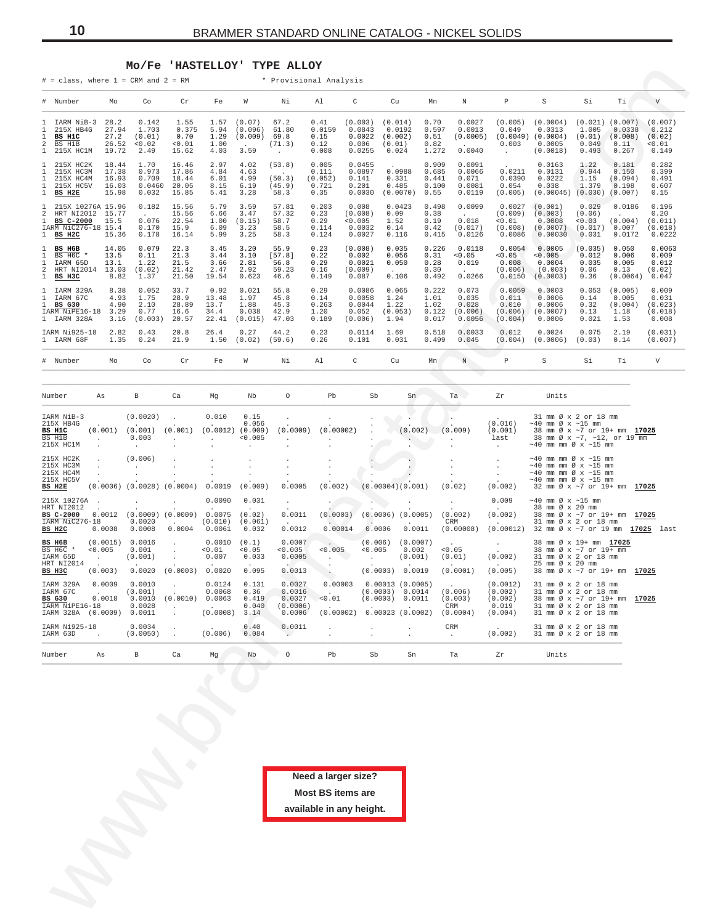#### **Mo/Fe 'HASTELLOY' TYPE ALLOY**

<span id="page-9-0"></span>

| Mo                                                                                | Co                                         | Cr                                                                                                                                                                                                                                                                           | Fe                                                                                                                                                 | W                                         | Νi                                         | Al                                                   | C                                            | ${\rm cu}$                                                                                                                                                                                                                    | Мn                                                              | Ν                                                                                                                                                                                                                  | $\mathbb{P}$                                                                                                                                           | $\rm S$                                             | Si                                     | Тi                                                                                                       | V                                                                                                                                                                                                                                                                                                                                                                                                                                                                                                                                                                                                                                                                                                                                                                                                                                         |
|-----------------------------------------------------------------------------------|--------------------------------------------|------------------------------------------------------------------------------------------------------------------------------------------------------------------------------------------------------------------------------------------------------------------------------|----------------------------------------------------------------------------------------------------------------------------------------------------|-------------------------------------------|--------------------------------------------|------------------------------------------------------|----------------------------------------------|-------------------------------------------------------------------------------------------------------------------------------------------------------------------------------------------------------------------------------|-----------------------------------------------------------------|--------------------------------------------------------------------------------------------------------------------------------------------------------------------------------------------------------------------|--------------------------------------------------------------------------------------------------------------------------------------------------------|-----------------------------------------------------|----------------------------------------|----------------------------------------------------------------------------------------------------------|-------------------------------------------------------------------------------------------------------------------------------------------------------------------------------------------------------------------------------------------------------------------------------------------------------------------------------------------------------------------------------------------------------------------------------------------------------------------------------------------------------------------------------------------------------------------------------------------------------------------------------------------------------------------------------------------------------------------------------------------------------------------------------------------------------------------------------------------|
| IARM NiB-3<br>28.2<br>215X HB4G<br>27.2<br>215X HC1M                              | 0.142<br>1.703<br>(0.01)<br>< 0.02<br>2.49 | 1.55<br>0.375<br>0.70<br>0.01<br>15.62                                                                                                                                                                                                                                       | 1.57<br>5.94<br>1.29<br>1.00<br>4.03                                                                                                               | (0.07)<br>(0.096)<br>(0.009)<br>3.59      | 67.2<br>61.80<br>69.8<br>(71.3)<br>$\cdot$ | 0.41<br>0.0159<br>0.15<br>0.12<br>0.008              | 0.0843<br>0.0022<br>0.006<br>0.0255          | (0.014)<br>0.0192<br>(0.002)<br>(0.01)<br>0.024                                                                                                                                                                               | 0.70<br>0.597<br>0.51<br>0.82<br>1.272                          | 0.0027<br>0.0013<br>0.0040                                                                                                                                                                                         | (0.005)<br>0.049<br>0.003                                                                                                                              | (0.0004)<br>0.0313<br>0.0005<br>(0.0018)            | 1.005<br>0.049<br>0.493                | 0.0338<br>0.11<br>0.267                                                                                  | (0.007)<br>0.212<br>(0.02)<br>0.01<br>0.149                                                                                                                                                                                                                                                                                                                                                                                                                                                                                                                                                                                                                                                                                                                                                                                               |
| 215X HC2K<br>215X HC3M<br>215X HC4M<br>215X HC5V                                  | 1.70<br>0.973<br>0.709<br>0.032            | 16.46<br>17.86<br>18.44<br>20.05<br>15.85                                                                                                                                                                                                                                    | 2.97<br>4.84<br>6.01<br>8.15<br>5.41                                                                                                               | 4.02<br>4.63<br>4.99<br>6.19<br>3.28      | (53.8)<br>(50.3)<br>(45.9)<br>58.3         | 0.005<br>0.111<br>0.721<br>0.35                      | 0.0455<br>0.0897<br>0.141<br>0.201<br>0.0030 | 0.0988<br>0.331<br>0.485<br>(0.0070)                                                                                                                                                                                          | 0.909<br>0.685<br>0.441<br>0.100<br>0.55                        | 0.0091<br>0.0066<br>0.071<br>0.0081<br>0.0119                                                                                                                                                                      | 0.0211<br>0.0390<br>0.054<br>(0.005)                                                                                                                   | 0.0163<br>0.0131<br>0.0222<br>0.038                 | 1.22<br>0.944<br>1.15<br>1.379         | 0.181<br>0.150<br>(0.094)<br>0.198                                                                       | 0.282<br>0.399<br>0.491<br>0.607<br>0.15                                                                                                                                                                                                                                                                                                                                                                                                                                                                                                                                                                                                                                                                                                                                                                                                  |
| 215X 10276A 15.96<br>HRT NI2012 15.77<br>BS C-2000<br>15.5<br>IARM NiC276-18 15.4 | 0.182<br>0.076<br>0.170<br>0.178           | 15.56<br>15.56<br>22.54<br>15.9<br>16.14                                                                                                                                                                                                                                     | 5.79<br>6.66<br>1.00<br>6.09<br>5.99                                                                                                               | 3.59<br>3.47<br>(0.15)<br>3.23<br>3.25    | 57.81<br>57.32<br>58.7<br>58.5<br>58.3     | 0.203<br>0.23<br>0.29<br>0.114<br>0.124              | 0.008<br>0.0032<br>0.0027                    | 0.0423<br>0.09<br>1.52<br>0.14<br>0.116                                                                                                                                                                                       | 0.498<br>0.38<br>0.19<br>0.42<br>0.415                          | 0.0099<br><b>Carl Corporation</b><br>0.018<br>(0.017)<br>0.0126                                                                                                                                                    | 0.0027<br>(0.009)<br>< 0.01<br>(0.008)<br>0.0086                                                                                                       | (0.001)<br>(0.003)<br>0.0008<br>(0.0007)<br>0.00030 | 0.029<br>(0.06)<br>0.03<br>0.031       | 0.0186<br>(0.004)<br>0.0172                                                                              | 0.196<br>0.20<br>(0.011)<br>(0.018)<br>0.0222                                                                                                                                                                                                                                                                                                                                                                                                                                                                                                                                                                                                                                                                                                                                                                                             |
| 13.5<br>BS H6C *<br>IARM 65D<br>13.1                                              | 0.079<br>0.11<br>1.22<br>(0.02)<br>1.37    | 22.3<br>21.3<br>21.5<br>21.42<br>21.50                                                                                                                                                                                                                                       | 3.45<br>3.44<br>3.66<br>2.47<br>19.54                                                                                                              | 3.20<br>3.10<br>2.81<br>2.92<br>0.623     | 55.9<br>[57.8]<br>56.8<br>59.23<br>46.6    | 0.23<br>0.22<br>0.29<br>0.16<br>0.149                | 0.002<br>0.0021<br>0.087                     | 0.035<br>0.056<br>0.050<br>$\sim$<br>0.106                                                                                                                                                                                    | 0.226<br>0.31<br>0.28<br>0.30<br>0.492                          | 0.0118<br>< 0.05<br>0.019<br>$\ddot{\phantom{a}}$<br>0.0266                                                                                                                                                        | 0.0054<br>0.05<br>0.008<br>(0.006)<br>0.0150                                                                                                           | 0.0005<br>< 0.005<br>0.0004<br>(0.003)<br>(0.0003)  | 0.012<br>0.035<br>0.06<br>0.36         | 0.050<br>0.006<br>0.005<br>0.13                                                                          | 0.0063<br>0.009<br>0.012<br>(0.02)<br>0.047                                                                                                                                                                                                                                                                                                                                                                                                                                                                                                                                                                                                                                                                                                                                                                                               |
| 1 IARM 329A<br>IARM NiPE16-18<br>1 IARM 328A                                      | 0.052<br>1.75<br>2.10<br>0.77              | 33.7<br>28.9<br>28.89<br>16.6<br>20.57                                                                                                                                                                                                                                       | 0.92<br>13.48<br>13.7<br>34.4<br>22.41                                                                                                             | 0.021<br>1.97<br>1.88<br>0.038<br>(0.015) | 55.8<br>45.8<br>45.3<br>42.9<br>47.03      | 0.29<br>0.14<br>0.263<br>1.20<br>0.189               | 0.0086<br>0.0058<br>0.0044<br>0.052          | 0.065<br>1.24<br>1.22<br>(0.053)<br>1.94                                                                                                                                                                                      | 0.222<br>1.01<br>1.02<br>0.122<br>0.017                         | 0.073<br>0.035<br>0.028<br>(0.006)<br>0.0056                                                                                                                                                                       | 0.0059<br>0.011<br>0.010<br>(0.006)<br>(0.004)                                                                                                         | 0.0003<br>0.0006<br>0.0006<br>(0.0007)<br>0.0006    | 0.053<br>0.14<br>0.32<br>0.13<br>0.021 | (0.005)<br>0.005<br>(0.004)<br>1.18<br>1.53                                                              | 0.009<br>0.031<br>(0.023)<br>(0.018)<br>0.008                                                                                                                                                                                                                                                                                                                                                                                                                                                                                                                                                                                                                                                                                                                                                                                             |
| IARM Ni925-18                                                                     | 0.43<br>0.24                               | 20.8<br>21.9                                                                                                                                                                                                                                                                 | 26.4<br>1.50                                                                                                                                       | 0.27<br>(0.02)                            | 44.2<br>(59.6)                             | 0.23<br>0.26                                         | 0.0114<br>0.101                              | 1.69<br>0.031                                                                                                                                                                                                                 | 0.518<br>0.499                                                  | 0.0033<br>0.045                                                                                                                                                                                                    | 0.012<br>(0.004)                                                                                                                                       | 0.0024<br>(0.0006)                                  | 0.075<br>(0.03)                        | 2.19<br>0.14                                                                                             | (0.031)<br>(0.007)                                                                                                                                                                                                                                                                                                                                                                                                                                                                                                                                                                                                                                                                                                                                                                                                                        |
| Mo                                                                                | Co                                         | Cr                                                                                                                                                                                                                                                                           | Fe                                                                                                                                                 | W                                         | Νi                                         | Al                                                   | C                                            | Cu                                                                                                                                                                                                                            | Mn                                                              | N                                                                                                                                                                                                                  | P                                                                                                                                                      | S                                                   | Si                                     | Тi                                                                                                       | $\boldsymbol{\mathrm{V}}$                                                                                                                                                                                                                                                                                                                                                                                                                                                                                                                                                                                                                                                                                                                                                                                                                 |
| As                                                                                | В                                          | Ca                                                                                                                                                                                                                                                                           | Mg                                                                                                                                                 | Nb                                        | $\circ$                                    | Pb                                                   |                                              |                                                                                                                                                                                                                               |                                                                 |                                                                                                                                                                                                                    | Zr                                                                                                                                                     | Units                                               |                                        |                                                                                                          |                                                                                                                                                                                                                                                                                                                                                                                                                                                                                                                                                                                                                                                                                                                                                                                                                                           |
| (0.001)                                                                           | 0.003                                      |                                                                                                                                                                                                                                                                              | 0.010                                                                                                                                              | 0.15<br>0.056<br>< 0.005                  |                                            |                                                      |                                              |                                                                                                                                                                                                                               |                                                                 |                                                                                                                                                                                                                    | (0.016)<br>(0.001)<br>last                                                                                                                             |                                                     |                                        |                                                                                                          |                                                                                                                                                                                                                                                                                                                                                                                                                                                                                                                                                                                                                                                                                                                                                                                                                                           |
|                                                                                   |                                            |                                                                                                                                                                                                                                                                              | 0.0019                                                                                                                                             |                                           | 0.0005                                     |                                                      |                                              |                                                                                                                                                                                                                               |                                                                 |                                                                                                                                                                                                                    |                                                                                                                                                        |                                                     |                                        |                                                                                                          |                                                                                                                                                                                                                                                                                                                                                                                                                                                                                                                                                                                                                                                                                                                                                                                                                                           |
| 0.0012<br>IARM NiC276-18<br>0.0008                                                | 0.0020<br>0.0008                           | $\cdot$<br>0.0004                                                                                                                                                                                                                                                            | 0.0090<br>0.0075<br>(0.010)<br>0.0061                                                                                                              | 0.031<br>(0.02)<br>0.032                  | $\cdot$<br>0.0011<br>0.0012                |                                                      |                                              |                                                                                                                                                                                                                               |                                                                 |                                                                                                                                                                                                                    | 0.009<br>(0.002)                                                                                                                                       |                                                     |                                        |                                                                                                          |                                                                                                                                                                                                                                                                                                                                                                                                                                                                                                                                                                                                                                                                                                                                                                                                                                           |
| (0.0015)<br>< 0.005<br>(0.003)                                                    | 0.001<br>0.0020                            | $\sim$<br>$\cdot$                                                                                                                                                                                                                                                            | 0.0010<br>< 0.01<br>0.007                                                                                                                          | (0.1)<br>0.05<br>0.033<br>0.095           | 0.0007<br>0.005<br>0.0005<br>0.0013        | $\sim$                                               |                                              |                                                                                                                                                                                                                               |                                                                 |                                                                                                                                                                                                                    | (0.002)<br>(0.005)                                                                                                                                     |                                                     |                                        |                                                                                                          |                                                                                                                                                                                                                                                                                                                                                                                                                                                                                                                                                                                                                                                                                                                                                                                                                                           |
| 0.0009<br>0.0018<br>IARM NiPE16-18<br>(0.0009)                                    | 0.0010<br>0.0028                           |                                                                                                                                                                                                                                                                              | 0.0124<br>0.0068<br>0.0063                                                                                                                         | 0.131<br>0.36<br>0.419<br>0.040<br>3.14   | 0.0027<br>0.0016<br>0.0027                 | 0.01                                                 |                                              |                                                                                                                                                                                                                               |                                                                 |                                                                                                                                                                                                                    | (0.0012)<br>(0.002)<br>(0.002)<br>0.019<br>(0.004)                                                                                                     |                                                     |                                        |                                                                                                          | 17025                                                                                                                                                                                                                                                                                                                                                                                                                                                                                                                                                                                                                                                                                                                                                                                                                                     |
| IARM Ni925-18                                                                     | 0.0034                                     |                                                                                                                                                                                                                                                                              | (0.006)                                                                                                                                            | 0.40<br>0.084                             | 0.0011<br>$\ddot{\phantom{a}}$             |                                                      |                                              |                                                                                                                                                                                                                               |                                                                 | $\cdot$                                                                                                                                                                                                            | (0.002)                                                                                                                                                |                                                     |                                        |                                                                                                          |                                                                                                                                                                                                                                                                                                                                                                                                                                                                                                                                                                                                                                                                                                                                                                                                                                           |
| As                                                                                | $_{\rm B}$                                 | Ca                                                                                                                                                                                                                                                                           | Mg                                                                                                                                                 | Nb                                        | $\circ$                                    | Pb                                                   |                                              |                                                                                                                                                                                                                               |                                                                 |                                                                                                                                                                                                                    | Zr                                                                                                                                                     | Units                                               |                                        |                                                                                                          |                                                                                                                                                                                                                                                                                                                                                                                                                                                                                                                                                                                                                                                                                                                                                                                                                                           |
|                                                                                   |                                            |                                                                                                                                                                                                                                                                              |                                                                                                                                                    |                                           |                                            |                                                      |                                              |                                                                                                                                                                                                                               |                                                                 |                                                                                                                                                                                                                    |                                                                                                                                                        |                                                     |                                        |                                                                                                          |                                                                                                                                                                                                                                                                                                                                                                                                                                                                                                                                                                                                                                                                                                                                                                                                                                           |
|                                                                                   |                                            | 27.94<br>26.52<br>19.72<br>18.44<br>17.38<br>16.93<br>16.03<br>15.98<br>15.36<br>14.05<br>HRT NI2014 13.03<br>8.82<br>8.38<br>4.93<br>4.90<br>3.29<br>3.16<br>2.82<br>1.35<br>(0.0020)<br>(0.001)<br>(0.006)<br>0.0016<br>(0.001)<br>(0.001)<br>0.0010<br>0.0011<br>(0.0050) | $#$ = class, where $1$ = CRM and $2$ = RM<br>0.0460<br>(0.003)<br>(0.001)<br>$(0.0006)$ $(0.0028)$ $(0.0004)$<br>$(0.0009)$ $(0.0009)$<br>(0.0010) | (0.0003) 0.0020                           | (0.0008)                                   | $(0.0012)$ $(0.009)$<br>(0.009)<br>(0.061)<br>0.0006 | (0.052)<br>(0.0009)<br>(0.0006)              | * Provisional Analysis<br>(0.003)<br>(0.008)<br>< 0.005<br>(0.008)<br>(0.009)<br>(0.006)<br>(0.00002)<br>(0.002)<br>(0.0003)<br>0.00014<br>< 0.005<br>0.00003<br>(0.00002)<br>Need a larger size?<br><b>Most BS items are</b> | Sb<br>0.0006<br>< 0.005<br>Sb<br>Sn<br>available in any height. | Sn<br>(0.002)<br>(0.00004)(0.001)<br>$(0.0006)$ $(0.0005)$<br>0.0011<br>$(0.006)$ $(0.0007)$<br>0.002<br>(0.001)<br>(0.0003) 0.0019<br>0.00013(0.0005)<br>(0.0003) 0.0014<br>(0.0003) 0.0011<br>$0.00023$ (0.0002) | Ta<br>(0.009)<br>$\sim$<br>(0.02)<br>(0.002)<br>CRM<br>(0.00008)<br>< 0.05<br>(0.01)<br>(0.0001)<br>(0.006)<br>(0.003)<br>CRM<br>(0.0004)<br>CRM<br>Ta | (0.0005)<br>(0.002)                                 | $(0.0049)$ $(0.0004)$                  | $\sim$ 40 mm Ø x $\sim$ 15 mm<br>$~10$ mm $\varnothing$ x $~15$ mm<br>38 mm Ø x 20 mm<br>25 mm Ø x 20 mm | $(0.021)$ $(0.007)$<br>$(0.01)$ $(0.008)$<br>$(0.00045)$ $(0.030)$ $(0.007)$<br>(0.017) 0.007<br>(0.035)<br>(0.0064)<br>31 mm Ø x 2 or 18 mm<br>38 mm Ø x ~7 or 19+ mm 17025<br>38 mm Ø x ~7, ~12, or 19 mm<br>$\sim$ 40 mm mm Ø x $\sim$ 15 mm<br>$\sim$ 40 mm mm Ø x $\sim$ 15 mm<br>$\sim$ 40 mm mm Ø x $\sim$ 15 mm<br>$\sim$ 40 mm mm Ø x $\sim$ 15 mm<br>$\sim$ 40 mm mm Ø x $\sim$ 15 mm<br>32 mm Ø x ~7 or 19+ mm 17025<br>38 mm Ø x ~7 or 19+ mm 17025<br>31 mm Ø x 2 or 18 mm<br>$(0.00012)$ 32 mm $\emptyset$ x ~7 or 19 mm $17025$ last<br>38 mm Ø x 19+ mm 17025<br>38 mm Ø x ~7 or 19+ mm<br>31 mm Ø x 2 or 18 mm<br>38 mm Ø x ~7 or 19+ mm 17025<br>31 mm Ø x 2 or 18 mm<br>31 mm Ø x 2 or 18 mm<br>38 mm Ø x ~7 or 19+ mm<br>31 mm Ø x 2 or 18 mm<br>31 mm Ø x 2 or 18 mm<br>31 mm Ø x 2 or 18 mm<br>31 mm Ø x 2 or 18 mm |

| Number                                                                  | As                                      | B                                                                   | Ca                                               | Mq                                               | Nb                                      | $\circ$                                          | Pb                             | Sb                                                      | Sn                                                        | Ta                                                             | Zr                                                            | Units                                                                                                                                                                  |       |
|-------------------------------------------------------------------------|-----------------------------------------|---------------------------------------------------------------------|--------------------------------------------------|--------------------------------------------------|-----------------------------------------|--------------------------------------------------|--------------------------------|---------------------------------------------------------|-----------------------------------------------------------|----------------------------------------------------------------|---------------------------------------------------------------|------------------------------------------------------------------------------------------------------------------------------------------------------------------------|-------|
| IARM NiB-3<br>215X HB4G<br>BS H1C<br>BS H1B<br>215X HC1M                | $\cdot$<br>(0.001)<br>$\sim$<br>$\cdot$ | (0.0020)<br>$\overline{\phantom{a}}$<br>(0.001)<br>0.003<br>$\cdot$ | $\mathbf{r}$<br>(0.001)                          | 0.010<br>$\sim$<br>(0.0012)<br>×.                | 0.15<br>0.056<br>(0.009)<br>< 0.005     | (0.0009)                                         | (0.00002)                      |                                                         | (0.002)                                                   | (0.009)                                                        | $\sim$<br>(0.016)<br>(0.001)<br>last<br>$\Delta \sim 10^{-1}$ | 31 mm Ø x 2 or 18 mm<br>$\sim$ 40 mm Ø x $\sim$ 15 mm<br>38 mm Ø x ~7 or 19+ mm 17025<br>38 mm Ø x ~7, ~12, or 19 mm<br>$\sim$ 40 mm mm Ø x $\sim$ 15 mm               |       |
| 215X HC2K<br>215X HC3M<br>215X HC4M<br>215X HC5V<br>BS H2E              |                                         | (0.006)<br>$(0.0006)$ $(0.0028)$                                    | (0.0004)                                         | 0.0019                                           | (0.009)                                 | 0.0005                                           | (0.002)                        | (0.00004)(0.001)                                        |                                                           | $\cdot$<br>(0.02)                                              | (0.002)                                                       | $\sim$ 40 mm mm Ø x $\sim$ 15 mm<br>$\sim$ 40 mm mm Ø x $\sim$ 15 mm<br>$\sim$ 40 mm mm Ø x $\sim$ 15 mm<br>$\sim$ 40 mm mm Ø x $\sim$ 15 mm<br>32 mm Ø x ~7 or 19+ mm | 17025 |
| 215X 10276A<br>HRT NI2012<br>BS C-2000<br>IARM NiC276-18<br>BS H2C      | 0.0012<br>0.0008                        | (0.0009)<br>0.0020<br>0.0008                                        | (0.0009)<br>$\sim$<br>0.0004                     | 0.0090<br>0.0075<br>(0.010)<br>0.0061            | 0.031<br>(0.02)<br>(0.061)<br>0.032     | 0.0011<br>$\sim$<br>0.0012                       | (0.0003)<br>0.00014            | $(0.0006)$ $(0.0005)$<br>$\ddot{\phantom{1}}$<br>0.0006 | $\cdot$<br>0.0011                                         | (0.002)<br>CRM<br>(0.00008)                                    | 0.009<br>(0.002)<br>$\ddot{\phantom{0}}$<br>(0.00012)         | $\sim$ 40 mm Ø x $\sim$ 15 mm<br>38 mm Ø x 20 mm<br>38 mm Ø x ~7 or 19+ mm 17025<br>31 mm Ø x 2 or 18 mm<br>32 mm Ø x ~7 or 19 mm 17025 last                           |       |
| BS H6B<br>BS H6C *<br>IARM 65D<br>HRT NI2014<br>BS H3C                  | (0.0015)<br>< 0.005<br>(0.003)          | 0.0016<br>0.001<br>(0.001)<br>0.0020                                | (0.0003)                                         | 0.0010<br>< 0.01<br>0.007<br>$\cdot$<br>0.0020   | (0.1)<br>< 0.05<br>0.033<br>0.095       | 0.0007<br>< 0.005<br>0.0005<br>0.0013            | < 0.005                        | (0.006)<br>< 0.005<br>(0.0003)                          | (0.0007)<br>0.002<br>(0.001)<br>$\cdot$<br>0.0019         | $\sim$ $\sim$<br>< 0.05<br>(0.01)<br>$\sim$ $\sim$<br>(0.0001) | $\ddot{\phantom{0}}$<br>(0.002)<br>$\sim$<br>(0.005)          | 38 mm Ø x 19+ mm 17025<br>38 mm Ø x ~7 or 19+ mm<br>31 mm Ø x 2 or 18 mm<br>25 mm Ø x 20 mm<br>38 mm Ø x ~7 or 19+ mm 17025                                            |       |
| IARM 329A<br>IARM 67C<br>BS G30<br>IARM NiPE16-18<br>IARM 328A (0.0009) | 0.0009<br><b>Service</b><br>0.0018      | 0.0010<br>(0.001)<br>0.0010<br>0.0028<br>0.0011                     | $\mathbf{r}$<br>(0.0010)<br>$\ddot{\phantom{0}}$ | 0.0124<br>0.0068<br>0.0063<br>$\sim$<br>(0.0008) | 0.131<br>0.36<br>0.419<br>0.040<br>3.14 | 0.0027<br>0.0016<br>0.0027<br>(0.0006)<br>0.0006 | 0.00003<br>< 0.01<br>(0.00002) | (0.0003)<br>(0.0003)                                    | $0.00013$ (0.0005)<br>0.0014<br>0.0011<br>0.00023(0.0002) | $\sim$<br>(0.006)<br>(0.003)<br>CRM<br>(0.0004)                | (0.0012)<br>(0.002)<br>(0.002)<br>0.019<br>(0.004)            | 31 mm Ø x 2 or 18 mm<br>31 mm Ø x 2 or 18 mm<br>38 mm Ø x ~7 or 19+ mm<br>31 mm Ø x 2 or 18 mm<br>31 mm Ø x 2 or 18 mm                                                 | 17025 |
| IARM Ni925-18<br>IARM 63D                                               | $\sim$ 100 $\mu$                        | 0.0034<br>(0.0050)                                                  |                                                  | $\sim$<br>(0.006)                                | 0.40<br>0.084                           | 0.0011<br>No. A                                  |                                | $\ddot{\phantom{0}}$                                    | $\sim$                                                    | CRM<br>$\sim$ $\sim$                                           | <b>Sales Control</b><br>(0.002)                               | 31 mm Ø x 2 or 18 mm<br>31 mm Ø x 2 or 18 mm                                                                                                                           |       |
| Number                                                                  | As                                      | B                                                                   | Ca                                               | Mq                                               | Nb                                      | $\circ$                                          | Pb                             | Sb                                                      | Sn                                                        | Ta                                                             | Zr                                                            | Units                                                                                                                                                                  |       |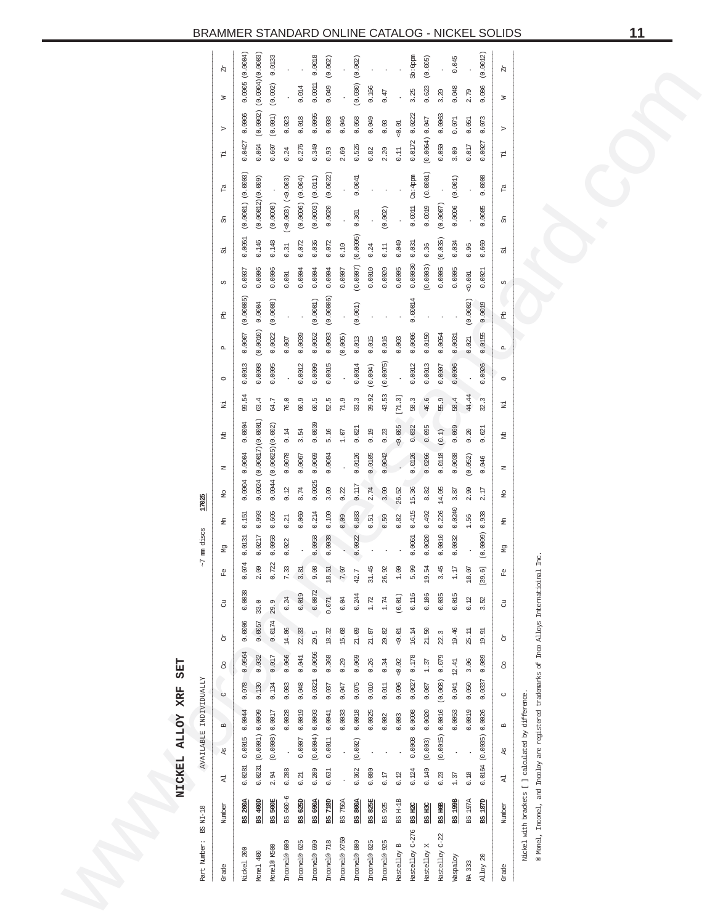<span id="page-10-0"></span>

| Part Number: BS NI-18 |                  |          |                      | AVAILABLE INDIVIDUALLY |         |        |        |           |               | $~7$ mm discs     | 17025  |           |                   |        |          |                             |           |                       |         |                       |          |                |                |                    |  |
|-----------------------|------------------|----------|----------------------|------------------------|---------|--------|--------|-----------|---------------|-------------------|--------|-----------|-------------------|--------|----------|-----------------------------|-----------|-----------------------|---------|-----------------------|----------|----------------|----------------|--------------------|--|
| Grade                 | Number           | է        | As                   | $\mathbf{m}$           | $\cup$  | 8      | ð      | $\vec{c}$ | P.            | €<br>운            | g      | $\square$ | 융                 | Ξ      | $\circ$  | $\mathbf{a}$                | 웂         | C)                    | 5       | F<br>සි               |          | ⊳<br>Ë         | z              | X                  |  |
| Nickel 200            | <b>BS 200A</b>   | 0.0281   | 0.0015               | 0.0044                 | 0.078   | 0.0564 | 0.0006 | 0.0038    | 0.074         | 0.151<br>0.0131   | 0.0004 | 0.0004    | 0.0004            | 99.54  | 0.0013   | 0.0007                      | (0.00005) | 0.0037                | 0.0051  | (0.0001) (0.0003)     |          | 0.0427         | 0.0006         | (0.0004)<br>0.0005 |  |
| Monel 400             | 400D<br>뗴        | 0.0231   |                      | (0.0001) 0.0009        | 0.130   | 0.032  | 0.0057 | 33.0      | 2.00          | 0.993<br>0.0217   | 0.0024 |           | (0.00017)(0.0001) | 63.4   | 0.0008   | (0.0010)                    | 0.0004    | 0.0006                | 0.146   | (0.00012)(0.009)      |          | 0.064          | (0.0002)       | (0.0004)(0.0003)   |  |
| Monel® K500           | <b>BS 500E</b>   | 2.94     |                      | (0.0008) 0.0017        | 0.134   | 0.017  | 0.0174 | 29.9      | 0.722         | 0.605<br>0.0058   | 0.0044 |           | (0.00025)(0.002)  | 64.7   | 0.0005   | 0.0022                      | (0.0008)  | 0.0006                | 0.148   | (0.0008)              |          | 0.607          | (0.001)        | 0.0133<br>(0.002)  |  |
| Incanel® 600          | $600 - 6$<br>SS. | 0.288    | ŀ,                   | 0.0028                 | 0.083   | 0.066  | 14.86  | 0.24      | 7.33          | 0.21<br>0.022     | 0.12   | 0.0078    | 0.14              | 76.0   |          | 0.007                       |           | 0.001                 | 0.31    | $(60.003)$ $(-0.003)$ |          | 0.24           | 0.023          |                    |  |
| Inconel® 625          | 625D<br>쪠        | 0.21     | 0.0007               | 0.0019                 | 0.048   | 0.041  | 22.33  | 0.019     | 3.81          | 0.069             | 8.74   | 0.0067    | 3.54              | 60.9   | 0.0012   | 0.0039                      |           | 0.0004                | 0.072   | (0.004)<br>(0.0006)   |          | 0.276          | 0.018          | 0.014              |  |
| Inconel® 690          | BS 690A          | 0.209    |                      | (0.0004) 0.0003        | 0.0321  | 0.0056 | 29.5   | 0.0072    | 9.08          | 0.214<br>0.0058   | 0.0025 | 0.0069    | 0.0039            | 60.5   | 0.0009   | 0.0052                      | (0.0001)  | 0.0004                | 0.036   | (0.011)<br>(0.0003)   |          | 0.340          | 0.0095         | 0.0018<br>0.0011   |  |
| Inconel® 718          | 718D<br>쪠        | 0.631    | 0.0011               | 0.0041                 | 0.037   | 0.368  | 18.32  | 0.071     | 18.51         | 0.100<br>0.0038   | 3.00   | 0.0084    | 5.16              | 52.5   | 0.0015   | 0.0083                      | (0.00006) | 0.0004                | 0.072   | 0.0020                | (0.0022) | 0.93           | 0.038          | (0.002)<br>0.049   |  |
| Inconel® X750         | 750A<br>8        |          | $\ddot{\phantom{0}}$ | 0.0033                 | 0.047   | 0.29   | 15.68  | 0.04      | 7.07          | 0.09              | 0.22   |           | 1.07              | 71.9   |          | (0.005)                     | $\cdot$   | 0.0007                | 0.10    |                       |          | 2.60           | 0.046          |                    |  |
| Inconel® 800          | <b>BS 800A</b>   | 0.362    | (0.002)              | 0.0018                 | 0.075   | 0.069  | 21.09  | 0.244     | 42.7          | 0.883<br>0.0022   | 0.117  | 0.0126    | 0.021             | 33.3   | 0.0014   | 0.013                       | (0.001)   | $(0.0007)$ $(0.0005)$ |         | 0.361                 | 0.0041   | 0.526          | 0.058          | (0.002)<br>(0.030) |  |
| Inconel® 825          | 825E<br>뗴        | 0.080    |                      | 0.0025                 | 0.010   | 0.26   | 21.87  | 1.72      | 31.45         | 0.51              | 2.74   | 0.0105    | 0.19              | 39.92  | (0.004)  | 0.015                       |           | 0.0010                | 0.24    |                       |          | 0.82           | 0.049          | 0.166              |  |
| Inconel® 925          | 925<br>8         | 0.17     |                      | 0.002                  | 0.011   | 0.34   | 20.82  | 1.74      | 26.92         | 0.50              | 3.00   | 0.0042    | 0.23              | 43.53  | (0.0075) | 0.016                       |           | 0.0020                | 0.11    | (0.002)               |          | 0.03<br>2.20   | 0.47           |                    |  |
| Hastelloy B           | BS H-1B          | 0.12     |                      | 0.003                  | 0.006   | 0.02   | 0.01   | (0.01)    | $\frac{0}{1}$ | 0.82              | 26.52  |           | 0.005             | [71.3] |          | 0.003                       |           | 0.0005                | 0.049   |                       |          | 0.01<br>0.11   |                |                    |  |
| Hastelloy C-276       | $rac{HZ}{2}$     | 0.124    | 0.0008               | 0.0008                 | 0.0027  | 0.178  | 16.14  | 0.116     | 5.99          | 0.415<br>0.0061   | 15.36  | 0.0126    | 0.032             | 58.3   | 0.0012   | 0.0086                      | 0.00014   | 0.00030               | 0.031   | 0.0011                | Ca: 4ppm | 0.0172         | 3.25<br>0.0222 | Sb:6ppm            |  |
| Hastelloy X           | <b>BS H3C</b>    | 0.149    | (0.003)              | 0.0020                 | 0.087   | 1.37   | 21.50  | 0.106     | 19.54         | 0.492<br>0.0020   | 8.82   | 0.0266    | 0.095             | 46.6   | 0.0013   | 0.0150                      |           | (0.0003)              | 0.36    | 0.0019                | (0.0001) | (0.0064) 0.047 |                | (0.005)<br>0.623   |  |
| Hastelloy C-22        | BS HGB           | 0.23     |                      | (0.0015) 0.0016        | (0.008) | 0.079  | 22.3   | 0.035     | 3.45          | 0.226<br>0.0010   | 14.05  | 0.0118    | (0.1)             | 55.9   | 0.0007   | 0.0054                      |           | 0.0005                | (0.035) | (0.0007)              |          | 0.050          | 3.20<br>0.0063 |                    |  |
| Vaspaloy              | BS 199B          | 1.37     |                      | 0.0053                 | 0.041   | 12.41  | 19.46  | 0.015     | 1.17          | 0.0240<br>0.0032  | 3.87   | 0.0038    | 0.069             | 58.4   | 0.0006   | 0.0031                      |           | 0.0005                | 0.034   | 0.0006                | (0.001)  | 3.00           | 0.071          | 0.045<br>0.048     |  |
| RA 333                | BS 197A          | 0.18     |                      | 0.0019                 | 0.050   | 3.06   | 25.11  | 0.12      | 18.07         | 1.56              | 2.99   | (0.052)   | 0.20              | 44.44  |          | 0.021                       | (0.0002)  | 0.001                 | 0.96    |                       |          | 0.017          | 2.79<br>0.051  |                    |  |
| 20<br>Alloy           | 187D<br>뗾        | 0.0164   |                      | (0.0035) 0.0026        | 0.0337  | 0.089  | 19.91  | 3.52      | [39.6]        | 0.938<br>(0.0009) | 2.17   | 0.046     | 0.621             | 32.3   | 0.0026   | 0.0155                      | 0.0019    | 0.0021                | 0.669   | 0.0085                | 0.0008   | 0.0027         | 0.073          | (0.0012)<br>0.086  |  |
| Grade                 | Number           | <b>Z</b> | Ąg                   | $\mathbf{m}$           | U       | 8      | ð      | 8         | P.            | €<br>ξ            | 울      | $\square$ | 윤                 | Ĕ      | $\circ$  | $\mathbf{\underline{\cap}}$ | B,        | S                     | 51      | F<br>a                |          | Þ<br>Ë         | z              | X                  |  |
|                       |                  |          |                      |                        |         |        |        |           |               |                   |        |           |                   |        |          |                             |           |                       |         |                       |          |                |                |                    |  |

NICKEL ALLOY XRF SET

Nickel with brackets [ ] calculated by difference.

® Monel, Inconel, and Incoloy are registered trademarks of Inco Alloys Internatioinal Inc.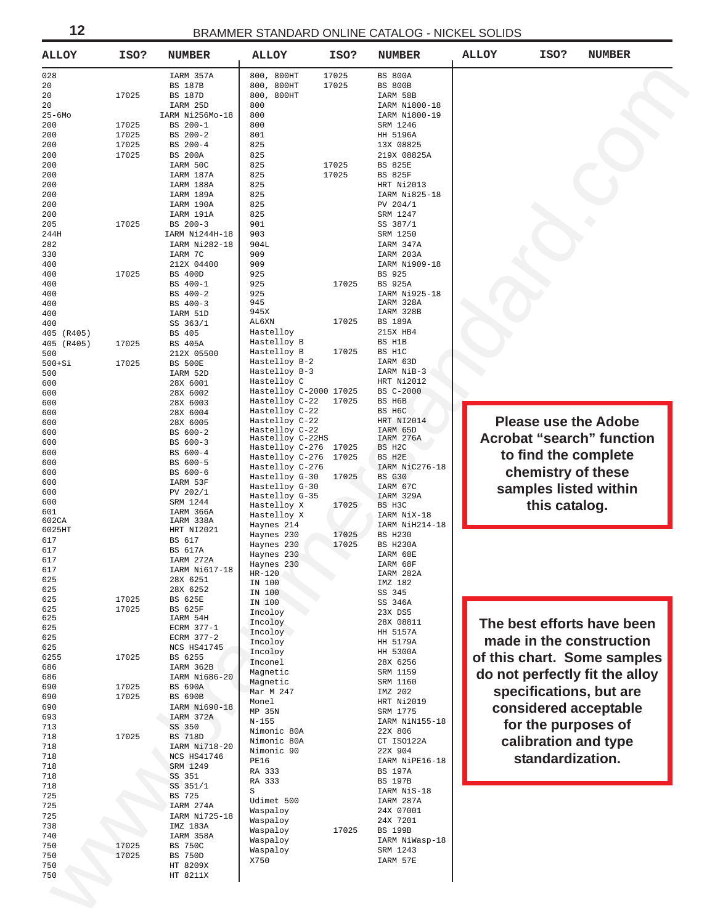<span id="page-11-0"></span>

| <b>ALLOY</b>  | ISO?  | <b>NUMBER</b>          | <b>ALLOY</b>                       | ISO?  | <b>NUMBER</b>         | <b>ALLOY</b> | ISO?                 | <b>NUMBER</b>                    |
|---------------|-------|------------------------|------------------------------------|-------|-----------------------|--------------|----------------------|----------------------------------|
| 028           |       | IARM 357A              | 800, 800HT                         | 17025 | <b>BS 800A</b>        |              |                      |                                  |
| 20            |       | <b>BS 187B</b>         | 800, 800HT                         | 17025 | <b>BS 800B</b>        |              |                      |                                  |
| 20            | 17025 | <b>BS 187D</b>         | 800, 800HT                         |       | IARM 58B              |              |                      |                                  |
| 20            |       | IARM 25D               | 800                                |       | IARM Ni800-18         |              |                      |                                  |
| $25 - 6$ Mo   |       | IARM Ni256Mo-18        | 800                                |       | IARM Ni800-19         |              |                      |                                  |
| 200           | 17025 | BS 200-1               | 800                                |       | SRM 1246              |              |                      |                                  |
| 200           | 17025 | BS 200-2               | 801                                |       | HH 5196A              |              |                      |                                  |
| 200           | 17025 | BS 200-4               | 825                                |       | 13X 08825             |              |                      |                                  |
| 200           | 17025 | <b>BS 200A</b>         | 825                                |       | 219X 08825A           |              |                      |                                  |
| 200           |       | IARM 50C               | 825                                | 17025 | <b>BS 825E</b>        |              |                      |                                  |
| 200           |       | IARM 187A              | 825                                | 17025 | <b>BS 825F</b>        |              |                      |                                  |
| 200           |       | IARM 188A              | 825                                |       | HRT Ni2013            |              |                      |                                  |
| 200           |       | IARM 189A              | 825                                |       | IARM Ni825-18         |              |                      |                                  |
| 200           |       | IARM 190A              | 825                                |       | PV 204/1              |              |                      |                                  |
| 200           |       | IARM 191A              | 825                                |       | SRM 1247              |              |                      |                                  |
| 205           | 17025 | BS 200-3               | 901                                |       | SS 387/1              |              |                      |                                  |
| 244H          |       | IARM Ni244H-18         | 903                                |       | SRM 1250              |              |                      |                                  |
| 282           |       | IARM Ni282-18          | 904L                               |       | IARM 347A             |              |                      |                                  |
| 330           |       | IARM 7C                | 909                                |       | IARM 203A             |              |                      |                                  |
| 400           |       | 212X 04400             | 909                                |       | IARM Ni909-18         |              |                      |                                  |
| 400           | 17025 | <b>BS 400D</b>         | 925                                |       | BS 925                |              |                      |                                  |
| 400           |       | BS 400-1               | 925                                | 17025 | <b>BS 925A</b>        |              |                      |                                  |
| 400           |       | BS 400-2               | 925                                |       | IARM Ni925-18         |              |                      |                                  |
| 400           |       | BS 400-3               | 945                                |       | IARM 328A             |              |                      |                                  |
| 400           |       | IARM 51D               | 945X                               |       | IARM 328B             |              |                      |                                  |
| 400           |       | SS 363/1               | AL6XN                              | 17025 | <b>BS 189A</b>        |              |                      |                                  |
| 405 (R405)    |       | <b>BS 405</b>          | Hastelloy                          |       | 215X HB4              |              |                      |                                  |
| (R405)<br>405 | 17025 | <b>BS 405A</b>         | Hastelloy B                        |       | BS H1B                |              |                      |                                  |
| 500           |       | 212X 05500             | Hastelloy B                        | 17025 | BS H1C                |              |                      |                                  |
| $500+Si$      | 17025 | <b>BS 500E</b>         | Hastelloy B-2                      |       | IARM 63D              |              |                      |                                  |
| 500           |       | IARM 52D               | Hastelloy B-3                      |       | IARM NiB-3            |              |                      |                                  |
| 600           |       | 28X 6001               | Hastelloy C                        |       | HRT Ni2012            |              |                      |                                  |
| 600           |       | 28X 6002               | Hastelloy C-2000 17025             |       | BS C-2000             |              |                      |                                  |
| 600           |       | 28X 6003               | Hastelloy C-22                     | 17025 | BS H6B                |              |                      |                                  |
| 600           |       | 28X 6004               | Hastelloy C-22                     |       | BS H6C                |              |                      |                                  |
| 600           |       | 28X 6005               | Hastelloy C-22                     |       | HRT NI2014            |              |                      | <b>Please use the Adobe</b>      |
| 600           |       | BS 600-2               | Hastelloy C-22<br>Hastelloy C-22HS |       | IARM 65D<br>IARM 276A |              |                      | <b>Acrobat "search" function</b> |
| 600           |       | BS 600-3               | Hastelloy C-276                    | 17025 | BS H2C                |              |                      |                                  |
| 600           |       | BS 600-4               | Hastelloy C-276                    | 17025 | BS H2E                |              |                      | to find the complete             |
| 600           |       | BS 600-5               | Hastelloy C-276                    |       | IARM NiC276-18        |              |                      |                                  |
| 600           |       | BS 600-6               | Hastelloy G-30                     | 17025 | <b>BS G30</b>         |              | chemistry of these   |                                  |
| 600           |       | IARM 53F               | Hastelloy G-30                     |       | IARM 67C              |              |                      | samples listed within            |
| 600           |       | PV 202/1               | Hastelloy G-35                     |       | IARM 329A             |              |                      |                                  |
| 600           |       | SRM 1244               | Hastelloy X                        | 17025 | BS H3C                |              | this catalog.        |                                  |
| 601<br>602CA  |       | IARM 366A<br>IARM 338A | Hastelloy X                        |       | IARM NiX-18           |              |                      |                                  |
| 6025HT        |       | HRT NI2021             | Haynes 214                         |       | IARM NiH214-18        |              |                      |                                  |
| 617           |       | BS 617                 | Haynes 230                         | 17025 | <b>BS H230</b>        |              |                      |                                  |
| 617           |       | <b>BS 617A</b>         | Haynes 230                         | 17025 | BS H230A              |              |                      |                                  |
| 617           |       | IARM 272A              | Haynes 230                         |       | IARM 68E              |              |                      |                                  |
| 617           |       | IARM Ni617-18          | Haynes 230                         |       | IARM 68F              |              |                      |                                  |
| 625           |       | 28X 6251               | $HR-120$                           |       | IARM 282A<br>IMZ 182  |              |                      |                                  |
| 625           |       | 28X 6252               | IN 100<br>IN 100                   |       | SS 345                |              |                      |                                  |
| 625           | 17025 | <b>BS 625E</b>         | IN 100                             |       | SS 346A               |              |                      |                                  |
| 625           | 17025 | BS 625F                | Incoloy                            |       | 23X DS5               |              |                      |                                  |
| 625           |       | IARM 54H               | Incoloy                            |       | 28X 08811             |              |                      | The best efforts have been       |
| 625           |       | ECRM 377-1             | Incoloy                            |       | HH 5157A              |              |                      |                                  |
| 625           |       | ECRM 377-2             | Incoloy                            |       | HH 5179A              |              |                      | made in the construction         |
| 625           |       | NCS HS41745            | Incoloy                            |       | HH 5300A              |              |                      |                                  |
| 6255          | 17025 | BS 6255                | Inconel                            |       | 28X 6256              |              |                      | of this chart. Some samples      |
| 686           |       | IARM 362B              | Magnetic                           |       | SRM 1159              |              |                      | do not perfectly fit the alloy   |
| 686           |       | IARM Ni686-20          | Magnetic                           |       | SRM 1160              |              |                      |                                  |
| 690           | 17025 | <b>BS 690A</b>         | Mar M 247                          |       | IMZ 202               |              |                      | specifications, but are          |
| 690           | 17025 | <b>BS 690B</b>         | Monel                              |       | HRT Ni2019            |              |                      |                                  |
| 690           |       | IARM Ni690-18          | MP 35N                             |       | SRM 1775              |              |                      | considered acceptable            |
| 693<br>713    |       | IARM 372A<br>SS 350    | $N - 155$                          |       | IARM NiN155-18        |              | for the purposes of  |                                  |
| 718           | 17025 | <b>BS 718D</b>         | Nimonic 80A                        |       | 22X 806               |              |                      |                                  |
| 718           |       | IARM Ni718-20          | Nimonic 80A                        |       | CT ISO122A            |              | calibration and type |                                  |
| 718           |       | NCS HS41746            | Nimonic 90                         |       | 22X 904               |              | standardization.     |                                  |
| 718           |       | SRM 1249               | PE16                               |       | IARM NiPE16-18        |              |                      |                                  |
| 718           |       | SS 351                 | RA 333                             |       | <b>BS 197A</b>        |              |                      |                                  |
| 718           |       | SS 351/1               | RA 333                             |       | <b>BS 197B</b>        |              |                      |                                  |
| 725           |       | BS 725                 | S                                  |       | IARM NiS-18           |              |                      |                                  |
| 725           |       | IARM 274A              | Udimet 500                         |       | IARM 287A             |              |                      |                                  |
| 725           |       | IARM Ni725-18          | Waspaloy                           |       | 24X 07001             |              |                      |                                  |
| 738           |       | IMZ 183A               | Waspaloy                           |       | 24X 7201              |              |                      |                                  |
| 740           |       | IARM 358A              | Waspaloy                           | 17025 | <b>BS 199B</b>        |              |                      |                                  |
| 750           | 17025 | <b>BS 750C</b>         | Waspaloy                           |       | IARM NiWasp-18        |              |                      |                                  |
|               | 17025 | <b>BS 750D</b>         | Waspaloy                           |       | SRM 1243              |              |                      |                                  |
| 750           |       |                        | X750                               |       | IARM 57E              |              |                      |                                  |
| 750           |       | HT 8209X               |                                    |       |                       |              |                      |                                  |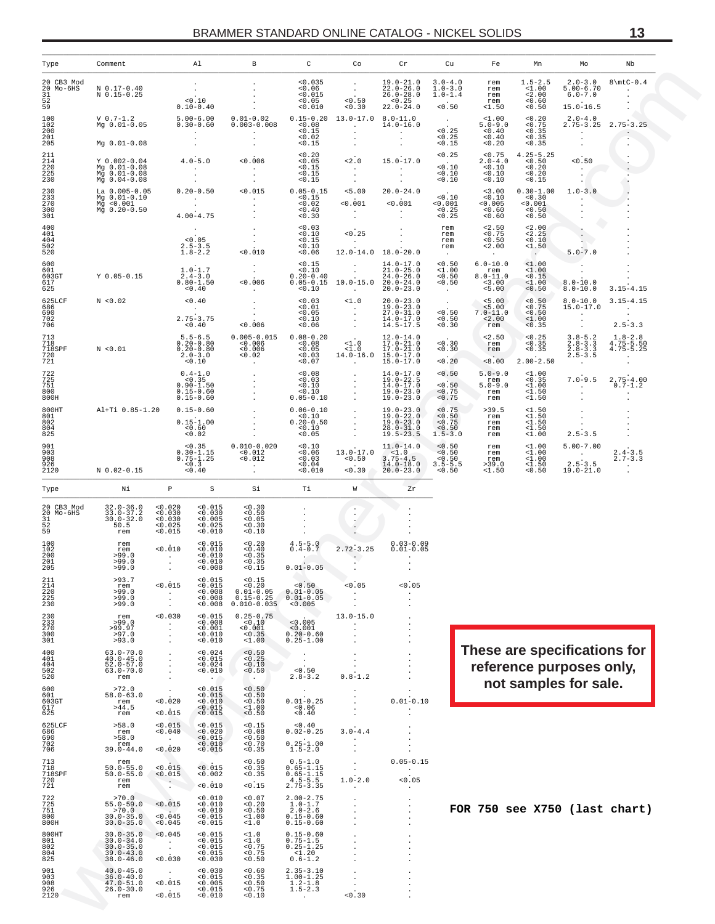<span id="page-12-0"></span>

| Type                                             | Comment                                                                           |                                                 | Al                                                                     | В                                                                                | C                                                                                | Co                                                                                                         | Cr                                                                                                 | Cu                                                            | Fe                                                      | Mn                                                      | Мo                                                                          | Nb                                                                              |
|--------------------------------------------------|-----------------------------------------------------------------------------------|-------------------------------------------------|------------------------------------------------------------------------|----------------------------------------------------------------------------------|----------------------------------------------------------------------------------|------------------------------------------------------------------------------------------------------------|----------------------------------------------------------------------------------------------------|---------------------------------------------------------------|---------------------------------------------------------|---------------------------------------------------------|-----------------------------------------------------------------------------|---------------------------------------------------------------------------------|
| 20 CB3 Mod<br>20 Mo-6HS<br>31<br>52<br>59        | N 0.17-0.40<br>N 0.15-0.25                                                        |                                                 | $\sim$<br>< 0.10<br>$0.10 - 0.40$                                      | $\cdot$                                                                          | < 0.035<br>0.06<br>< 0.015<br>< 0.05<br>< 0.010                                  | $\blacksquare$<br>$\sim 100$<br>$\frac{1}{60}$ :50<br>< 0.30                                               | $19.0 - 21.0$<br>$22.0 - 26.0$<br>$26.0 - 28.0$<br>< 0.25<br>$22.0 - 24.0$                         | $3.0 - 4.0$<br>$1.0 - 3.0$<br>$1.0 - 1.4$<br>< 0.50           | rem<br>rem<br>rem<br>rem<br>$1.50$                      | $1.5 - 2.5$<br>< 1.00<br>2.00<br>0.60<br>< 0.50         | $2.0 - 3.0$<br>$5.00 - 6.70$<br>$6.0 - 7.0$<br>$15.0 - 16.5$                | $8\ntC-0.4$<br>$\sim$<br>$\cdot$                                                |
| 100<br>102<br>200<br>201<br>205                  | $V_0.7-1.2$<br>Mg 0.01-0.05<br>Mg 0.01-0.08                                       |                                                 | $5.00 - 6.00$<br>$0.30 - 0.60$<br>$\sim$                               | $0.01 - 0.02$<br>$0.003 - 0.008$<br>$\sim 100$<br>$\cdot$                        | < 0.08<br>< 0.15<br>0.02<br>0.15                                                 | $0.15 - 0.20$ 13.0-17.0<br><b>Contractor</b><br>$\sim$<br>$\sim$<br>$\sim$                                 | $8.0 - 11.0$<br>$14.0 - 16.0$<br><b>Contractor</b><br>$\sim$                                       | $\begin{array}{c} 0.25 \\ -0.25 \end{array}$<br>0.15          | $1.00$<br>$5.0 - 9.0$<br>< 0.40<br>< 0.40<br>< 0.20     | 0.20<br>< 0.75<br>< 0.35<br>< 0.35<br>0.35              | $2.0 - 4.0$<br><b>Contractor</b><br>$\sim$                                  | $2.75 - 3.25$ $2.75 - 3.25$<br>$\sim$ $\sim$<br>$\cdot$<br>$\ddot{\phantom{0}}$ |
| 211<br>214<br>220<br>225<br>230                  | Y 0.002-0.04<br>Mg 0.01-0.08<br>Mg 0.01-0.08<br>Mg 0.04-0.08                      |                                                 | $4.0 - 5.0$<br><b>Contractor</b><br>$\cdot$<br>$\sim$                  | < 0.006<br>$\sim 100$ km s $^{-1}$<br>$\sim$<br>$\sim$                           | 0.20<br>0.05<br>0.15<br>< 0.15<br>0.15                                           | < 2.0<br>$\sim 100$<br>$\sim$ $-$<br>$\sim$ 100 $\mu$                                                      | $15.0 - 17.0$<br><b>Contractor</b><br>$\sim$<br>$\sim$                                             | < 0.25<br>$\frac{1}{20}$ :10<br>0.10<br>0.10                  | < 0.75<br>$2.0 - 4.0$<br>0.10<br>0.10<br>0.10           | $4.25 - 5.25$<br>< 0.50<br>0.20<br>0.20<br>< 0.15       | < 0.50<br><b>Contract Contract</b><br>$\sim$ $\sim$<br>$\sim$ $\sim$        |                                                                                 |
| 230<br>233<br>270<br>300<br>301                  | La 0.005-0.05<br>Mg 0.01-0.10<br>Mg < 0.001<br>Mg 0.20-0.50                       |                                                 | $0.20 - 0.50$<br>and the state of<br>$\sim 10^{-10}$<br>$4.00 - 4.75$  | < 0.015<br><b>Contractor</b><br>$\ddot{\phantom{a}}$<br>$\sim$                   | $0.05 - 0.15$<br>< 0.15<br>< 0.02<br>0.40<br>0.30                                | < 5.00<br>< 0.001<br><b>Contractor</b><br>$\sim$ $-$                                                       | $20.0 - 24.0$<br>< 0.001<br><b>Contractor</b>                                                      | < 0.10<br>< 0.001<br>< 0.25<br>< 0.25                         | < 3.00<br>< 0.10<br>< 0.005<br>0.60<br>0.60             | $0.30 - 1.00$<br>< 0.30<br>< 0.001<br>< 0.50<br>0.50    | $1.0 - 3.0$<br><b>Contractor</b>                                            |                                                                                 |
| 400<br>401<br>404<br>502<br>520                  |                                                                                   |                                                 | < 0.05<br>$2.5 - 3.5$<br>$1.8 - 2.2$                                   | $\sim 10^{-11}$<br>$\sim 100$<br>< 0.010                                         | 0.03<br>0.10<br>< 0.15<br>< 0.10<br>< 0.06                                       | < 0.25<br><b>Contract</b>                                                                                  | $\sim 100$<br>$12.0 - 14.0$ $18.0 - 20.0$                                                          | rem<br>rem<br>rem<br>rem                                      | < 2.50<br>< 0.75<br>< 0.50<br>2.00<br><b>Contractor</b> | < 2.00<br>< 2.25<br>< 0.10<br>< 1.50                    | $\overline{\mathcal{L}}$<br>Y)<br>$5.0 - 7.0$                               |                                                                                 |
| 600<br>601<br>603GT<br>617<br>625                | $Y$ 0.05-0.15                                                                     |                                                 | $1.0 - 1.7$<br>$2.4 - 3.0$<br>$0.80 - 1.50$<br>0.40                    | $\sim 100$<br>$\frac{1}{2}$<br>0.006<br><b>Contractor</b>                        | < 0.15<br>$0.20 - 0.40$<br>$0.05 - 0.15$<br>< 0.10                               | $\sim 10^{-11}$<br>$\sim$<br>10.0-15.0 20.0-24.0                                                           | $14.0 - 17.0$<br>$21.0 - 25.0$<br>$24.0 - 26.0$<br>$20.0 - 23.0$                                   | < 0.50<br>${}^{<1.00}_{<0.50}$<br>0.50                        | $6.0 - 10.0$<br>rem<br>$8.0 - 11.0$<br>< 3.00<br>< 5.00 | $\sim$<br><1.00<br>1.00<br>< 0.15<br>$1.00$<br>< 0.50   | $\sim$<br>$8.0 - 10.0$<br>$8.0 - 10.0$                                      | $3.15 - 4.15$                                                                   |
| 625LCF<br>686<br>690<br>702                      | N < 0.02                                                                          |                                                 | < 0.40<br><b>Contractor</b><br>$2.75 - 3.75$                           | $\sim 100$<br>$\begin{array}{c} \cdot \cdot \\ \cdot \\ \cdot 0.006 \end{array}$ | $\substack{<0.03\ 0.01}$<br>0.05<br>< 0.10                                       | <b>Contract Contract</b><br><1.0<br>$\sim 100$ km s $^{-1}$<br>$\sim$ 10 $\sim$<br>$\sim 100$ km s $^{-1}$ | $20.0 - 23.0$<br>$19.0 - 23.0$<br>$27.0 - 31.0$<br>14.0-17.0                                       | $\sim 100$<br>$\sim 100$<br>< 0.50<br>< 0.50                  | $\frac{5.00}{5.00}$<br>$7.0 - 11.0$<br>< 2.00           | < 0.50<br>< 0.75<br>< 0.50<br>$1.00$                    | $8.0 - 10.0$<br>$15.0 - 17.0$<br>and the state of<br>$\sim 100$             | $3.15 - 4.15$<br><b>Contractor</b><br>$\sim$<br>$2.5 - 3.3$                     |
| 706<br>713<br>718<br>718SPF<br>720               | N < 0.01                                                                          |                                                 | < 0.40<br>$5.5 - 6.5$<br>$0.20 - 0.80$<br>$0.20 - 0.80$<br>$2.0 - 3.0$ | $0.005 - 0.015$ $0.08 - 0.20$<br>< 0.006<br>0.006<br>< 0.02                      | < 0.06<br>< 0.08<br>< 0.05<br>0.03                                               | $\sim 100$<br><1.0<br>< 1.0                                                                                | $14.5 - 17.5$<br>$12.0 - 14.0$<br>$17.0 - 21.0$<br>$17.0 - 21.0$<br>14.0-16.0 15.0-17.0            | 0.30<br>< 0.30<br>0.30<br>< 0.20                              | rem<br>< 2.50<br>rem<br>rem<br>< 8.00                   | < 0.35<br>< 0.25<br>< 0.35<br>0.35<br>$2.00 - 2.50$     | $\sim 10^{-11}$<br>$3.8 - 5.2$<br>$2.8 - 3.3$<br>$2.8 - 3.3$<br>$2.5 - 3.5$ | $1.8 - 2.8$<br>$4.75 - 5.50$<br>$4.75 - 5.25$<br>$\sim 100$                     |
| 721<br>722<br>725<br>751<br>800                  |                                                                                   |                                                 | 0.10<br>$0.4 - 1.0$<br>< 0.35<br>$0.90 - 1.50$<br>$0.15 - 0.60$        | <b>Contract</b><br>$\sim$<br>$\sim$<br>$\cdot$                                   | < 0.07<br>0.08<br>0.03<br>< 0.10<br>< 0.10                                       | <b>Contract Contract Contract</b><br>$\sim$<br>$\sim$<br>$\sim$<br>$\sim$                                  | $15.0 - 17.0$<br>$14.0 - 17.0$<br>$19.0 - 22.5$<br>$14.0 - 17.0$<br>$19.0 - 23.0$                  | 0.50<br>< 0.50<br>< 0.75                                      | $5.0 - 9.0$<br>rem<br>$5.0 - 9.0$<br>rem                | $1.00$<br>< 0.35<br>1.00<br>1.50                        | <b>Contractor</b><br>$7.0 - 9.5$<br><b>Contact Contact</b><br>$\sim$        | $\cdot$<br>$2.75 - 4.00$<br>$0.7 - 1.2$<br><b>Contract</b>                      |
| 800H<br>800HT<br>801<br>802<br>804<br>825        | Al+Ti 0.85-1.20                                                                   |                                                 | $0.15 - 0.60$<br>$0.15 - 0.60$<br>$0.15 - 1.00$<br>< 0.60<br>< 0.02    | $\cdot$<br>$\cdot$<br>$\ddot{\phantom{0}}$                                       | $0.05 - 0.10$<br>$0.06 - 0.10$<br>< 0.10<br>$0.20 - 0.50$<br>< 0.10<br>0.05      | $\ddot{\phantom{a}}$<br>$\sim$<br>$\sim$<br>$\sim$                                                         | $19.0 - 23.0$<br>$19.0 - 23.0$<br>$19.0 - 22.0$<br>$19.0 - 23.0$<br>$28.0 - 31.0$<br>$19.5 - 23.5$ | < 0.75<br>< 0.75<br>< 0.50<br>< 0.75<br>< 0.50<br>$1.5 - 3.0$ | rem<br>>39.5<br>rem<br>rem<br>rem                       | $1.50$<br>$1.50$<br>$1.50$<br>$1.50$<br>$1.50$          | $\sim$<br>$\sim 10^{-1}$<br>$2.5 - 3.5$                                     |                                                                                 |
| 901<br>903<br>908<br>926<br>2120                 | N 0.02-0.15                                                                       |                                                 | < 0.35<br>$0.30-1.15$<br>$0.75-1.25$<br>0.3<br>0.40                    | $0.010 - 0.020$<br>< 0.012<br>< 0.012<br>$\sim$<br>$\ddot{\phantom{a}}$          | 0.10<br>0.06<br>0.03<br>0.04<br>< 0.010                                          | $13.0 - 17.0$<br>0.50<br>0.30                                                                              | $11.0 - 14.0$<br>$3.75 - 4.5$<br>$14.0 - 18.0$<br>$20.0 - 23.0$                                    | < 0.50<br>0.50<br>< 0.50<br>$3.5 - 5.5$<br>< 0.50             | rem<br>rem<br>rem<br>rem<br>>39.0<br>$1.50$             | $1.00$<br>$1.00$<br>$1.00$<br>$1.00$<br><1.50<br>< 0.50 | $5.00 - 7.00$<br><b>Contract Contract</b><br>$2.5 - 3.5$<br>$19.0 - 21.0$   | $2.4 - 3.5$<br>$2.7 - 3.3$<br>$\sim$<br>$\mathbf{r}$                            |
| Type                                             | Νi                                                                                | $\mathbb{P}$                                    | S                                                                      | Si                                                                               | Тi                                                                               | W                                                                                                          | ${\rm Zr}$                                                                                         |                                                               |                                                         |                                                         |                                                                             |                                                                                 |
| 20 CB3 Mod<br>20 Mo-6HS<br>31<br>$\frac{52}{59}$ | $32.0 - 36.0$<br>$33.0 - 37.2$<br>$30.0 - 32.0$<br>50.5<br>rem                    | 0.020<br>< 0.030<br>0.030<br>< 0.025            | 0.015<br>0.030<br>0.005<br>< 0.025                                     | 0.30<br>< 0.50<br>0.05<br>< 0.30                                                 | $\cdot$                                                                          | ٠.<br>$\cdot$<br>Ż,                                                                                        |                                                                                                    |                                                               |                                                         |                                                         |                                                                             |                                                                                 |
| 100<br>102<br>200<br>201<br>-205                 | rem<br>rem<br>>99.0<br>>99.0<br>>99.0                                             | 0.015<br>< 0.010<br><b>Contractor</b><br>$\sim$ | 0.010<br>0.015<br>< 0.010<br>0.010<br>< 0.010<br>0.008                 | 0.10<br>< 0.20<br>0.40<br>< 0.35<br>< 0.35<br>< 0.15                             | $4.5 - 5.0$<br>$0.4 - 0.7$<br><b>Contract Contract Contract</b><br>$0.01 - 0.05$ | $2.72 - 3.25$<br>$\sim$                                                                                    | $0.03 - 0.09$<br>$0.01 - 0.05$                                                                     |                                                               |                                                         |                                                         |                                                                             |                                                                                 |
| $^{211}_{214}$<br>220<br>225<br>230              | >93.7<br>rem<br>>99.0<br>>99.0<br>>99.0                                           | < 0.015                                         | 0.015<br>< 0.015<br>0.008<br>0.008<br>0.008                            | < 0.15<br>0.20<br>$0.01 - 0.05$<br>$0.15 - 0.25$<br>$0.010 - 0.035$              | 0.50<br>$0.01 - 0.05$<br>$0.01 - 0.05$<br>0.005                                  | 0.05                                                                                                       | 0.05                                                                                               |                                                               |                                                         |                                                         |                                                                             |                                                                                 |
| 230<br>233<br>270<br>300<br>301                  | rem<br>>99.0<br>>99.97<br>>97.0<br>>93.0                                          | 0.030<br>$\cdot$                                | 0.015<br>0.008<br>0.001<br>0.010<br>0.010                              | $0.25 - 0.75$<br>0.10<br>0.001<br>0.35<br>$1.00$                                 | < 0.005<br>< 0.001<br>$0.20 - 0.60$<br>$0.25 - 1.00$                             | $13.0 - 15.0$                                                                                              | $\cdot$<br>$\cdot$<br>$\cdot$                                                                      |                                                               |                                                         |                                                         |                                                                             |                                                                                 |
| 400<br>401<br>404<br>502<br>520                  | $63.0 - 70.0$<br>$40.0 - 45.0$<br>$52.0 - 57.0$<br>$63.0 - 70.0$<br>rem           | $\cdot$<br>$\cdot$<br>$\overline{\phantom{a}}$  | 0.024<br>0.015<br>0.024<br>0.010                                       | 0.50<br>< 0.25<br>0.10<br>0.50                                                   | < 0.50<br>$2.8 - 3.2$                                                            | $0.8 - 1.2$                                                                                                | $\cdot$<br>$\cdot$<br>$\cdot$                                                                      |                                                               |                                                         |                                                         | These are specifications for<br>reference purposes only,                    |                                                                                 |
| 600<br>601<br>603GT<br>617<br>625                | >72.0<br>$58.0 - 63.0$<br>rem<br>>44.5<br>rem                                     | $\cdot$<br>0.020<br>0.015                       | 0.015<br>0.015<br>0.010<br>< 0.015<br>< 0.015                          | 0.50<br>0.50<br>0.50<br>1.00<br>0.50                                             | $0.01 - 0.25$<br>0.06<br>0.40                                                    |                                                                                                            | $0.01 - 0.10$                                                                                      |                                                               |                                                         |                                                         | not samples for sale.                                                       |                                                                                 |
| 625LCF<br>686<br>690<br>702<br>706               | >58.0<br>rem<br>>58.0<br>rem<br>$39.0 - 44.0$                                     | 0.015<br>0.040<br>0.020                         | 0.015<br>0.020<br>0.015<br>0.010<br>0.015                              | < 0.15<br>0.08<br>0.50<br>0.70<br>0.35                                           | 0.40<br>$0.02 - 0.25$<br>$0.25 - 1.00$<br>$1.5 - 2.0$                            | $3.0 - 4.4$                                                                                                |                                                                                                    |                                                               |                                                         |                                                         |                                                                             |                                                                                 |
| 713<br>718<br><b>718SPF</b><br>720<br>721        | rem<br>$50.0 - 55.0$<br>$50.0 - 55.0$<br>rem<br>rem                               | < 0.015<br>0.015<br>$\cdot$                     | < 0.015<br>0.002<br>0.010                                              | 0.50<br>< 0.35<br>0.35<br>< 0.15                                                 | $0.5 - 1.0$<br>$0.65 - 1.15$<br>$0.65 - 1.15$<br>$4.5 - 5.5$<br>$2.75 - 3.35$    | $1.0 - 2.0$                                                                                                | $0.05 - 0.15$<br>$\cdot$<br>0.05                                                                   |                                                               |                                                         |                                                         |                                                                             |                                                                                 |
| 722<br>725<br>751<br>800<br>800H                 | >70.0<br>$55.0 - 59.0$<br>>70.0<br>$30.0 - 35.0$<br>$30.0 - 35.0$                 | < 0.015<br>< 0.045<br>0.045                     | 0.010<br>0.010<br>0.010<br>0.015<br>0.015                              | <0.07<br>0.20<br>< 0.50<br>1.00<br>< 1.0                                         | $2.00-2.75$<br>1.0-1.7<br>$2.0 - 2.6$<br>$0.15 - 0.60$<br>$0.15 - 0.60$          | $\cdot$                                                                                                    | $\cdot$                                                                                            |                                                               |                                                         |                                                         | FOR 750 see X750 (last chart)                                               |                                                                                 |
| 800HT<br>801<br>802<br>804<br>825                | $30.0 - 35.0$<br>$30.0 - 34.0$<br>$30.0 - 35.0$<br>$39.0 - 43.0$<br>$38.0 - 46.0$ | 0.045<br>$\overline{\phantom{a}}$<br>0.030      | 0.015<br>0.015<br>0.015<br>0.015<br>0.030                              | $1.0$<br>$1.0$<br>$\begin{array}{c} 0.75 \\ 0.75 \end{array}$<br>0.50            | $0.15 - 0.60$<br>$0.75 - 1.5$<br>$0.25 - 1.25$<br><1.20<br>$0.6 - 1.2$           | $\cdot$<br>$\overline{\phantom{a}}$                                                                        | $\cdot$                                                                                            |                                                               |                                                         |                                                         |                                                                             |                                                                                 |
| 901<br>903<br>908<br>926                         | $40.0 - 45.0$<br>$36.0 - 40.0$<br>$47.0 - 51.0$<br>$26.0 - 30.0$                  | $\cdot$<br>0.015                                | 0.030<br>0.015<br>0.005<br>0.015                                       | 0.60<br>< 0.35<br>0.50<br>< 0.75                                                 | $2.35 - 3.10$<br>$1.00 - 1.25$<br>$1.2 - 1.8$<br>$1.5 - 2.3$                     | $\cdot$<br>$\cdot$                                                                                         | $\cdot$<br>$\cdot$<br>$\cdot$                                                                      |                                                               |                                                         |                                                         |                                                                             |                                                                                 |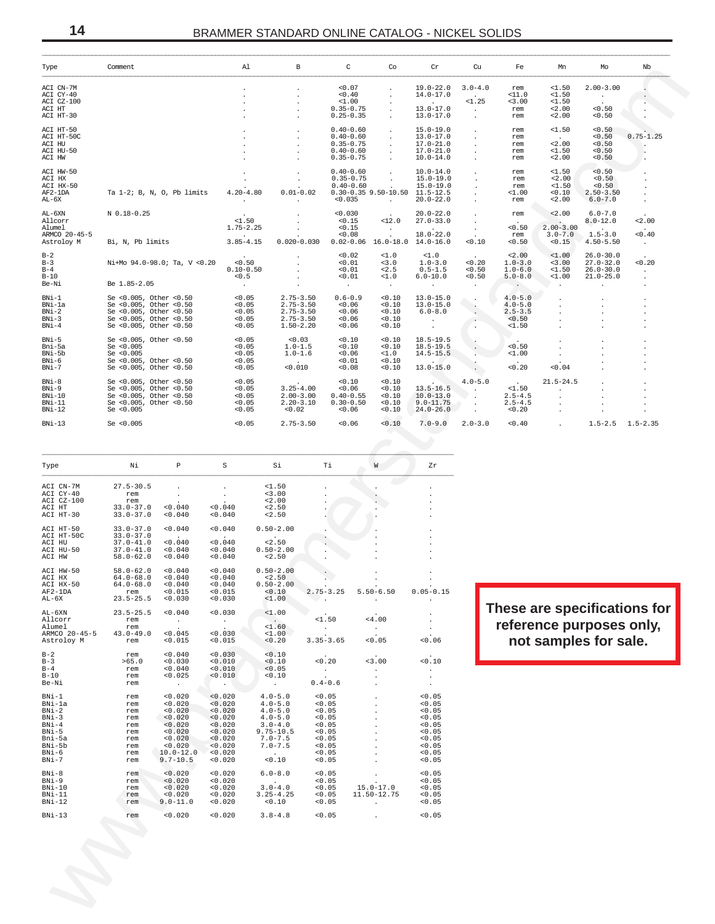| Type                                                                                                | Comment                                                                                                                        |                                                                                                           |                                                                                            |                                                                                                                            |                                                                              |                                                                                      |                                                           |                                                                                   |                                                    |                                                                     |                                                                   |                                                                                   |                                      |
|-----------------------------------------------------------------------------------------------------|--------------------------------------------------------------------------------------------------------------------------------|-----------------------------------------------------------------------------------------------------------|--------------------------------------------------------------------------------------------|----------------------------------------------------------------------------------------------------------------------------|------------------------------------------------------------------------------|--------------------------------------------------------------------------------------|-----------------------------------------------------------|-----------------------------------------------------------------------------------|----------------------------------------------------|---------------------------------------------------------------------|-------------------------------------------------------------------|-----------------------------------------------------------------------------------|--------------------------------------|
|                                                                                                     |                                                                                                                                |                                                                                                           | Al                                                                                         | В                                                                                                                          |                                                                              | C                                                                                    | Co                                                        | Cr                                                                                | Cu                                                 | Fe                                                                  | Mn                                                                | Mo                                                                                | Nb                                   |
| ACI CN-7M<br>ACI CY-40<br>ACI CZ-100<br>ACI HT<br>ACI HT-30                                         |                                                                                                                                |                                                                                                           |                                                                                            |                                                                                                                            |                                                                              | 0.07<br>0.40<br>< 1.00<br>$0.35 - 0.75$<br>$0.25 - 0.35$                             | $\cdot$<br>$\cdot$                                        | $19.0 - 22.0$<br>$14.0 - 17.0$<br>$13.0 - 17.0$<br>$13.0 - 17.0$                  | $3.0 - 4.0$<br><1.25<br>$\cdot$<br>$\cdot$         | rem<br>< 11.0<br>3.00<br>rem<br>rem                                 | < 1.50<br>< 1.50<br>< 1.50<br>2.00<br>< 2.00                      | $2.00 - 3.00$<br>$\cdot$<br>0.50<br>0.50                                          |                                      |
| ACI HT-50<br>ACI HT-50C<br>ACI HU<br>ACI HU-50<br>ACI HW                                            |                                                                                                                                |                                                                                                           |                                                                                            |                                                                                                                            |                                                                              | $0.40 - 0.60$<br>$0.40 - 0.60$<br>$0.35 - 0.75$<br>$0.40 - 0.60$<br>$0.35 - 0.75$    | $\cdot$<br>$\cdot$<br>$\cdot$<br>$\cdot$                  | $15.0 - 19.0$<br>$13.0 - 17.0$<br>$17.0 - 21.0$<br>$17.0 - 21.0$<br>$10.0 - 14.0$ | $\cdot$<br>$\cdot$<br>$\cdot$<br>$\cdot$           | rem<br>rem<br>rem<br>rem<br>rem                                     | < 1.50<br>$\cdot$<br>2.00<br>< 1.50<br>< 2.00                     | 0.50<br>0.50<br>0.50<br>0.50<br>0.50                                              | $0.75 - 1.25$                        |
| ACI HW-50<br>ACI HX<br>ACI HX-50<br>$AF2-1DA$<br>AL-6X                                              | Ta $1-2$ ; B, N, O, Pb limits                                                                                                  |                                                                                                           | $4.20 - 4.80$                                                                              | $0.01 - 0.02$                                                                                                              |                                                                              | $0.40 - 0.60$<br>$0.35 - 0.75$<br>$0.40 - 0.60$<br>$0.30 - 0.35$ 9.50-10.50<br>0.035 | $\ddot{\phantom{a}}$                                      | $10.0 - 14.0$<br>$15.0 - 19.0$<br>$15.0 - 19.0$<br>$11.5 - 12.5$<br>$20.0 - 22.0$ | $\cdot$<br>$\cdot$                                 | rem<br>rem<br>rem<br>$1.00$<br>rem                                  | < 1.50<br>2.00<br><1.50<br>0.10<br>2.00                           | 0.50<br>< 0.50<br>< 0.50<br>$2.50 - 3.50$<br>$6.0 - 7.0$                          |                                      |
| AL-6XN<br>Allcorr<br>Alumel<br>ARMCO 20-45-5<br>Astroloy M                                          | N 0.18-0.25<br>Bi, N, Pb limits                                                                                                |                                                                                                           | < 1.50<br>$1.75 - 2.25$<br>$3.85 - 4.15$                                                   | $0.020 - 0.030$                                                                                                            |                                                                              | 0.030<br>< 0.15<br>< 0.15<br>0.08<br>$0.02 - 0.06$                                   | <12.0<br>$\cdot$<br>$\ddot{\phantom{a}}$<br>$16.0 - 18.0$ | $20.0 - 22.0$<br>$27.0 - 33.0$<br>$18.0 - 22.0$<br>$14.0 - 16.0$                  | $\cdot$<br>$\cdot$<br>0.10                         | rem<br>$\sim$<br>0.50<br>rem<br>< 0.50                              | < 2.00<br>$\rightarrow$<br>$2.00 - 3.00$<br>$3.0 - 7.0$<br>< 0.15 | $6.0 - 7.0$<br>$8.0 - 12.0$<br>$1.5 - 3.0$<br>$4.50 - 5.50$                       | 2.00<br>0.40<br>$\ddot{\phantom{a}}$ |
| $B-2$<br>$B-3$<br>$B-4$<br>$B-10$<br>Be-Ni                                                          | Ni+Mo 94.0-98.0; Ta, V <0.20<br>Be 1.85-2.05                                                                                   |                                                                                                           | < 0.50<br>$0.10 - 0.50$<br>0.5<br>$\cdot$                                                  |                                                                                                                            |                                                                              | 0.02<br>< 0.01<br>< 0.01<br>< 0.01<br>$\cdot$                                        | <1.0<br>3.0<br>2.5<br><1.0<br>$\blacksquare$              | <1.0<br>$1.0 - 3.0$<br>$0.5 - 1.5$<br>$6.0 - 10.0$                                | < 0.20<br>0.50<br>0.50<br>$\cdot$                  | 2.00<br>$1.0 - 3.0$<br>$1.0 - 6.0$<br>$5.0 - 8.0$<br>$\blacksquare$ | < 1.00<br>3.00<br>< 1.50<br>< 1.00<br>$\cdot$                     | $26.0 - 30.0$<br>$27.0 - 32.0$<br>$26.0 - 30.0$<br>$21.0 - 25.0$                  | 0.20<br>$\cdot$<br>$\cdot$           |
| BNi-1<br>BNi-la<br>BNi-2<br>BNi-3<br>BNi-4                                                          | Se <0.005, Other <0.50<br>Se <0.005, Other <0.50<br>Se <0.005, Other <0.50<br>Se <0.005, Other <0.50<br>Se <0.005, Other <0.50 |                                                                                                           | < 0.05<br>< 0.05<br>< 0.05<br>< 0.05<br>< 0.05                                             | $2.75 - 3.50$<br>$2.75 - 3.50$<br>$2.75 - 3.50$<br>$2.75 - 3.50$<br>$1.50 - 2.20$                                          |                                                                              | $0.6 - 0.9$<br>< 0.06<br>0.06<br>0.06<br>0.06                                        | 0.10<br>0.10<br>0.10<br>0.10<br>0.10                      | $13.0 - 15.0$<br>$13.0 - 15.0$<br>$6.0 - 8.0$<br>$\ddot{\phantom{a}}$             | $\cdot$<br>$\cdot$<br>$\sim$<br>$\cdot$<br>$\cdot$ | $4.0 - 5.0$<br>$4.0 - 5.0$<br>$2.5 - 3.5$<br>< 0.50<br>< 1.50       |                                                                   |                                                                                   |                                      |
| BNi-5<br>Bni-5a<br>BNi-5b<br>BNi-6<br>BNi-7                                                         | Se <0.005, Other <0.50<br>Se $< 0.005$<br>Se $< 0.005$<br>Se <0.005, Other <0.50<br>Se <0.005, Other <0.50                     |                                                                                                           | < 0.05<br>< 0.05<br>< 0.05<br>< 0.05<br>< 0.05                                             | 0.03<br>$1.0 - 1.5$<br>$1.0 - 1.6$<br>0.010                                                                                |                                                                              | < 0.10<br>0.10<br>0.06<br>0.01<br>0.08                                               | < 0.10<br>0.10<br><1.0<br>0.10<br>0.10                    | $18.5 - 19.5$<br>$18.5 - 19.5$<br>$14.5 - 15.5$<br>$13.0 - 15.0$                  |                                                    | 0.50<br>$1.00$<br>< 0.20                                            | 0.04                                                              |                                                                                   |                                      |
| BNi-8<br>BNi-9<br>$BNi-10$<br>$BNi-11$<br>$BNi-12$                                                  | Se <0.005, Other <0.50<br>Se <0.005, Other <0.50<br>Se <0.005, Other <0.50<br>Se <0.005, Other <0.50<br>Se < $0.005$           |                                                                                                           | < 0.05<br>< 0.05<br>< 0.05<br>< 0.05<br>< 0.05                                             | $3.25 - 4.00$<br>$2.00 - 3.00$<br>$2.20 - 3.10$<br>0.02                                                                    |                                                                              | 0.10<br>0.06<br>$0.40 - 0.55$<br>$0.30 - 0.50$<br>0.06                               | 0.10<br>0.10<br>< 0.10<br>< 0.10<br>0.10                  | $13.5 - 16.5$<br>$10.0 - 13.0$<br>$9.0 - 11.75$<br>$24.0 - 26.0$                  | $4.0 - 5.0$<br>$\cdot$                             | < 1.50<br>$2.5 - 4.5$<br>$2.5 - 4.5$<br>< 0.20                      | $21.5 - 24.5$                                                     |                                                                                   |                                      |
| $BNi-13$                                                                                            | Se < $0.005$                                                                                                                   |                                                                                                           | < 0.05                                                                                     | $2.75 - 3.50$                                                                                                              |                                                                              | 0.06                                                                                 | 0.10                                                      | $7.0 - 9.0$                                                                       | $2.0 - 3.0$                                        | 0.40                                                                |                                                                   | $1.5 - 2.5$                                                                       | $1.5 - 2.35$                         |
|                                                                                                     |                                                                                                                                |                                                                                                           |                                                                                            |                                                                                                                            |                                                                              |                                                                                      |                                                           |                                                                                   |                                                    |                                                                     |                                                                   |                                                                                   |                                      |
| Type                                                                                                | Νi                                                                                                                             | Р                                                                                                         | S                                                                                          | Si                                                                                                                         | Тi                                                                           | W                                                                                    | . .                                                       | Ζr                                                                                |                                                    |                                                                     |                                                                   |                                                                                   |                                      |
| ACI CN-7M<br>ACI CY-40<br>ACI CZ-100<br>ACI HT<br>ACI HT-30                                         | 27.5–30.5<br>rem<br>rem<br>$33.0 - 37.0$<br>$33.0 - 37.0$                                                                      | 0.040<br>0.040                                                                                            | 0.040<br>0.040                                                                             | < 1.50<br>3.00<br>32.00<br>32.50<br>32.50                                                                                  |                                                                              |                                                                                      |                                                           |                                                                                   |                                                    |                                                                     |                                                                   |                                                                                   |                                      |
| ACI HT-50<br>ACI HT-50C<br>ACI HU<br>ACI HU-50<br>ACI HW                                            | $33.0 - 37.0$<br>$33.0 - 37.0$<br>$37.0 - 41.0$<br>$37.0 - 41.0$<br>$58.0 - 62.0$                                              | 0.040<br>0.040<br>0.040<br>0.040                                                                          | 0.040<br>0.040<br>0.040<br>0.040                                                           | $0.50 - 2.00$<br>2.50<br>$0.50 - 2.00$<br>< 2.50                                                                           |                                                                              |                                                                                      |                                                           |                                                                                   |                                                    |                                                                     |                                                                   |                                                                                   |                                      |
| ACI HW-50<br>ACI HX<br>ACI HX-50<br>$AF2-1DA$<br>AL-6X                                              | $58.0 - 62.0$<br>64.0-68.0<br>64.0-68.0<br>rem<br>$23.5 - 25.5$                                                                | 0.040<br>0.040<br>0.040<br>< 0.015<br>0.030                                                               | 0.040<br>< 0.040<br>0.040<br>< 0.015<br>0.030                                              | $0.50 - 2.00$<br>3.50<br>$0.50 - 2.00$<br>0.10<br>$1.00$                                                                   | $2.75 - 3.25$                                                                | $5.50 - 6.50$                                                                        |                                                           | $0.05 - 0.15$                                                                     |                                                    |                                                                     |                                                                   |                                                                                   |                                      |
| AL-6XN<br>Allcorr<br>Alumel<br>ARMCO 20-45-5<br>Astroloy M                                          | 23.5–25.5<br>rem<br>rem<br>43.0-49.0<br>rem                                                                                    | 0.040<br>$\bullet$<br>< 0.045<br>0.015                                                                    | 0.030<br>$\cdot$<br>0.030<br>0.015                                                         | 1.00<br>$\cdot$<br>$1.60$<br>$1.00$<br>0.20                                                                                | <1.50<br>$3.35 - 3.65$                                                       | < 4.00<br>0.05                                                                       |                                                           | 0.06                                                                              |                                                    |                                                                     |                                                                   | These are specifications for<br>reference purposes only,<br>not samples for sale. |                                      |
| $B-2$<br>$B-3$<br>$B-4$<br>$B-10$<br>Be-Ni                                                          | rem<br>>65.0<br>rem<br>rem<br>rem                                                                                              | 0.040<br>0.030<br>0.040<br>< 0.025                                                                        | 0.030<br>< 0.010<br>0.010<br>0.010                                                         | 0.10<br>0.10<br>0.05<br>0.10                                                                                               | 0.20<br>$0.4 - 0.6$                                                          | 3.00                                                                                 |                                                           | 0.10                                                                              |                                                    |                                                                     |                                                                   |                                                                                   |                                      |
| BNi-1<br>BNi-la<br>$BNi-2$<br>$BNi-3$<br>$BNi-4$<br>BNi-5<br>Bni-5a<br>BNi-5b<br>$BNi-6$<br>$BNi-7$ | rem<br>rem<br>rem<br>rem<br>rem<br>rem<br>rem<br>rem<br>rem<br>rem                                                             | 0.020<br>0.020<br>0.020<br>< 0.020<br>< 0.020<br>0.020<br>0.020<br>0.020<br>$10.0 - 12.0$<br>$9.7 - 10.5$ | 0.020<br>0.020<br>< 0.020<br>0.020<br>< 0.020<br>0.020<br>0.020<br>0.020<br>0.020<br>0.020 | $4.0 - 5.0$<br>$4.0 - 5.0$<br>$4.0 - 5.0$<br>$4.0 - 5.0$<br>$3.0 - 4.0$<br>9.75–10.5<br>$7.0 - 7.5$<br>$7.0 - 7.5$<br>0.10 | 0.05<br>0.05<br>0.05<br>0.05<br>0.05<br>0.05<br>0.05<br>0.05<br>0.05<br>0.05 |                                                                                      |                                                           | 0.05<br>0.05<br>0.05<br>0.05<br>0.05<br>0.05<br>0.05<br>0.05<br>0.05<br>0.05      |                                                    |                                                                     |                                                                   |                                                                                   |                                      |
| $BNi-8$<br>BNi-9<br>$BNi-10$<br>BNi-11<br>$BNi-12$                                                  | rem<br>rem<br>rem<br>rem<br>rem                                                                                                | < 0.020<br>0.020<br>0.020<br>< 0.020<br>$9.0 - 11.0$                                                      | 0.020<br>< 0.020<br>0.020<br>0.020<br>0.020                                                | $6.0 - 8.0$<br>$3.0 - 4.0$<br>$3.25 - 4.25$<br>0.10                                                                        | 0.05<br>0.05<br>0.05<br>0.05<br>0.05                                         | $15.0 - 17.0$<br>11.50-12.75                                                         |                                                           | 0.05<br>0.05<br>0.05<br>0.05<br>0.05                                              |                                                    |                                                                     |                                                                   |                                                                                   |                                      |
| BNi-13                                                                                              | rem                                                                                                                            | 0.020                                                                                                     | < 0.020                                                                                    | $3.8 - 4.8$                                                                                                                | 0.05                                                                         |                                                                                      |                                                           | 0.05                                                                              |                                                    |                                                                     |                                                                   |                                                                                   |                                      |

| Type                                                                                                    | Νi                                                                                | P                                                                                                             | S                                                                                                  | Si                                                                                                                             | Тi                                                                               | W                            | Zr                                                                                       |
|---------------------------------------------------------------------------------------------------------|-----------------------------------------------------------------------------------|---------------------------------------------------------------------------------------------------------------|----------------------------------------------------------------------------------------------------|--------------------------------------------------------------------------------------------------------------------------------|----------------------------------------------------------------------------------|------------------------------|------------------------------------------------------------------------------------------|
| ACI CN-7M<br>ACI CY-40<br>ACI CZ-100<br>ACI HT<br>ACI HT-30                                             | $27.5 - 30.5$<br>rem<br>rem<br>$33.0 - 37.0$<br>$33.0 - 37.0$                     | 0.040<br>< 0.040                                                                                              | 0.040<br>< 0.040                                                                                   | <1.50<br>3.00<br>< 2.00<br>< 2.50<br>< 2.50                                                                                    |                                                                                  |                              |                                                                                          |
| ACI HT-50<br>ACI HT-50C<br>ACI HU<br>ACI HU-50<br>ACI HW                                                | $33.0 - 37.0$<br>$33.0 - 37.0$<br>$37.0 - 41.0$<br>$37.0 - 41.0$<br>$58.0 - 62.0$ | < 0.040<br>0.040<br>0.040<br>< 0.040                                                                          | < 0.040<br>< 0.040<br>0.040<br>0.040                                                               | $0.50 - 2.00$<br>32.50<br>$0.50 - 2.00$<br>32.50                                                                               |                                                                                  |                              |                                                                                          |
| ACI HW-50<br>ACI HX<br>ACI HX-50<br>$AF2-1DA$<br>$AL-6X$                                                | $58.0 - 62.0$<br>$64.0 - 68.0$<br>$64.0 - 68.0$<br>rem<br>$23.5 - 25.5$           | 0.040<br>< 0.040<br>0.040<br>< 0.015<br>0.030                                                                 | < 0.040<br>< 0.040<br>0.040<br>0.015<br>0.030                                                      | $0.50 - 2.00$<br>32.50<br>$0.50 - 2.00$<br>0.10<br>$1.00$                                                                      | 2.75-3.25                                                                        | $5.50 - 6.50$                | $0.05 - 0.15$                                                                            |
| $AL-6XN$<br>Allcorr<br>Alumel<br>ARMCO 20-45-5<br>Astroloy M                                            | $23.5 - 25.5$<br>rem<br>rem<br>$43.0 - 49.0$<br>rem                               | 0.040<br>$\sim$<br>< 0.045<br>< 0.015                                                                         | < 0.030<br>$\mathbf{r}$<br>0.030<br>< 0.015                                                        | <1.00<br>$\sim$<br>$1.60$<br>$1.00$<br>< 0.20                                                                                  | $1.50$<br>$3.35 - 3.65$                                                          | < 4.00<br>0.05               | 0.06                                                                                     |
| $B-2$<br>$B-3$<br>$B-4$<br>$B-10$<br>Be-Ni                                                              | rem<br>>65.0<br>rem<br>rem<br>rem                                                 | < 0.040<br>0.030<br>< 0.040<br>0.025<br>$\ddot{\phantom{0}}$                                                  | 0.030<br>0.010<br>< 0.010<br>0.010                                                                 | 0.10<br>0.10<br>< 0.05<br>0.10<br>$\cdot$                                                                                      | 0.20<br>$\mathbf{r}$<br>$0.4 - 0.6$                                              | 3.00                         | <0.10                                                                                    |
| $BNi-1$<br>BNi-la<br>$BNi-2$<br>$BNi-3$<br>$BNi-4$<br>$BNi-5$<br>Bni-5a<br>BNi-5b<br>$BNi-6$<br>$BNi-7$ | rem<br>rem<br>rem<br>rem<br>rem<br>rem<br>rem<br>rem<br>rem<br>rem                | < 0.020<br>< 0.020<br>< 0.020<br>< 0.020<br>0.020<br>0.020<br>0.020<br>0.020<br>$10.0 - 12.0$<br>$9.7 - 10.5$ | < 0.020<br>< 0.020<br>< 0.020<br>< 0.020<br>< 0.020<br>0.020<br>0.020<br>0.020<br>< 0.020<br>0.020 | $4.0 - 5.0$<br>$4.0 - 5.0$<br>$4.0 - 5.0$<br>$4.0 - 5.0$<br>$3.0 - 4.0$<br>$9.75 - 10.5$<br>$7.0 - 7.5$<br>$7.0 - 7.5$<br>0.10 | < 0.05<br>0.05<br>0.05<br>< 0.05<br>0.05<br>0.05<br>0.05<br>0.05<br>0.05<br>0.05 |                              | < 0.05<br>< 0.05<br>< 0.05<br>< 0.05<br>0.05<br>< 0.05<br>0.05<br>0.05<br>< 0.05<br>0.05 |
| $BNi-8$<br>$BNi-9$<br>$BNi-10$<br>$BNi-11$<br>$BNi-12$                                                  | rem<br>rem<br>rem<br>rem<br>rem                                                   | < 0.020<br>0.020<br>< 0.020<br>0.020<br>$9.0 - 11.0$                                                          | < 0.020<br>0.020<br>< 0.020<br>0.020<br>0.020                                                      | $6.0 - 8.0$<br>$3.0 - 4.0$<br>$3.25 - 4.25$<br>0.10                                                                            | 0.05<br>0.05<br>< 0.05<br>0.05<br>0.05                                           | $15.0 - 17.0$<br>11.50-12.75 | < 0.05<br>0.05<br>< 0.05<br>0.05<br>0.05                                                 |
| $BNi-13$                                                                                                | rem                                                                               | < 0.020                                                                                                       | 0.020                                                                                              | $3.8 - 4.8$                                                                                                                    | < 0.05                                                                           |                              | 0.05                                                                                     |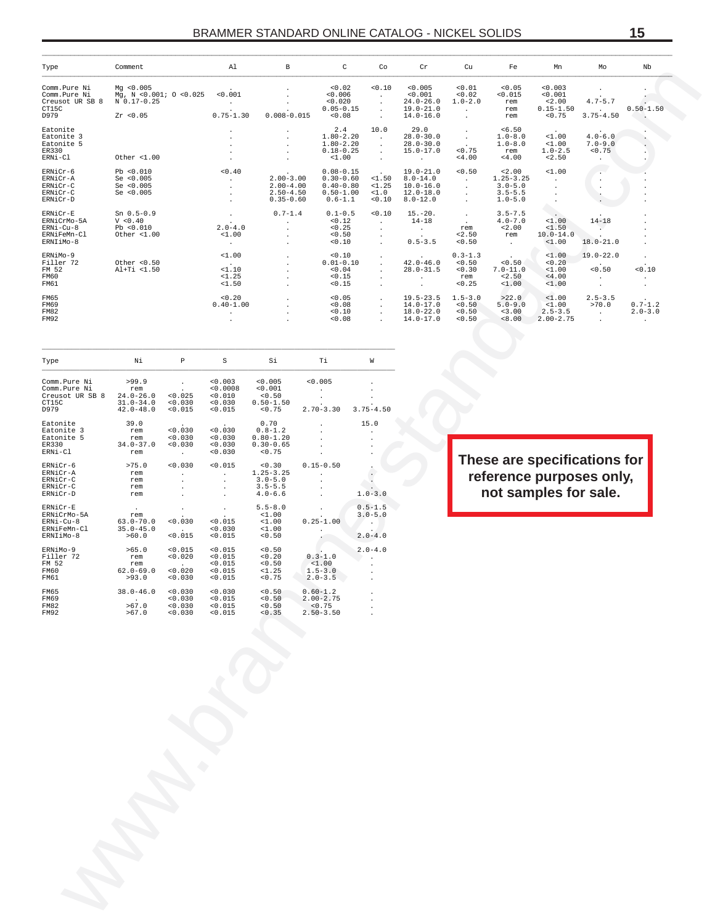| Type                                                             | Comment                                                          |                                                                 | Al                                                   | В                                                                  |                                                    | C                                                                               | Co                                                            | Cr                                                                              | Cu                                                 | Fe                                                                  | Mn                                                | Mo                                                                                | Nb                                    |
|------------------------------------------------------------------|------------------------------------------------------------------|-----------------------------------------------------------------|------------------------------------------------------|--------------------------------------------------------------------|----------------------------------------------------|---------------------------------------------------------------------------------|---------------------------------------------------------------|---------------------------------------------------------------------------------|----------------------------------------------------|---------------------------------------------------------------------|---------------------------------------------------|-----------------------------------------------------------------------------------|---------------------------------------|
| Comm.Pure Ni<br>Comm.Pure Ni<br>Creusot UR SB 8<br>CT15C<br>D979 | Mq < 0.005<br>Mg, N <0.001; O <0.025<br>N 0.17-0.25<br>Zr < 0.05 |                                                                 | < 0.001<br>$\ddot{\phantom{a}}$<br>$0.75 - 1.30$     | $0.008 - 0.015$                                                    |                                                    | 0.02<br>0.006<br>< 0.020<br>$0.05 - 0.15$<br>0.08                               | 0.10<br>$\cdot$<br>$\cdot$<br>$\cdot$                         | < 0.005<br>< 0.001<br>$24.0 - 26.0$<br>$19.0 - 21.0$<br>$14.0 - 16.0$           | 0.01<br>0.02<br>$1.0 - 2.0$                        | 0.05<br>< 0.015<br>rem<br>rem<br>rem                                | 0.003<br>0.001<br>2.00<br>$0.15 - 1.50$<br>< 0.75 | $4.7 - 5.7$<br>$3.75 - 4.50$                                                      | $0.50 - 1.50$<br>$\cdot$              |
| Eatonite<br>Eatonite 3<br>Eatonite 5<br>ER330<br>ERNi-Cl         | Other <1.00                                                      |                                                                 |                                                      |                                                                    |                                                    | 2.4<br>$1.80 - 2.20$<br>$1.80 - 2.20$<br>$0.18 - 0.25$<br>$1.00$                | 10.0<br>$\cdot$<br>$\cdot$<br>$\cdot$<br>$\cdot$              | 29.0<br>$28.0 - 30.0$<br>$28.0 - 30.0$<br>$15.0 - 17.0$                         | $\cdot$<br>< 0.75<br>4.00                          | 56.50<br>$1.0 - 8.0$<br>$1.0 - 8.0$<br>rem<br>< 4.00                | <1.00<br>$1.00$<br>$1.0 - 2.5$<br>< 2.50          | $4.0 - 6.0$<br>$7.0 - 9.0$<br>< 0.75                                              |                                       |
| ERNiCr-6<br>ERNiCr-A<br>ERNiCr-C<br>ERNiCr-C<br>ERNiCr-D         | Pb < 0.010<br>Se $< 0.005$<br>Se $< 0.005$<br>Se < 0.005         |                                                                 | 0.40<br>$\ddot{\phantom{0}}$<br>$\ddot{\phantom{0}}$ | $2.00 - 3.00$<br>$2.00 - 4.00$<br>$2.50 - 4.50$<br>$0.35 - 0.60$   |                                                    | $0.08 - 0.15$<br>$0.30 - 0.60$<br>$0.40 - 0.80$<br>$0.50 - 1.00$<br>$0.6 - 1.1$ | <1.50<br><1.25<br>$1.0$<br>0.10                               | $19.0 - 21.0$<br>$8.0 - 14.0$<br>$10.0 - 16.0$<br>$12.0 - 18.0$<br>$8.0 - 12.0$ | < 0.50<br>$\cdot$<br>$\cdot$<br>$\cdot$<br>$\cdot$ | 32.00<br>$1.25 - 3.25$<br>$3.0 - 5.0$<br>$3.5 - 5.5$<br>$1.0 - 5.0$ | $1.00$                                            |                                                                                   |                                       |
| ERNiCr-E<br>ERNiCrMo-5A<br>ERNi-Cu-8<br>ERNiFeMn-Cl<br>ERNIiMo-8 | $Sn$ $0.5-0.9$<br>V < 0.40<br>Pb < 0.010<br>Other $< 1.00$       |                                                                 | $2.0 - 4.0$<br>$1.00$<br>$\blacksquare$              | $0.7 - 1.4$                                                        |                                                    | $0.1 - 0.5$<br>< 0.12<br>< 0.25<br>0.50<br>0.10                                 | 0.10<br>$\cdot$<br>$\cdot$<br>$\cdot$<br>$\ddot{\phantom{a}}$ | $15.-20.$<br>$14 - 18$<br>$0.5 - 3.5$                                           | $\cdot$<br>$\cdot$<br>rem<br>32.50<br>0.50         | $3.5 - 7.5$<br>$4.0 - 7.0$<br>2.00<br>rem<br>$\cdot$                | <1.00<br>< 1.50<br>$10.0 - 14.0$<br><1.00         | $14 - 18$<br>$18.0 - 21.0$                                                        |                                       |
| ERNiMo-9<br>Filler 72<br>FM 52<br>FM60<br>FM61                   | Other $< 0.50$<br>Al+Ti <1.50                                    |                                                                 | $1.00$<br><1.10<br>$1.25$<br><1.50                   |                                                                    |                                                    | 0.10<br>$0.01 - 0.10$<br>0.04<br>0.15<br>< 0.15                                 |                                                               | $42.0 - 46.0$<br>$28.0 - 31.5$                                                  | $0.3 - 1.3$<br>0.50<br>0.30<br>rem<br>< 0.25       | 0.50<br>$7.0 - 11.0$<br>< 2.50<br>$1.00$                            | $1.00$<br>< 0.20<br>$1.00$<br>4.00<br>$1.00$      | $19.0 - 22.0$<br>0.50                                                             | 0.10                                  |
| FM65<br>FM69<br><b>FM82</b><br>FM92                              |                                                                  |                                                                 | 0.20<br>$0.40 - 1.00$                                |                                                                    |                                                    | 0.05<br>0.08<br>0.10<br>0.08                                                    |                                                               | $19.5 - 23.5$<br>$14.0 - 17.0$<br>$18.0 - 22.0$<br>$14.0 - 17.0$                | $1.5 - 3.0$<br>0.50<br>0.50<br>0.50                | >22.0<br>$5.0 - 9.0$<br>< 3.00<br>< 8.00                            | <1.00<br><1.00<br>$2.5 - 3.5$<br>$2.00 - 2.75$    | $2.5 - 3.5$<br>>70.0                                                              | $0.7 - 1.2$<br>$2.0 - 3.0$<br>$\cdot$ |
| Type                                                             | Νi                                                               | $\, {\mathbb P}$                                                | S                                                    | Si                                                                 | Тi                                                 |                                                                                 | W                                                             |                                                                                 |                                                    |                                                                     |                                                   |                                                                                   |                                       |
| Comm.Pure Ni<br>Comm.Pure Ni<br>Creusot UR SB 8<br>CT15C<br>D979 | >99.9<br>rem<br>$24.0 - 26.0$<br>$31.0 - 34.0$<br>$42.0 - 48.0$  | < 0.025<br>0.030<br>< 0.015                                     | 0.003<br>< 0.0008<br>0.010<br>0.030<br>0.015         | 0.005<br>0.001<br>0.50<br>$0.50 - 1.50$<br>< 0.75                  | 0.005<br>$2.70 - 3.30$                             |                                                                                 | $3.75 - 4.50$                                                 |                                                                                 |                                                    |                                                                     |                                                   |                                                                                   |                                       |
| Eatonite<br>Eatonite 3<br>Eatonite 5<br>ER330<br>ERNi-Cl         | 39.0<br>rem<br>rem<br>$34.0 - 37.0$<br>rem                       | < 0.030<br>0.030<br>0.030<br>$\cdot$                            | < 0.030<br>0.030<br>0.030<br>0.030                   | 0.70<br>$0.8 - 1.2$<br>$0.80 - 1.20$<br>$0.30 - 0.65$<br>< 0.75    |                                                    |                                                                                 | 15.0                                                          |                                                                                 |                                                    |                                                                     |                                                   |                                                                                   |                                       |
| ERNiCr-6<br>ERNiCr-A<br>ERNiCr-C<br>ERNiCr-C<br>ERNiCr-D         | >75.0<br>rem<br>rem<br>rem<br>rem                                | 0.030<br>$\cdot$                                                | 0.015<br>$\cdot$<br>$\cdot$<br>$\cdot$<br>$\cdot$    | 0.30<br>$1.25 - 3.25$<br>$3.0 - 5.0$<br>$3.5 - 5.5$<br>$4.0 - 6.6$ | $0.15 - 0.50$                                      |                                                                                 | $\ddot{\phantom{0}}$<br>$\Box$<br>$1.0 - 3.0$                 |                                                                                 |                                                    |                                                                     |                                                   | These are specifications for<br>reference purposes only,<br>not samples for sale. |                                       |
| ERNiCr-E<br>ERNiCrMo-5A<br>ERNi-Cu-8<br>ERNiFeMn-Cl<br>ERNIiMo-8 | $\cdot$<br>rem<br>$63.0 - 70.0$<br>$35.0 - 45.0$<br>>60.0        | 0.030<br>< 0.015                                                | $\cdot$<br>< 0.015<br>0.030<br>< 0.015               | $5.5 - 8.0$<br>$1.00$<br>1.00<br>$1.00$<br>0.50                    | $0.25 - 1.00$                                      |                                                                                 | $0.5 - 1.5$<br>$3.0 - 5.0$<br>$\cdot$<br>$2.0 - 4.0$          |                                                                                 |                                                    |                                                                     |                                                   |                                                                                   |                                       |
| ERNiMo-9<br>Filler 72<br>FM 52<br>FM60<br>FM61                   | >65.0<br>rem<br>rem<br>$62.0 - 69.0$<br>>93.0                    | < 0.015<br>0.020<br>0.020<br>0.030                              | < 0.015<br>< 0.015<br>0.015<br>0.015<br>< 0.015      | 0.50<br>0.20<br>< 0.50<br>$1.25$<br>< 0.75                         | $0.3 - 1.0$<br><1.00<br>$1.5 - 3.0$<br>$2.0 - 3.5$ |                                                                                 | $2.0 - 4.0$                                                   |                                                                                 |                                                    |                                                                     |                                                   |                                                                                   |                                       |
| FM65<br>FM69<br><b>FM82</b><br>FM92                              | $38.0 - 46.0$<br>>67.0<br>>67.0                                  | 0.030<br>0.030<br>$\begin{array}{c} 0.030 \\ 0.030 \end{array}$ | 0.030<br>< 0.015<br>< 0.015<br>< 0.015               | $< 0.50$<br>$< 0.50$<br>$< 0.50$<br>$< 0.35$                       | $0.60-1.2$<br>2.00-2.75<br>< 0.75<br>$2.50 - 3.50$ |                                                                                 |                                                               |                                                                                 |                                                    |                                                                     |                                                   |                                                                                   |                                       |
|                                                                  |                                                                  |                                                                 |                                                      |                                                                    |                                                    |                                                                                 |                                                               |                                                                                 |                                                    |                                                                     |                                                   |                                                                                   |                                       |
|                                                                  |                                                                  |                                                                 |                                                      |                                                                    |                                                    |                                                                                 |                                                               |                                                                                 |                                                    |                                                                     |                                                   |                                                                                   |                                       |
|                                                                  |                                                                  |                                                                 |                                                      |                                                                    |                                                    |                                                                                 |                                                               |                                                                                 |                                                    |                                                                     |                                                   |                                                                                   |                                       |
|                                                                  |                                                                  |                                                                 |                                                      |                                                                    |                                                    |                                                                                 |                                                               |                                                                                 |                                                    |                                                                     |                                                   |                                                                                   |                                       |
|                                                                  |                                                                  |                                                                 |                                                      |                                                                    |                                                    |                                                                                 |                                                               |                                                                                 |                                                    |                                                                     |                                                   |                                                                                   |                                       |
|                                                                  |                                                                  |                                                                 |                                                      |                                                                    |                                                    |                                                                                 |                                                               |                                                                                 |                                                    |                                                                     |                                                   |                                                                                   |                                       |
|                                                                  |                                                                  |                                                                 |                                                      |                                                                    |                                                    |                                                                                 |                                                               |                                                                                 |                                                    |                                                                     |                                                   |                                                                                   |                                       |

| Type                                                             | Νi                                                              | P                                                        | S                                                    | Si                                                                 | Тi                                                       | W                                         |
|------------------------------------------------------------------|-----------------------------------------------------------------|----------------------------------------------------------|------------------------------------------------------|--------------------------------------------------------------------|----------------------------------------------------------|-------------------------------------------|
| Comm.Pure Ni<br>Comm.Pure Ni<br>Creusot UR SB 8<br>CT15C<br>D979 | >99.9<br>rem<br>$24.0 - 26.0$<br>$31.0 - 34.0$<br>$42.0 - 48.0$ | < 0.025<br>< 0.030<br>< 0.015                            | < 0.003<br>< 0.0008<br>< 0.010<br>< 0.030<br>< 0.015 | < 0.005<br>< 0.001<br>< 0.50<br>$0.50 - 1.50$<br>< 0.75            | < 0.005<br>$2.70 - 3.30$                                 | $3.75 - 4.50$                             |
| Eatonite<br>Eatonite 3<br>Eatonite 5<br>ER330<br>ERNi-Cl         | 39.0<br>rem<br>rem<br>$34.0 - 37.0$<br>rem                      | 0.030<br>< 0.030<br>< 0.030<br>$\sim$                    | 0.030<br>< 0.030<br>< 0.030<br>< 0.030               | 0.70<br>$0.8 - 1.2$<br>$0.80 - 1.20$<br>$0.30 - 0.65$<br>< 0.75    |                                                          | 15.0                                      |
| ERNiCr-6<br>ERNiCr-A<br>ERNiCr-C<br>ERNiCr-C<br>ERNiCr-D         | >75.0<br>rem<br>rem<br>rem<br>rem                               | < 0.030                                                  | < 0.015                                              | 0.30<br>$1.25 - 3.25$<br>$3.0 - 5.0$<br>$3.5 - 5.5$<br>$4.0 - 6.6$ | $0.15 - 0.50$                                            | $1.0 - 3.0$                               |
| ERNiCr-E<br>ERNiCrMo-5A<br>ERNi-Cu-8<br>ERNiFeMn-Cl<br>ERNIiMo-8 | rem<br>$63.0 - 70.0$<br>$35.0 - 45.0$<br>>60.0                  | < 0.030<br>< 0.015                                       | < 0.015<br>< 0.030<br>< 0.015                        | $5.5 - 8.0$<br>$1.00$<br><1.00<br>$1.00$<br>< 0.50                 | $0.25 - 1.00$                                            | $0.5 - 1.5$<br>$3.0 - 5.0$<br>$2.0 - 4.0$ |
| $FRN$ i Mo-9<br>Filler 72<br>FM 52<br>FM60<br>FM61               | >65.0<br>rem<br>rem<br>$62.0 - 69.0$<br>>93.0                   | < 0.015<br>< 0.020<br>$\mathbf{r}$<br>< 0.020<br>< 0.030 | < 0.015<br>< 0.015<br>< 0.015<br>< 0.015<br>< 0.015  | < 0.50<br>< 0.20<br>< 0.50<br><1.25<br>< 0.75                      | $0.3 - 1.0$<br>< 1.00<br>$1.5 - 3.0$<br>$2.0 - 3.5$      | $2.0 - 4.0$                               |
| FM65<br>FM69<br><b>FM82</b><br><b>FM92</b>                       | $38.0 - 46.0$<br>$\sim$<br>>67.0<br>>67.0                       | < 0.030<br>< 0.030<br>< 0.030<br>< 0.030                 | < 0.030<br>< 0.015<br>< 0.015<br>< 0.015             | < 0.50<br>< 0.50<br>< 0.50<br>< 0.35                               | $0.60 - 1.2$<br>$2.00 - 2.75$<br>< 0.75<br>$2.50 - 3.50$ |                                           |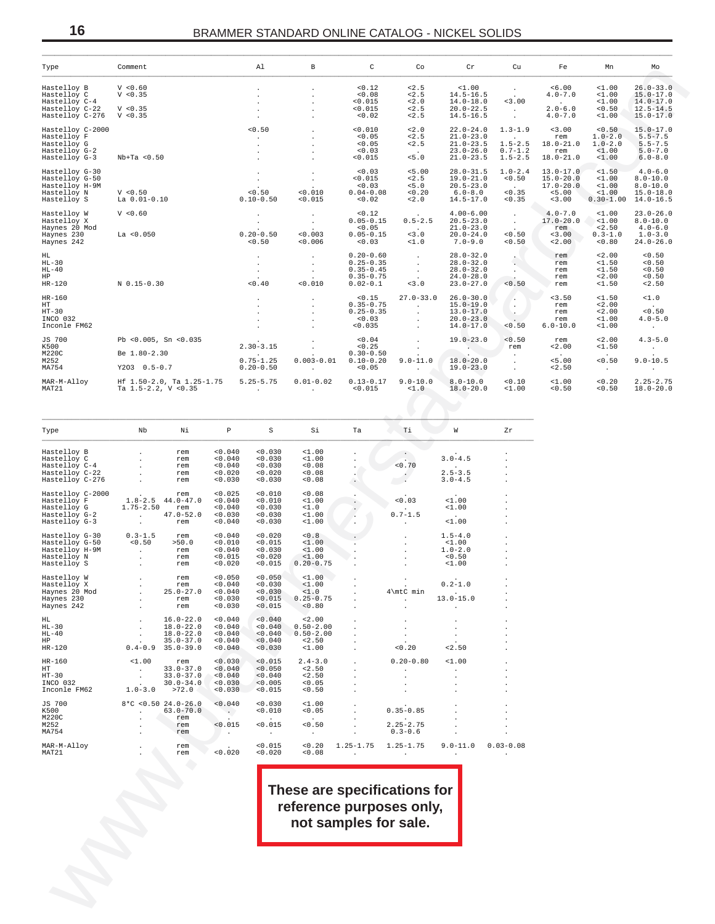# **16** BRAMMER STANDARD ONLINE CATALOG - NICKEL SOLIDS \_\_\_\_\_\_\_\_\_\_\_\_\_\_\_\_\_\_\_\_\_\_\_\_\_\_\_\_\_\_\_\_\_\_\_\_\_\_\_\_\_\_\_\_\_\_\_\_\_\_\_\_\_\_\_\_\_\_\_\_\_\_\_\_\_\_\_\_\_\_\_\_\_\_\_\_\_\_\_\_\_\_\_\_\_\_\_\_\_\_\_\_\_\_\_\_\_\_\_\_\_\_\_\_\_\_\_\_\_\_\_\_\_\_\_\_\_\_\_\_\_\_\_\_\_\_\_\_\_\_\_\_\_\_\_\_\_\_\_\_\_\_\_\_\_\_\_\_\_\_\_\_\_

| Type                                                                                                                                                                                                                                                                                                                                                                                                                      | Comment                                                                                                    |                                                                                           |                                                                      | Al                                                                         | B                                                                            | $\mathsf{C}$                                                                                                                                                                                                                                                          | Co                                                                                                                                                                                                 | Cr                                                                                                                                           | Cu                                                                                     | Fe                                                                                                                  | Mn                                                                       | Mo                                                                                                           |  |
|---------------------------------------------------------------------------------------------------------------------------------------------------------------------------------------------------------------------------------------------------------------------------------------------------------------------------------------------------------------------------------------------------------------------------|------------------------------------------------------------------------------------------------------------|-------------------------------------------------------------------------------------------|----------------------------------------------------------------------|----------------------------------------------------------------------------|------------------------------------------------------------------------------|-----------------------------------------------------------------------------------------------------------------------------------------------------------------------------------------------------------------------------------------------------------------------|----------------------------------------------------------------------------------------------------------------------------------------------------------------------------------------------------|----------------------------------------------------------------------------------------------------------------------------------------------|----------------------------------------------------------------------------------------|---------------------------------------------------------------------------------------------------------------------|--------------------------------------------------------------------------|--------------------------------------------------------------------------------------------------------------|--|
| Hastelloy C-4<br>Hastelloy C-22 V < 0.35<br>Hastelloy C-276 $V < 0.35$                                                                                                                                                                                                                                                                                                                                                    |                                                                                                            |                                                                                           |                                                                      | $\sim$ $-$<br>$\sim$<br>$\sim$<br>$\sim$<br>$\sim$ 100 $\mu$               | $\sim$<br>$\sim$<br>$\sim$<br>$\sim$<br>$\sim$                               | $< 0.12$<br>$< 0.08$<br>< 0.015<br>< 0.015<br>< 0.02                                                                                                                                                                                                                  | < 2.5                                                                                                                                                                                              | $2.5$ $2.5$ $3.5$ $-1.00$<br>$-2.5$ $14.5-16.5$<br>$-2.0$ $14.0-18.0$<br>$-2.5$ $20.0-22.5$<br>$-16.5$<br>$14.5 - 16.5$                      | $\frac{1}{2}$ , $\frac{1}{2}$<br>3.00<br>$\sim 100$ km s $^{-1}$<br>$\sim$             | < 6.00<br>$4.0 - 7.0$<br><b>Contact Contact</b><br>$2.0 - 6.0$<br>$4.0 - 7.0$                                       | $1.00$<br>$1.00$<br>$1.00$<br>< 0.50                                     | $26.0 - 33.0$<br>$15.0 - 17.0$<br>$14.0-17.0$<br>$12.5-14.5$<br>$<1.00$ 15.0-17.0                            |  |
| Hastelloy C-2000<br>Hastelloy F<br>Hastelloy G<br>Hastelloy G-2<br>Hastelloy G-3                                                                                                                                                                                                                                                                                                                                          | $Nb+Ta < 0.50$                                                                                             |                                                                                           | < 0.50                                                               | $\sim 100$ km s $^{-1}$<br>$\blacksquare$<br>$\sim$                        | $\sim$<br>$\sim$<br>$\sim$<br>$\sim$                                         | < 0.010<br>< 0.05<br>< 0.05<br>< 0.03<br>< 0.015                                                                                                                                                                                                                      | < 2.0<br>< 2.5<br>< 2.5<br>$\sim 100$ km s $^{-1}$<br>< 5.0                                                                                                                                        | $22.0 - 24.0$<br>$21.0 - 23.0$<br>$21.0 - 23.5$<br>$23.0 - 26.0$<br>$21.0 - 23.5$                                                            | $1.3 - 1.9$<br><b>Contract Contract</b><br>$1.5 - 2.5$<br>$0.7 - 1.2$                  | < 3.00<br>rem<br>rem<br>$1.5 - 2.5$ $18.0 - 21.0$                                                                   | $18.0 - 21.0$ $1.0 - 2.0$<br>$1.00$<br>$1.00$                            | $< 0.50$ 15.0-17.0<br>$1.0 - 2.0$ 5.5-7.5<br>$5.5 - 7.5$<br>$5.0 - 7.0$<br>$6.0 - 8.0$                       |  |
| Hastelloy G-30<br>Hastelloy G-50<br>Hastelloy H-9M<br>Hastelloy N<br>Hastelloy S                                                                                                                                                                                                                                                                                                                                          | V < 0.50<br>La 0.01-0.10                                                                                   |                                                                                           |                                                                      | $\sim$ $\sim$<br>$\frac{1}{2}$ .<br>$-0.50$<br>0.10-0.50                   | $\sim 10^{-11}$<br>$\langle \sigma_{\rm{eff}} \rangle$<br>< 0.010<br>< 0.015 | $< 0.03$<br>$< 0.015$<br>$< 0.03$<br>$0.04 - 0.08$<br>< 0.02                                                                                                                                                                                                          | < 5.00                                                                                                                                                                                             | $28.0 - 31.5$<br>$2.5$ 19.0-21.0 <0.50<br>$5.5$ 2.5 19.0-21.0 <0.50<br>$5.0$ 20.5-23.0 .<br>$0.20$ 6.0-8.0 <0.35<br>$5.2$ .0 14.5-17.0 <0.35 | < 0.50                                                                                 | $1.0 - 2.4$ 13.0-17.0<br>$15.0 - 20.0$ <1.00<br>$17.0 - 20.0$                                                       | $1.00$                                                                   | $-4.0 - 6.0$<br>$8.0 - 10.0$<br>$8.0 - 10.0$<br>$5.00$ $1.00$ $15.0-18.0$<br>$-3.00$ $0.30-1.00$ $14.0-16.5$ |  |
| Hastelloy W<br>Hastelloy X<br>Haynes 20 Mod<br>Haynes 230<br>Haynes 242                                                                                                                                                                                                                                                                                                                                                   | V < 0.60<br>La < 0.050                                                                                     | $0.20 - 0.50$                                                                             |                                                                      | <b>Contract Contract</b><br>$\frac{1}{2}$ .<br>< 0.50                      |                                                                              | < 0.12<br>$\begin{array}{ccc} \cdot & \cdot & \cdot & 0.12 \\ \cdot & \cdot & \cdot & 0.05 - 0.15 \\ \cdot & \cdot & \cdot & 0.05 \end{array}$<br>$\begin{array}{cc} . & . & . & . & . & . \\ 0.003 & 0.05-0.15 & . & . & . \\ 0.006 & 0.003 & . & . & . \end{array}$ |                                                                                                                                                                                                    | $4.00 - 6.00$<br>$0.5 - 2.5$ 20.5-23.0<br>$-3.0$<br>$-3.0$<br>$-1.0$<br>$-20.0-24.0$<br>$-1.0$<br>$-9.0$<br>$20.0 - 24.0$                    | $\frac{1}{2}$ .<br>< 0.50<br>< 0.50                                                    | $4.0 - 7.0$<br>$17.0 - 20.0$ <1.00<br>$\begin{array}{c}\n \text{rem} \\  \times 3.00 \\  \times 2.00\n \end{array}$ | $1.00$<br>< 2.50<br>< 0.80                                               | $23.0 - 26.0$<br>$8.0 - 10.0$<br>$4.0 - 6.0$<br>$0.3 - 1.0$ $1.0 - 3.0$<br>$24.0 - 26.0$                     |  |
| HL<br>HL-30<br>HL-40<br>HP<br>HR-120                                                                                                                                                                                                                                                                                                                                                                                      | N 0.15-0.30                                                                                                |                                                                                           |                                                                      | $\sim$<br>$\sim 10^{-11}$<br>$\sim 100$ km s $^{-1}$<br>$< 0.40$ $< 0.010$ | <b>Allen</b><br>$\sim 100$<br>$\sim 100$ km s $^{-1}$                        |                                                                                                                                                                                                                                                                       | $\begin{array}{cccc} 0.20-0.60 & . & . & 28.0-32.0 \\ 0.25-0.35 & . & . & 28.0-32.0 \\ 0.35-0.45 & . & . & 28.0-32.0 \\ 0.35-0.75 & . & . & 24.0-28.0 \\ 0.02-0.1 & < 3.0 & 23.0-27.0 \end{array}$ |                                                                                                                                              | 슨<br>$\mathbb{R}^n$<br>< 0.50                                                          | rem<br>rem<br>rem<br>rem<br>rem<br>$\overline{r}$ rem                                                               | $< 2.00$<br>$< 1.50$<br>$< 1.50$<br>$< 2.00$<br>$< 1.50$                 | < 0.50<br>< 0.50<br>< 0.50<br>< 0.50<br>< 2.50                                                               |  |
| HR-160<br>НT<br>$HT - 30$<br>INCO 032<br>Inconle FM62                                                                                                                                                                                                                                                                                                                                                                     |                                                                                                            |                                                                                           |                                                                      | $\sim$ 100 $\mu$<br>$\sim$                                                 | <b>Contract</b><br>$\sim$<br>$\sim$<br>$\sim$                                | $0.25 - 0.35$<br>< 0.03<br>< 0.035                                                                                                                                                                                                                                    | $-1.15$<br>$0.35-0.75$<br>$0.25-0.35$<br>$0.25-0.35$<br>$0.35$<br>$\sim 100$<br>$\sim 100$<br>$\sim 100$                                                                                           | $15.0 - 19.0$<br>$13.0 - 17.0$<br>$20.0 - 23.0$<br>$14.0 - 17.0$                                                                             | $\mathcal{L}(\mathcal{A})$<br><b>A</b><br><b>CONTRACT</b><br>< 0.50                    | $\lt3.50$<br>rem<br>rem<br>rem<br>$6.0 - 10.0$                                                                      | $1.50$<br>< 2.00<br>< 2.00<br>$1.00$<br>$1.00$                           | $1.0$<br>< 0.50<br>$4.0 - 5.0$<br><b>Contractor</b>                                                          |  |
| JS 700<br>K500<br>M220C<br>M252<br>MA754                                                                                                                                                                                                                                                                                                                                                                                  | Pb < $0.005$ , Sn < $0.035$<br>Be 1.80-2.30<br>Y203 0.5-0.7                                                |                                                                                           |                                                                      | $2.30 - 3.15$<br><b>Contractor</b>                                         | $\sim$<br>$\mathcal{L}^{\text{max}}$<br>$0.20 - 0.50$                        | < 0.04<br>< 0.25<br>$0.30 - 0.50$<br>< 0.05                                                                                                                                                                                                                           | $\sim 10^{-1}$<br>$0.75-1.25$ $0.003-0.01$ $0.10-0.20$ $9.0-11.0$ $18.0-20.0$<br><b>Contract Contract</b>                                                                                          | $19.0 - 23.0$<br>$19.0 - 23.0$                                                                                                               | < 0.50<br>rem<br>$\sim 10^{-11}$<br>$\sim 100$ km s $^{-1}$<br>$\sim 100$ km s $^{-1}$ | rem<br>< 2.00<br><b>Contractor</b><br>< 5.00<br>< 2.50                                                              | < 2.00<br>$1.50$<br>$\sim 100$ km s $^{-1}$<br>0.50<br><b>Contractor</b> | $4.3 - 5.0$<br>$\alpha$ , $\alpha$ , $\alpha$ , $\alpha$<br>$9.0 - 10.5$<br><b>Contractor</b>                |  |
| MAR-M-Alloy<br>MAT21                                                                                                                                                                                                                                                                                                                                                                                                      |                                                                                                            |                                                                                           |                                                                      |                                                                            |                                                                              |                                                                                                                                                                                                                                                                       |                                                                                                                                                                                                    | $18.0 - 20.0$                                                                                                                                | $1.00$                                                                                 | $< 0.10$ $< 1.00$<br>< 0.50                                                                                         | < 0.20                                                                   | $2.25 - 2.75$<br>$< 0.50$ 18.0-20.0                                                                          |  |
| Type                                                                                                                                                                                                                                                                                                                                                                                                                      | Nb Ni                                                                                                      |                                                                                           |                                                                      |                                                                            | P S Si                                                                       | Ta                                                                                                                                                                                                                                                                    | $T$ i                                                                                                                                                                                              | W                                                                                                                                            | Zr                                                                                     |                                                                                                                     |                                                                          |                                                                                                              |  |
| Hastelloy B<br>Hastelloy C<br>Hastelloy C-4<br>Name C-22<br>Hastelloy C-22<br>Hastelloy C-276                                                                                                                                                                                                                                                                                                                             | $\mathcal{L}^{\text{max}}_{\text{max}}$ , $\mathcal{L}^{\text{max}}_{\text{max}}$                          | . rem<br>. rem<br>. rem<br>. rem<br>rem                                                   | < 0.040<br>< 0.040<br>0.040<br>0.020<br>< 0.030                      | < 0.030<br>0.030<br>0.030<br>< 0.020<br>< 0.030                            | $1.00$<br>$1.00$<br>0.08<br>< 0.08<br>0.08                                   | $\cdot$<br>$\cdot$                                                                                                                                                                                                                                                    | < 0.70<br>$\cdot$<br>$\sim$ $\sim$                                                                                                                                                                 | $3.0 - 4.5$<br>$2.5 - 3.5$<br>$3.0 - 4.5$                                                                                                    |                                                                                        |                                                                                                                     |                                                                          |                                                                                                              |  |
| Hastelloy C-2000<br>$\frac{3}{4}$<br>$\frac{3}{4}$<br>$\frac{1}{4}$<br>$\frac{3}{4}$<br>$\frac{1}{4}$<br>$\frac{3}{4}$<br>$\frac{3}{4}$<br>$\frac{3}{4}$<br>$\frac{3}{4}$<br>$\frac{3}{4}$<br>$\frac{3}{4}$<br>$\frac{3}{4}$<br>$\frac{3}{4}$<br>$\frac{3}{4}$<br>$\frac{3}{4}$<br>$\frac{3}{4}$<br>$\frac{3}{4}$<br>$\frac{3}{4}$<br>$\frac{3}{4}$<br>$\frac{3}{4}$<br><br>Hastelloy G<br>Hastelloy G-2<br>Hastelloy G-3 | $47.0-52.0$<br>$r$ em                                                                                      | rem<br>1.75-2.50 rem                                                                      | < 0.025<br>< 0.040<br>< 0.040<br>< 0.030<br>< 0.040                  | < 0.010<br>< 0.010<br>< 0.030<br>< 0.030<br>< 0.030                        | < 0.08<br>$1.00$<br>$1.0$<br>$1.00$<br>$1.00$                                | $\cdot$<br>$\sim$<br>$\sim$                                                                                                                                                                                                                                           | < 0.03<br>$0.7 - 1.5$<br><b>Contractor</b>                                                                                                                                                         | <1.00<br>< 1.00<br>$\sim 100$ km s $^{-1}$<br><1.00                                                                                          |                                                                                        |                                                                                                                     |                                                                          |                                                                                                              |  |
| Hastelloy G-30<br>Hastelloy G-50<br>Hastelloy H-9M<br>Hastelloy N<br>Hastelloy S                                                                                                                                                                                                                                                                                                                                          | $\begin{array}{ccc} 0.3-1.5 & \text{rem} \\ <0.50 & >50.0 \\ . & \text{rem} \\ . & \text{rem} \end{array}$ |                                                                                           | < 0.040<br>< 0.010<br>0.040<br>< 0.015<br>< 0.020                    | < 0.020<br>< 0.015<br>0.030<br>< 0.020<br>< 0.015                          | 0.8<br>$1.00$<br>$1.00$<br>< 1.00<br>$0.20 - 0.75$                           |                                                                                                                                                                                                                                                                       | $\sim$<br>$\sim$<br>$\sim$<br>$\sim$                                                                                                                                                               | $1.5 - 4.0$<br>< 1.00<br>$1.0 - 2.0$<br>< 0.50<br>< 1.00                                                                                     |                                                                                        |                                                                                                                     |                                                                          |                                                                                                              |  |
| Hastelloy W<br>Hastelloy X<br>Haynes 20 Mod<br>Haynes 230<br>Haynes 242                                                                                                                                                                                                                                                                                                                                                   | and the control of the control                                                                             | rem<br>rem<br>$25.0 - 27.0$<br>rem<br>rem                                                 | < 0.050<br>0.040<br>< 0.040<br>0.030<br>0.030                        | < 0.050<br>0.030<br>0.030<br>< 0.015<br>< 0.015                            | <1.00<br>< 1.00<br><1.0<br>$0.25 - 0.75$<br>< 0.80                           |                                                                                                                                                                                                                                                                       | $4\ntC$ min<br>and the company                                                                                                                                                                     | $0.2 - 1.0$<br>$13.0 - 15.0$                                                                                                                 |                                                                                        |                                                                                                                     |                                                                          |                                                                                                              |  |
| HL<br>HL-30<br>HL-40<br>HP<br>HR-120                                                                                                                                                                                                                                                                                                                                                                                      | $\sim$                                                                                                     | $16.0 - 22.0$<br>$18.0 - 22.0$<br>$18.0 - 22.0$<br>$35.0 - 37.0$<br>$0.4 - 0.9$ 35.0-39.0 | 0.040<br>< 0.040<br>0.040<br>< 0.040<br>0.040                        | 0.040<br>< 0.040<br>0.040<br>0.040<br>0.030                                | < 2.00<br>$0.50 - 2.00$<br>$0.50 - 2.00$<br>< 2.50<br>$1.00$                 |                                                                                                                                                                                                                                                                       | < 0.20                                                                                                                                                                                             | < 2.50                                                                                                                                       |                                                                                        |                                                                                                                     |                                                                          |                                                                                                              |  |
| HR-160<br>НT<br>HT-30<br>INCO 032<br>Inconle FM62                                                                                                                                                                                                                                                                                                                                                                         | $1.00$<br>$\sim$ $-$<br>$1.0 - 3.0$                                                                        | rem<br>$33.0 - 37.0$<br>$33.0 - 37.0$<br>$30.0 - 34.0$<br>>72.0                           | 0.030<br>< 0.040<br>0.040<br>< 0.030<br>< 0.030                      | 0.015<br>< 0.050<br>< 0.040<br>< 0.005<br>< 0.015                          | $2.4 - 3.0$<br>< 2.50<br>< 2.50<br>0.05<br>0.50                              |                                                                                                                                                                                                                                                                       | $0.20 - 0.80$<br>$\sim$ 100 $\pm$                                                                                                                                                                  | 1.00                                                                                                                                         |                                                                                        |                                                                                                                     |                                                                          |                                                                                                              |  |
| JS 700<br>K500<br>M220C<br>M252<br>MA754                                                                                                                                                                                                                                                                                                                                                                                  |                                                                                                            | $8*C < 0.50 24.0-26.0$<br>$63.0 - 70.0$<br>rem<br>rem<br>rem                              | 0.040<br>$\sim$ $\sim$ $\sim$<br>< 0.015<br><b>Contract Contract</b> | 0.030<br>0.010<br>< 0.015<br><b>Contractor</b>                             | $1.00$<br>0.05<br><b>Contractor</b><br>0.50<br><b>Contract</b>               |                                                                                                                                                                                                                                                                       | $0.35 - 0.85$<br>$2.25 - 2.75$<br>$0.3 - 0.6$                                                                                                                                                      |                                                                                                                                              |                                                                                        |                                                                                                                     |                                                                          |                                                                                                              |  |
| MAR-M-Alloy<br>MAT21                                                                                                                                                                                                                                                                                                                                                                                                      |                                                                                                            | rem<br>rem                                                                                | 0.020                                                                | < 0.015<br>0.020                                                           | 0.08                                                                         | $<0.20$ 1.25-1.75 1.25-1.75                                                                                                                                                                                                                                           |                                                                                                                                                                                                    | $9.0 - 11.0$                                                                                                                                 | $0.03 - 0.08$                                                                          |                                                                                                                     |                                                                          |                                                                                                              |  |
|                                                                                                                                                                                                                                                                                                                                                                                                                           |                                                                                                            |                                                                                           |                                                                      |                                                                            |                                                                              | not samples for sale.                                                                                                                                                                                                                                                 | These are specifications for<br>reference purposes only,                                                                                                                                           |                                                                                                                                              |                                                                                        |                                                                                                                     |                                                                          |                                                                                                              |  |
|                                                                                                                                                                                                                                                                                                                                                                                                                           |                                                                                                            |                                                                                           |                                                                      |                                                                            |                                                                              |                                                                                                                                                                                                                                                                       |                                                                                                                                                                                                    |                                                                                                                                              |                                                                                        |                                                                                                                     |                                                                          |                                                                                                              |  |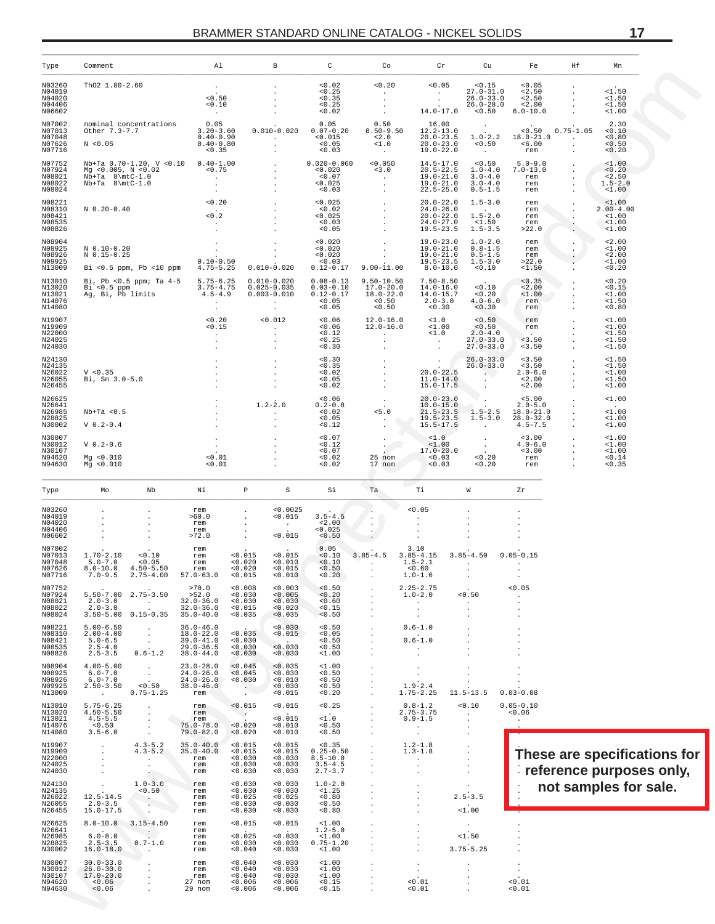| Type                                           | Comment                                                                     |                                                                                                      | Al                                                                                |                                                                  | $\, {\bf B}$                                                     | C                                                                                                                                                                                                                                                                                                                                 | Co                                                                                                                                                                                                                                                                                                                                                                                                                                                                     | $\operatorname{Cr}$                                                                        | Cu                                                                        | Fe                                                                     | Ηf                                     | Mn                                                     |                                                          |
|------------------------------------------------|-----------------------------------------------------------------------------|------------------------------------------------------------------------------------------------------|-----------------------------------------------------------------------------------|------------------------------------------------------------------|------------------------------------------------------------------|-----------------------------------------------------------------------------------------------------------------------------------------------------------------------------------------------------------------------------------------------------------------------------------------------------------------------------------|------------------------------------------------------------------------------------------------------------------------------------------------------------------------------------------------------------------------------------------------------------------------------------------------------------------------------------------------------------------------------------------------------------------------------------------------------------------------|--------------------------------------------------------------------------------------------|---------------------------------------------------------------------------|------------------------------------------------------------------------|----------------------------------------|--------------------------------------------------------|----------------------------------------------------------|
| N03260<br>N04019<br>N04020<br>N04406<br>N06602 | Th02 1.80-2.60                                                              |                                                                                                      | < 0.50<br>0.10<br><b>Contractor</b>                                               |                                                                  | $\sim$<br>$\cdot$<br><b>Contract</b><br><b>Contractor</b>        |                                                                                                                                                                                                                                                                                                                                   |                                                                                                                                                                                                                                                                                                                                                                                                                                                                        |                                                                                            | $27.0 - 31.0$<br>$26.0 - 33.0$<br>$26.0 - 28.0$                           | < 0.05<br>< 2.50<br>< 2.50<br>< 2.00<br>$6.0 - 10.0$                   | $\cdot$<br>$\cdot$                     | <1.50<br>$1.50$<br>$1.50$<br><1.00                     |                                                          |
| N07002<br>N07013<br>N07048<br>N07626<br>N07716 | N < 0.05                                                                    | nominal concentrations<br>Other 7.3-7.7                                                              | $0.05$<br>3.20-3.60<br>$0.40 - 0.90$<br>$0.40 - 0.80$<br>< 0.35                   |                                                                  |                                                                  | 0.05<br>$0.010 - 0.020$ $0.\overline{07} - \overline{0}.20$<br>$\begin{array}{cccc} 0.015 & 0.015 \\ 0.05 & 0.05 \end{array}$<br>< 0.03                                                                                                                                                                                           | 0.50<br>$\sim 100$ km s $^{-1}$                                                                                                                                                                                                                                                                                                                                                                                                                                        | 16.00<br>$8.50 - 9.50$ $12.2 - 13.0$<br>$20.0 - 23.5$<br>$20.0 - 23.0$<br>$19.0 - 22.0$    | $\sim 10$<br>$1.0 - 2.2$<br>< 0.50<br><b>Contact</b>                      | < 0.50<br>$18.0 - 21.0$<br>< 6.00<br>rem                               | $0.75 - 1.05$<br>and the company       | 2.30<br>0.10<br>0.80<br>< 0.50<br>< 0.20               |                                                          |
| N07752<br>N07924<br>N08021<br>N08022<br>N08024 |                                                                             |                                                                                                      |                                                                                   |                                                                  |                                                                  | $\begin{tabular}{lcccccc} N\texttt{D+TA} & 0.70-1.20, & V < 0.10 & 0.40-1.00 & . & 0.020-0.060 & <0.050 \\ \texttt{Mg} < 0.005, & N < 0.02 & .0.75 & . & .0.020 & .3.0 \\ \texttt{ND+TA} & 8\backslash\texttt{mLC-1.0} & . & . & .0.025 & . \\ \texttt{ND+TA} & 8\backslash\texttt{mLC-1.0} & . & . & . & .0.03 \\ \end{tabular}$ |                                                                                                                                                                                                                                                                                                                                                                                                                                                                        | $14.5 - 17.0$<br>$20.5 - 22.5$<br>$19.0 - 21.0$<br>19.0-21.0<br>$22.5 - 25.0$              | < 0.50<br>$1.0 - 4.0$<br>$3.0 - 4.0$<br>$3.0 - 4.0$<br>$0.5 - 1.5$        | $5.0 - 9.0$<br>$7.0 - 13.0$<br>rem<br>rem<br>rem                       | $\sim$<br>$\cdot$<br>$\cdot$<br>$\sim$ | $\frac{1.00}{0.20}$<br>< 2.50<br>$1.5 - 2.0$<br>< 1.00 |                                                          |
| N08221<br>N08310<br>N08421<br>N08535<br>N08826 | N 0.20-0.40                                                                 |                                                                                                      |                                                                                   | $\begin{array}{c} 0.20 \\ -0.2 \end{array}$                      |                                                                  |                                                                                                                                                                                                                                                                                                                                   |                                                                                                                                                                                                                                                                                                                                                                                                                                                                        | $20.0 - 22.0$<br>$24.0 - 26.0$<br>$24.0-26.0$<br>$20.0-22.0$<br>$24.0-27.0$<br>$19.5-23.5$ | $1.5 - 3.0$<br><b>Contractor</b><br>$1.5 - 2.0$<br>< 1.50<br>$1.5 - 3.5$  | rem<br>rem<br>rem<br>rem<br>>22.0                                      | $\sim$<br>$\mathbf{r}$<br>$\cdot$      | < 1.00<br>$2.00 - 4.00$<br>$1.00$<br>< 1.00<br><1.00   |                                                          |
| N08904<br>N08925<br>N08926<br>N09925<br>N13009 | $N$ 0.10-0.20<br>$N = 0.15 - 0.25$                                          | Bi <0.5 ppm, Pb <10 ppm 4.75-5.25 0.010-0.020                                                        |                                                                                   | $\mathcal{L}_{\text{max}}$ .                                     | $\sim$<br>$0.10 - 0.50$                                          | $< 0.020$<br>$< 0.020$<br>$< 0.020$<br>$< 0.03$<br>$-0.03$<br>0.12-0.17 9.00-11.00 8.0-10.0                                                                                                                                                                                                                                       | <b>Contract Contract</b><br>$\label{eq:2} \frac{1}{\sqrt{2}}\left(\frac{1}{\sqrt{2}}\right)^{2} \frac{1}{\sqrt{2}}\left(\frac{1}{\sqrt{2}}\right)^{2} \frac{1}{\sqrt{2}}\left(\frac{1}{\sqrt{2}}\right)^{2} \frac{1}{\sqrt{2}}\left(\frac{1}{\sqrt{2}}\right)^{2} \frac{1}{\sqrt{2}}\left(\frac{1}{\sqrt{2}}\right)^{2} \frac{1}{\sqrt{2}}\left(\frac{1}{\sqrt{2}}\right)^{2} \frac{1}{\sqrt{2}}\left(\frac{1}{\sqrt{2}}\right)^{2} \frac{1}{\sqrt{2}}\left(\frac{1}{$ | $19.0 - 23.0$<br>$19.0 - 21.0$                                                             | $1.0 - 2.0$<br>$0.8 - 1.5$<br>19.0-21.0  0.5-1.5<br>$1.5 - 3.0$<br>< 0.10 | rem<br>rem<br>rem<br>>22.0<br>$1.50$                                   | $\cdot$<br>$\cdot$                     | < 2.00<br><1.00<br>< 2.00<br><1.00<br>0.20             |                                                          |
| N13010<br>N13020<br>N13021<br>N14076<br>N14080 |                                                                             | Bi, Pb <0.5 ppm; Ta 4-5 5.75-6.25 0.010-0.020<br>Bi < 0.5 ppm 3.75-4.75<br>Ag, Bi, Pb limits 4.5-4.9 | <b>Contractor</b>                                                                 | $3.75 - 4.75$ 0.025-0.035<br>the contract of the contract of the | $0.003 - 0.010$<br><b>Contractor</b>                             | $0.03 - 0.10$<br>$0.12 - 0.17$ 18.0-22.0 14.0-15.7 <0.20<br>< 0.05<br>< 0.05                                                                                                                                                                                                                                                      | $0.08 - 0.13$ 9.50-10.50 7.50-8.50<br>$17.0 - 20.0$ $14.0 - 16.0$ < 0.10<br>$\begin{array}{cc} 0.50 & 2.0-3.0 \\ 0.50 & 0.30 \end{array}$                                                                                                                                                                                                                                                                                                                              |                                                                                            | $4.0 - 6.0$<br>< 0.30                                                     | < 0.35<br>< 2.00<br>$1.00$<br>rem<br>rem                               | $\cdot$                                | < 0.20<br>< 0.15<br>$1.00$<br>$1.50$<br>< 0.80         |                                                          |
| N19907<br>N19909<br>N22000<br>N24025<br>N24030 |                                                                             |                                                                                                      |                                                                                   | $\Delta \sim 10^{11}$                                            |                                                                  | $\begin{matrix} <\!\! 0.20 \\ <\!\! 0.15 \\ \vdots \\ <\!\! 0.25 \\ \vdots \\ <\!\! 0.30 \\ \end{matrix} \hspace{1.5cm} \begin{matrix} <\!\! 0.012 \\ <\!\! 0.12 \\ <\!\! 0.12 \\ <\!\! 0.12 \\ <\!\! 0.25 \\ <\!\! 0.30 \\ \end{matrix}$                                                                                         | $12.0 - 16.0$<br>$12.0 - 16.0$<br>and the state of the<br>$\sim$<br><b>Contractor</b>                                                                                                                                                                                                                                                                                                                                                                                  | $\frac{1}{51}$ .0<br>$1.00$<br>$1.0$<br><b>Contractor</b><br><b>Contractor</b>             | $\frac{0.50}{0.50}$<br>$2.0 - 4.0$<br>$27.0 - 33.0$<br>$27.0 - 33.0$      | rem<br>rem<br>Service of<br>3.50<br>< 3.50                             | $\cdot$                                | <1.00<br><1.00<br><1.50<br>$1.50$<br>$1.50$            |                                                          |
| N24130<br>N24135<br>N26022<br>N26055<br>N26455 | V < 0.35<br>Bi, Sn 3.0-5.0                                                  |                                                                                                      |                                                                                   |                                                                  |                                                                  | $\begin{tabular}{ccccc} . & c0.30 & . & . & . & . & . & . & . \\ c0.35 & . & . & . & . & . & . & . & . \\ c0.02 & . & . & . & . & . & . & . & . \\ c0.05 & . & . & . & . & . & . & . & . \\ c0.02 & . & . & . & . & . & . & . \\ c0.02 & . & . & . & . & . & . & . \\ \end{tabular}$                                              |                                                                                                                                                                                                                                                                                                                                                                                                                                                                        |                                                                                            | $26.0 - 33.0$<br>$26.0 - 33.0$<br><b>Contract Contract</b>                | < 3.50<br>< 3.50<br>$2.0 - 6.0$<br>< 2.00<br>< 2.00                    | $\cdot$<br>$\ddot{\phantom{0}}$        | <1.50<br><1.50<br>$1.00$<br><1.50<br>$1.00$            |                                                          |
| N26625<br>N26641<br>N26985<br>N28825<br>N30002 | $Nb+Ta < 0.5$<br>$V$ 0.2-0.4                                                |                                                                                                      |                                                                                   |                                                                  |                                                                  | 0.12                                                                                                                                                                                                                                                                                                                              | $\begin{array}{cccc} <0\,,06 & . & . & 20\,,0-23\,,0\\ 0\,,2-0\,,8 & . & 10\,,0-15\,,0\\ <0\,,02 & . & . & 21\,,5-23\,,5 \end{array}$                                                                                                                                                                                                                                                                                                                                  | $19.5 - 23.5$<br>$15.5 - 17.5$                                                             | $-1.5-2.5$<br>$1.5 - 3.0$<br>$\sim 100$ km s $^{-1}$                      | < 5.00<br>$2.0 - 5.0$<br>$18.0 - 21.0$<br>$28.0 - 32.0$<br>$4.5 - 7.5$ |                                        | <1.00<br><1.00<br>$1.00$<br>$1.00$                     |                                                          |
| N30007<br>N30012<br>N30107<br>N94620<br>N94630 | $V 0.2 - 0.6$<br>Mq < 0.010<br>Mq < 0.010                                   |                                                                                                      | $\leq 0.01$<br>< 0.01                                                             | $\mathcal{L} \subset \mathcal{L}$                                | $\cdot$                                                          | $< 0.07$<br>$< 0.12$<br>$< 0.07$<br>$< 0.02$<br>$< 0.02$                                                                                                                                                                                                                                                                          | $\frac{1}{2\pi}$<br>25 nom<br>17 nom                                                                                                                                                                                                                                                                                                                                                                                                                                   | $\frac{1}{1}$ .0<br>< 1.00<br>$17.0 - 20.0$<br>< 0.03<br>< 0.03                            | $\sim 100$ km s $^{-1}$<br>$\frac{1}{2}$ .<br>< 0.20<br>< 0.20            | < 3.00<br>$4.0 - 6.0$<br>< 3.00<br>rem<br>rem                          | $\ddot{\phantom{a}}$                   | <1.00<br><1.00<br>$1.00$<br>< 0.14<br>< 0.35           |                                                          |
| Type                                           | Mo                                                                          | Nb                                                                                                   | Νi                                                                                | $\mathbb{P}$                                                     | S                                                                | Si                                                                                                                                                                                                                                                                                                                                | Ta                                                                                                                                                                                                                                                                                                                                                                                                                                                                     | Ti                                                                                         | W                                                                         | Zr                                                                     |                                        |                                                        |                                                          |
| N03260<br>N04019<br>N04020<br>N04406<br>N06602 |                                                                             | $\cdot$<br>$\sim$<br>$\sim$<br>$\sim$ $-$<br>$\sim$ $\sim$                                           | rem<br>>60.0<br>rem<br>rem<br>>72.0                                               | $\sim$<br>$\sim$<br><b>Allen</b>                                 | < 0.0025<br>< 0.015<br>$\alpha$ - $\alpha$ - $\alpha$<br>< 0.015 | $3.5 - 4.5$<br>< 2.00<br>< 0.025<br>0.50                                                                                                                                                                                                                                                                                          | $\sim$                                                                                                                                                                                                                                                                                                                                                                                                                                                                 | < 0.05<br>$\sim 10^{-11}$<br>$\blacksquare$<br>$\sim$                                      | $\cdot$                                                                   |                                                                        |                                        |                                                        |                                                          |
| N07002<br>N07013<br>N07048<br>N07626<br>N07716 | $1.70 - 2.10$<br>$5.0 - 7.0$<br>$8.0 - 10.0$ $4.50 - 5.50$<br>$7.0 - 9.5$   | $2.75 - 4.00$                                                                                        | rem<br>$57.0 - 63.0$                                                              | < 0.015<br>< 0.020<br>< 0.020<br>0.015                           | < 0.015<br>< 0.010<br>< 0.015<br>0.010                           | 0.05<br>< 0.10<br>< 0.10<br>< 0.50<br>0.20                                                                                                                                                                                                                                                                                        | $3.85 - 4.5$<br>$1.5-2.1$                                                                                                                                                                                                                                                                                                                                                                                                                                              | 3.10<br>$3.85 - 4.15$<br>< 0.60<br>$1.0 - 1.6$                                             | <b>Contractor</b>                                                         | $3.85 - 4.50$ 0.05-0.15                                                |                                        |                                                        |                                                          |
| N07752<br>N07924<br>N08021<br>N08022<br>N08024 | $5.50 - 7.00$ 2.75-3.50<br>$2.0 - 3.0$<br>$2.0 - 3.0$<br>$3.50 - 5.00$      | $\sim 100$<br>$0.15 - 0.35$                                                                          | >70.0<br>>52.0<br>$32.0 - 36.0$<br>$32.0 - 36.0$<br>$35.0 - 40.0$                 | 0.008<br>0.030<br>0.030<br>0.015<br>0.035                        | 0.003<br>0.005<br>0.030<br>0.020<br>0.035                        | 0.50<br>< 0.20<br>0.60<br>< 0.15<br>< 0.50                                                                                                                                                                                                                                                                                        | $\cdot$                                                                                                                                                                                                                                                                                                                                                                                                                                                                | $2.25 - 2.75$<br>$1.0 - 2.0$                                                               | 0.50<br>$\blacksquare$                                                    | 0.05                                                                   |                                        |                                                        |                                                          |
| N08221<br>N08310<br>N08421<br>N08535<br>N08826 | $5.00 - 6.50$<br>$2.00 - 4.00$<br>$5.0 - 6.5$<br>$2.5 - 4.0$<br>$2.5 - 3.5$ | $\cdot$<br>$\sim$<br>$0.6 - 1.2$                                                                     | $36.0 - 46.0$<br>$18.0 - 22.0$<br>$39.0 - 41.0$<br>$29.0 - 36.5$<br>$38.0 - 44.0$ | 0.035<br>0.030<br>0.030<br>0.030                                 | 0.030<br>< 0.015<br>0.030<br>0.030                               | 0.50<br>0.05<br>0.50<br>0.50<br>1.00                                                                                                                                                                                                                                                                                              | $\cdot$                                                                                                                                                                                                                                                                                                                                                                                                                                                                | $0.6 - 1.0$<br>$0.6 - 1.0$                                                                 |                                                                           |                                                                        |                                        |                                                        |                                                          |
| N08904<br>N08925<br>N08926<br>N09925<br>N13009 | $4.00 - 5.00$<br>$6.0 - 7.0$<br>$6.0 - 7.0$<br>$2.50 - 3.50$                | 0.50<br>$0.75 - 1.25$                                                                                | $23.0 - 28.0$<br>$24.0 - 26.0$<br>$24.0 - 26.0$<br>$38.0 - 46.0$<br>rem           | 0.045<br>< 0.045<br>0.030<br>$\sim$                              | 0.035<br>0.030<br>0.010<br>0.030<br>< 0.015                      | 1.00<br>0.50<br>0.50<br>0.50<br>0.20                                                                                                                                                                                                                                                                                              | $\cdot$<br>$\cdot$                                                                                                                                                                                                                                                                                                                                                                                                                                                     | $1.9 - 2.4$<br>$1.75 - 2.25$                                                               | $11.5 - 13.5$                                                             | $0.03 - 0.08$                                                          |                                        |                                                        |                                                          |
| N13010<br>N13020<br>N13021<br>N14076<br>N14080 | $5.75 - 6.25$<br>$4.50 - 5.50$<br>$4.5 - 5.5$<br>0.50<br>$3.5 - 6.0$        | $\cdot$                                                                                              | rem<br>rem<br>rem<br>$75.0 - 78.0$<br>$79.0 - 82.0$                               | < 0.015<br>$\sim$ $\sim$<br>< 0.020<br>0.020                     | 0.015<br>< 0.015<br>0.010<br>0.010                               | < 0.25<br><1.0<br>0.50<br>0.50                                                                                                                                                                                                                                                                                                    |                                                                                                                                                                                                                                                                                                                                                                                                                                                                        | $0.8 - 1.2$<br>$2.75 - 3.75$<br>$0.9 - 1.5$<br>$\blacksquare$<br>$\cdot$                   | 0.10<br>$\sim$<br>$\cdot$<br>$\cdot$                                      | $0.05 - 0.10$<br>0.06                                                  |                                        |                                                        |                                                          |
| N19907<br>N19909<br>N22000<br>N24025<br>N24030 |                                                                             | $4.3 - 5.2$<br>$4.3 - 5.2$<br>$\ddot{\phantom{a}}$<br>$\cdot$                                        | $35.0 - 40.0$<br>$35.0 - 40.0$<br>rem<br>rem<br>rem                               | < 0.015<br>< 0.015<br>0.030<br>0.030<br>0.030                    | 0.015<br>< 0.015<br>0.030<br>0.030<br>0.030                      | < 0.35<br>$0.25 - 0.50$<br>$8.5 - 10.0$<br>$3.5 - 4.5$<br>$2.7 - 3.7$                                                                                                                                                                                                                                                             | $\cdot$<br>$\ddot{\phantom{0}}$<br>$\cdot$                                                                                                                                                                                                                                                                                                                                                                                                                             | $1.2 - 1.8$<br>$1.3 - 1.8$<br>$\ddot{\phantom{0}}$                                         | $\cdot$<br>$\cdot$<br>$\cdot$                                             |                                                                        |                                        |                                                        | These are specifications for<br>reference purposes only, |
| N24130<br>N24135<br>N26022<br>N26055<br>N26455 | $12.5 - 14.5$<br>$2.0 - 3.5$<br>$15.0 - 17.5$                               | $1.0 - 3.0$<br>0.50                                                                                  | rem<br>rem<br>rem<br>rem<br>rem                                                   | 0.030<br>0.030<br>< 0.025<br>0.030<br>0.030                      | 0.030<br>0.030<br>< 0.025<br>0.030<br>0.030                      | $1.0 - 2.0$<br><1.25<br>< 0.80<br>0.50<br>0.80                                                                                                                                                                                                                                                                                    | $\mathbf{r}$                                                                                                                                                                                                                                                                                                                                                                                                                                                           | $\ddot{\phantom{a}}$<br>$\ddot{\phantom{a}}$                                               | $2.5 - 3.5$<br><1.00                                                      |                                                                        | not samples for sale.                  |                                                        |                                                          |
| N26625<br>N26641<br>N26985<br>N28825<br>N30002 | $8.0 - 10.0$<br>$6.0 - 8.0$<br>$2.5 - 3.5$<br>$16.0 - 18.0$                 | $3.15 - 4.50$<br>$0.7 - 1.0$<br>$\cdot$                                                              | rem<br>rem<br>rem<br>rem<br>rem                                                   | 0.015<br>< 0.025<br>0.030<br>0.040                               | < 0.015<br>0.030<br>0.030<br>0.030                               | $1.00$<br>$1.2 - 5.0$<br>$1.00$<br>$0.75 - 1.20$<br>$1.00$                                                                                                                                                                                                                                                                        | $\ddot{\phantom{a}}$<br>$\bullet$                                                                                                                                                                                                                                                                                                                                                                                                                                      | $\cdot$<br>$\cdot$                                                                         | <1.50<br>$3.75 - 5.25$                                                    |                                                                        |                                        |                                                        |                                                          |
| N30007<br>N30012<br>N30107<br>N94620<br>N94630 | $30.0 - 33.0$<br>$26.0 - 30.0$<br>$17.0 - 20.0$<br>0.06<br>< 0.06           |                                                                                                      | rem<br>rem<br>rem<br>27 nom<br>29 nom                                             | 0.040<br>0.040<br>0.040<br>0.006<br>0.006                        | 0.030<br>0.030<br>0.030<br>0.006<br>0.006                        | 1.00<br>1.00<br>1.00<br>0.15<br>0.15                                                                                                                                                                                                                                                                                              | $\cdot$                                                                                                                                                                                                                                                                                                                                                                                                                                                                | $\cdot$<br>$\cdot$<br>0.01<br>0.01                                                         |                                                                           | 0.01<br>0.01                                                           |                                        |                                                        |                                                          |